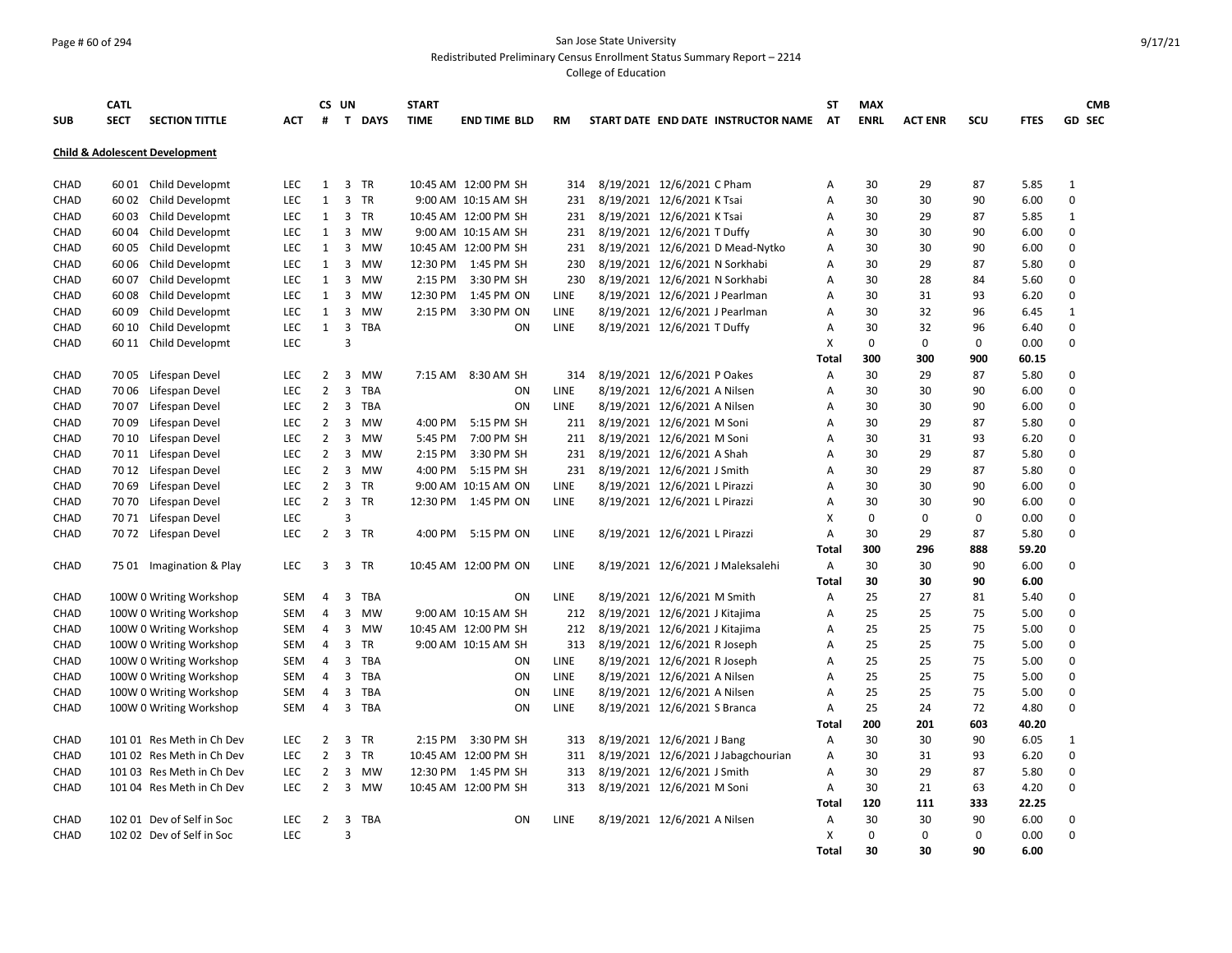### Page # 60 of 294 San Jose State University Redistributed Preliminary Census Enrollment Status Summary Report – 2214

|             | <b>CATL</b> |                                           |            |                | CS UN                   |            | <b>START</b> |                      |             |                                |                                     | <b>ST</b>      | <b>MAX</b>  |                |          |             |              | <b>CMB</b>    |
|-------------|-------------|-------------------------------------------|------------|----------------|-------------------------|------------|--------------|----------------------|-------------|--------------------------------|-------------------------------------|----------------|-------------|----------------|----------|-------------|--------------|---------------|
| <b>SUB</b>  | <b>SECT</b> | <b>SECTION TITTLE</b>                     | <b>ACT</b> | #              |                         | T DAYS     | <b>TIME</b>  | <b>END TIME BLD</b>  | <b>RM</b>   |                                | START DATE END DATE INSTRUCTOR NAME | <b>AT</b>      | <b>ENRL</b> | <b>ACT ENR</b> | scu      | <b>FTES</b> |              | <b>GD SEC</b> |
|             |             | <b>Child &amp; Adolescent Development</b> |            |                |                         |            |              |                      |             |                                |                                     |                |             |                |          |             |              |               |
| <b>CHAD</b> |             | 60 01 Child Developmt                     | <b>LEC</b> | $\mathbf{1}$   | 3                       | TR         |              | 10:45 AM 12:00 PM SH | 314         | 8/19/2021 12/6/2021 C Pham     |                                     | Α              | 30          | 29             | 87       | 5.85        | $\mathbf{1}$ |               |
| CHAD        |             | 60 02 Child Developmt                     | <b>LEC</b> | $\mathbf{1}$   |                         | 3 TR       |              | 9:00 AM 10:15 AM SH  | 231         | 8/19/2021 12/6/2021 K Tsai     |                                     | A              | 30          | 30             | 90       | 6.00        | $\mathbf 0$  |               |
| CHAD        |             | 60 03 Child Developmt                     | <b>LEC</b> | $\mathbf{1}$   |                         | 3 TR       |              | 10:45 AM 12:00 PM SH | 231         | 8/19/2021 12/6/2021 K Tsai     |                                     | A              | 30          | 29             | 87       | 5.85        | $\mathbf{1}$ |               |
| <b>CHAD</b> |             | 60 04 Child Developmt                     | <b>LEC</b> | $\mathbf{1}$   | 3                       | MW         |              | 9:00 AM 10:15 AM SH  | 231         | 8/19/2021 12/6/2021 T Duffy    |                                     | A              | 30          | 30             | 90       | 6.00        | $\mathbf 0$  |               |
| CHAD        |             | 60 05 Child Developmt                     | <b>LEC</b> | $\mathbf{1}$   | 3                       | MW         |              | 10:45 AM 12:00 PM SH | 231         |                                | 8/19/2021 12/6/2021 D Mead-Nytko    | Α              | 30          | 30             | 90       | 6.00        | $\Omega$     |               |
| <b>CHAD</b> | 6006        | Child Developmt                           | <b>LEC</b> | $\mathbf{1}$   | 3                       | <b>MW</b>  | 12:30 PM     | 1:45 PM SH           | 230         |                                | 8/19/2021 12/6/2021 N Sorkhabi      | A              | 30          | 29             | 87       | 5.80        | $\mathbf 0$  |               |
| <b>CHAD</b> |             | 60 07 Child Developmt                     | <b>LEC</b> | 1              | 3                       | MW         | 2:15 PM      | 3:30 PM SH           | 230         |                                | 8/19/2021 12/6/2021 N Sorkhabi      | A              | 30          | 28             | 84       | 5.60        | $\Omega$     |               |
| CHAD        |             | 60 08 Child Developmt                     | <b>LEC</b> | $\mathbf{1}$   | 3                       | <b>MW</b>  | 12:30 PM     | 1:45 PM ON           | LINE        |                                | 8/19/2021 12/6/2021 J Pearlman      | A              | 30          | 31             | 93       | 6.20        | $\Omega$     |               |
| <b>CHAD</b> | 6009        | Child Developmt                           | LEC        | 1              | $\overline{3}$          | <b>MW</b>  |              | 2:15 PM 3:30 PM ON   | LINE        |                                | 8/19/2021 12/6/2021 J Pearlman      | Α              | 30          | 32             | 96       | 6.45        | 1            |               |
| CHAD        |             | 60 10 Child Developmt                     | <b>LEC</b> | $\mathbf{1}$   | $\overline{\mathbf{3}}$ | TBA        |              | ON                   | <b>LINE</b> | 8/19/2021 12/6/2021 T Duffy    |                                     | A              | 30          | 32             | 96       | 6.40        | $\Omega$     |               |
| CHAD        |             | 60 11 Child Developmt                     | <b>LEC</b> |                | 3                       |            |              |                      |             |                                |                                     | X              | $\pmb{0}$   | 0              | 0        | 0.00        | $\mathbf 0$  |               |
|             |             |                                           |            |                |                         |            |              |                      |             |                                |                                     | Total          | 300         | 300            | 900      | 60.15       |              |               |
| <b>CHAD</b> |             | 7005 Lifespan Devel                       | <b>LEC</b> | $\overline{2}$ |                         | 3 MW       |              | 7:15 AM 8:30 AM SH   | 314         | 8/19/2021 12/6/2021 P Oakes    |                                     | A              | 30          | 29             | 87       | 5.80        | 0            |               |
| CHAD        | 70 06       | Lifespan Devel                            | <b>LEC</b> | $\overline{2}$ | 3                       | TBA        |              | ON                   | LINE        | 8/19/2021 12/6/2021 A Nilsen   |                                     | A              | 30          | 30             | 90       | 6.00        | $\Omega$     |               |
| <b>CHAD</b> | 7007        | Lifespan Devel                            | <b>LEC</b> | $\overline{2}$ | 3                       | TBA        |              | ON                   | <b>LINE</b> | 8/19/2021 12/6/2021 A Nilsen   |                                     | A              | 30          | 30             | 90       | 6.00        | $\mathbf 0$  |               |
| CHAD        | 7009        | Lifespan Devel                            | <b>LEC</b> | $\overline{2}$ | 3                       | <b>MW</b>  | 4:00 PM      | 5:15 PM SH           | 211         | 8/19/2021 12/6/2021 M Soni     |                                     | A              | 30          | 29             | 87       | 5.80        | $\Omega$     |               |
| <b>CHAD</b> | 70 10       | Lifespan Devel                            | <b>LEC</b> | $\overline{2}$ | 3                       | MW         | 5:45 PM      | 7:00 PM SH           | 211         | 8/19/2021 12/6/2021 M Soni     |                                     | $\overline{A}$ | 30          | 31             | 93       | 6.20        | $\Omega$     |               |
| <b>CHAD</b> |             | 70 11 Lifespan Devel                      | <b>LEC</b> | $\overline{2}$ | 3                       | MW         |              | 2:15 PM 3:30 PM SH   | 231         | 8/19/2021 12/6/2021 A Shah     |                                     | A              | 30          | 29             | 87       | 5.80        | $\Omega$     |               |
| CHAD        |             | 70 12 Lifespan Devel                      | <b>LEC</b> | $\overline{2}$ | 3                       | MW         |              | 4:00 PM 5:15 PM SH   | 231         | 8/19/2021 12/6/2021 J Smith    |                                     | Α              | 30          | 29             | 87       | 5.80        | $\mathbf 0$  |               |
| <b>CHAD</b> | 70 69       | Lifespan Devel                            | <b>LEC</b> | $\overline{2}$ |                         | 3 TR       |              | 9:00 AM 10:15 AM ON  | LINE        | 8/19/2021 12/6/2021 L Pirazzi  |                                     | Α              | 30          | 30             | 90       | 6.00        | $\mathbf 0$  |               |
| <b>CHAD</b> |             | 70 70 Lifespan Devel                      | <b>LEC</b> | $\overline{2}$ | $\overline{3}$          | <b>TR</b>  |              | 12:30 PM 1:45 PM ON  | <b>LINE</b> | 8/19/2021 12/6/2021 L Pirazzi  |                                     | $\overline{A}$ | 30          | 30             | 90       | 6.00        | $\mathbf 0$  |               |
| <b>CHAD</b> |             | 70 71 Lifespan Devel                      | <b>LEC</b> |                | 3                       |            |              |                      |             |                                |                                     | X              | $\mathbf 0$ | $\mathbf 0$    | 0        | 0.00        | 0            |               |
| <b>CHAD</b> |             | 70 72 Lifespan Devel                      | <b>LEC</b> | $\overline{2}$ |                         | 3 TR       |              | 4:00 PM 5:15 PM ON   | LINE        | 8/19/2021 12/6/2021 L Pirazzi  |                                     | A              | 30          | 29             | 87       | 5.80        | $\mathbf 0$  |               |
|             |             |                                           |            |                |                         |            |              |                      |             |                                |                                     | <b>Total</b>   | 300         | 296            | 888      | 59.20       |              |               |
| CHAD        |             | 75 01 Imagination & Play                  | <b>LEC</b> | 3              |                         | 3 TR       |              | 10:45 AM 12:00 PM ON | LINE        |                                | 8/19/2021 12/6/2021 J Maleksalehi   | Α              | 30          | 30             | 90       | 6.00        | $\mathbf 0$  |               |
|             |             |                                           |            |                |                         |            |              |                      |             |                                |                                     | <b>Total</b>   | 30          | 30             | 90       | 6.00        |              |               |
| CHAD        |             | 100W 0 Writing Workshop                   | <b>SEM</b> | 4              |                         | 3 TBA      |              | ON                   | <b>LINE</b> | 8/19/2021 12/6/2021 M Smith    |                                     | A              | 25          | 27             | 81       | 5.40        | $\Omega$     |               |
| CHAD        |             | 100W 0 Writing Workshop                   | <b>SEM</b> | 4              | 3                       | <b>MW</b>  |              | 9:00 AM 10:15 AM SH  | 212         | 8/19/2021 12/6/2021 J Kitajima |                                     | A              | 25          | 25             | 75       | 5.00        | $\Omega$     |               |
| <b>CHAD</b> |             | 100W 0 Writing Workshop                   | <b>SEM</b> | 4              |                         | 3 MW       |              | 10:45 AM 12:00 PM SH | 212         | 8/19/2021 12/6/2021 J Kitajima |                                     | Α              | 25          | 25             | 75       | 5.00        | $\mathbf 0$  |               |
| <b>CHAD</b> |             | 100W 0 Writing Workshop                   | SEM        | 4              | $\mathbf{3}$            | <b>TR</b>  |              | 9:00 AM 10:15 AM SH  | 313         | 8/19/2021 12/6/2021 R Joseph   |                                     | Α              | 25          | 25             | 75       | 5.00        | $\Omega$     |               |
| CHAD        |             | 100W 0 Writing Workshop                   | SEM        | 4              | $\overline{3}$          | TBA        |              | ON                   | <b>LINE</b> | 8/19/2021 12/6/2021 R Joseph   |                                     | A              | 25          | 25             | 75       | 5.00        | 0            |               |
| <b>CHAD</b> |             | 100W 0 Writing Workshop                   | <b>SEM</b> | 4              | 3                       | TBA        |              | ON                   | LINE        | 8/19/2021 12/6/2021 A Nilsen   |                                     | A              | 25          | 25             | 75       | 5.00        | $\mathbf 0$  |               |
| <b>CHAD</b> |             | 100W 0 Writing Workshop                   | SEM        | 4              | 3                       | <b>TBA</b> |              | ON                   | LINE        | 8/19/2021 12/6/2021 A Nilsen   |                                     | Α              | 25          | 25             | 75       | 5.00        | 0            |               |
| <b>CHAD</b> |             | 100W 0 Writing Workshop                   | SEM        | 4              | $\overline{3}$          | TBA        |              | ON                   | LINE        | 8/19/2021 12/6/2021 S Branca   |                                     | Α              | 25          | 24             | 72       | 4.80        | $\mathbf 0$  |               |
|             |             |                                           |            |                |                         |            |              |                      |             |                                |                                     | <b>Total</b>   | 200         | 201            | 603      | 40.20       |              |               |
| <b>CHAD</b> |             | 101 01 Res Meth in Ch Dev                 | <b>LEC</b> | $\overline{2}$ |                         | 3 TR       |              | 2:15 PM 3:30 PM SH   | 313         | 8/19/2021 12/6/2021 J Bang     |                                     | А              | 30          | 30             | 90       | 6.05        | $\mathbf{1}$ |               |
| <b>CHAD</b> |             | 101 02 Res Meth in Ch Dev                 | <b>LEC</b> | $\overline{2}$ | 3                       | TR         |              | 10:45 AM 12:00 PM SH | 311         |                                | 8/19/2021 12/6/2021 J Jabagchourian | A              | 30          | 31             | 93       | 6.20        | $\mathbf 0$  |               |
| <b>CHAD</b> |             | 101 03 Res Meth in Ch Dev                 | <b>LEC</b> | $\overline{2}$ |                         | 3 MW       |              | 12:30 PM 1:45 PM SH  | 313         | 8/19/2021 12/6/2021 J Smith    |                                     | A              | 30          | 29             | 87       | 5.80        | $\Omega$     |               |
| CHAD        |             | 101 04 Res Meth in Ch Dev                 | <b>LEC</b> | $\overline{2}$ | 3                       | MW         |              | 10:45 AM 12:00 PM SH | 313         | 8/19/2021 12/6/2021 M Soni     |                                     | A              | 30          | 21             | 63       | 4.20        | $\mathbf 0$  |               |
|             |             |                                           |            |                |                         |            |              |                      |             |                                |                                     | Total          | 120         | 111            | 333      | 22.25       |              |               |
| <b>CHAD</b> |             | 102 01 Dev of Self in Soc                 | <b>LEC</b> | 2              | 3                       | TBA        |              | ON                   | LINE        | 8/19/2021 12/6/2021 A Nilsen   |                                     | A              | 30          | 30             | 90       | 6.00        | 0            |               |
| CHAD        |             | 102 02 Dev of Self in Soc                 | LEC        |                | 3                       |            |              |                      |             |                                |                                     | X              | $\mathbf 0$ | $\Omega$       | $\Omega$ | 0.00        | 0            |               |
|             |             |                                           |            |                |                         |            |              |                      |             |                                |                                     | <b>Total</b>   | 30          | 30             | 90       | 6.00        |              |               |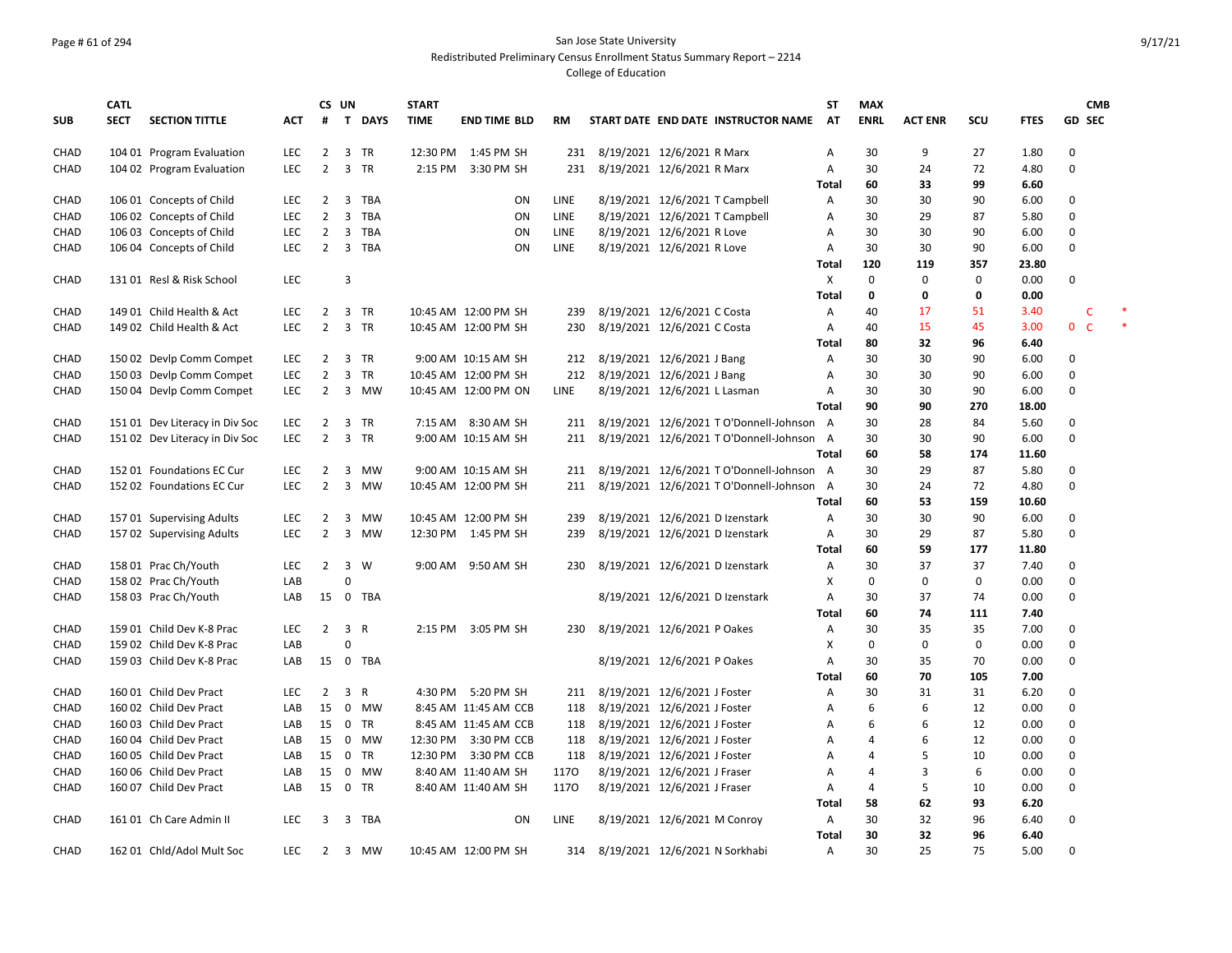### Page # 61 of 294 San Jose State University Redistributed Preliminary Census Enrollment Status Summary Report – 2214

|             | <b>CATL</b> |                                |            | CS UN          |             |        | <b>START</b> |                      |             |                                           | ST           | <b>MAX</b>  |                |     |             | <b>CMB</b>                  |  |
|-------------|-------------|--------------------------------|------------|----------------|-------------|--------|--------------|----------------------|-------------|-------------------------------------------|--------------|-------------|----------------|-----|-------------|-----------------------------|--|
| <b>SUB</b>  | <b>SECT</b> | <b>SECTION TITTLE</b>          | <b>ACT</b> | #              |             | T DAYS | <b>TIME</b>  | <b>END TIME BLD</b>  | RM          | START DATE END DATE INSTRUCTOR NAME       | <b>AT</b>    | <b>ENRL</b> | <b>ACT ENR</b> | SCU | <b>FTES</b> | <b>GD SEC</b>               |  |
| CHAD        |             | 104 01 Program Evaluation      | <b>LEC</b> | 2              | 3 TR        |        | 12:30 PM     | 1:45 PM SH           | 231         | 8/19/2021 12/6/2021 R Marx                | A            | 30          | 9              | 27  | 1.80        | 0                           |  |
| CHAD        |             | 104 02 Program Evaluation      | <b>LEC</b> | $\overline{2}$ | 3 TR        |        | 2:15 PM      | 3:30 PM SH           | 231         | 8/19/2021 12/6/2021 R Marx                | Α            | 30          | 24             | 72  | 4.80        | 0                           |  |
|             |             |                                |            |                |             |        |              |                      |             |                                           | <b>Total</b> | 60          | 33             | 99  | 6.60        |                             |  |
| CHAD        |             | 106 01 Concepts of Child       | LEC        | $2^{\circ}$    |             | 3 TBA  |              | ON                   | LINE        | 8/19/2021 12/6/2021 T Campbell            | Α            | 30          | 30             | 90  | 6.00        | 0                           |  |
| CHAD        |             | 106 02 Concepts of Child       | <b>LEC</b> | $\overline{2}$ |             | 3 TBA  |              | ON                   | LINE        | 8/19/2021 12/6/2021 T Campbell            | Α            | 30          | 29             | 87  | 5.80        | 0                           |  |
| CHAD        |             | 106 03 Concepts of Child       | <b>LEC</b> | $\overline{2}$ |             | 3 TBA  |              | ON                   | LINE        | 8/19/2021 12/6/2021 R Love                | A            | 30          | 30             | 90  | 6.00        | 0                           |  |
| CHAD        |             | 106 04 Concepts of Child       | LEC        | $\overline{2}$ |             | 3 TBA  |              | ON                   | LINE        | 8/19/2021 12/6/2021 R Love                | Α            | 30          | 30             | 90  | 6.00        | 0                           |  |
|             |             |                                |            |                |             |        |              |                      |             |                                           | <b>Total</b> | 120         | 119            | 357 | 23.80       |                             |  |
| CHAD        |             | 131 01 Resl & Risk School      | LEC        |                | 3           |        |              |                      |             |                                           | X            | 0           | 0              | 0   | 0.00        | 0                           |  |
|             |             |                                |            |                |             |        |              |                      |             |                                           | <b>Total</b> | 0           | 0              | 0   | 0.00        |                             |  |
| CHAD        |             | 149 01 Child Health & Act      | <b>LEC</b> | $\overline{2}$ | 3 TR        |        |              | 10:45 AM 12:00 PM SH | 239         | 8/19/2021 12/6/2021 C Costa               | A            | 40          | 17             | 51  | 3.40        | Ċ                           |  |
| CHAD        |             | 149 02 Child Health & Act      | <b>LEC</b> | $\overline{2}$ | 3 TR        |        |              | 10:45 AM 12:00 PM SH | 230         | 8/19/2021 12/6/2021 C Costa               | Α            | 40          | 15             | 45  | 3.00        | $\mathbf 0$<br>$\mathsf{C}$ |  |
|             |             |                                |            |                |             |        |              |                      |             |                                           | <b>Total</b> | 80          | 32             | 96  | 6.40        |                             |  |
| CHAD        |             | 150 02 Devlp Comm Compet       | <b>LEC</b> | $\overline{2}$ | 3 TR        |        |              | 9:00 AM 10:15 AM SH  | 212         | 8/19/2021 12/6/2021 J Bang                | Α            | 30          | 30             | 90  | 6.00        | 0                           |  |
| CHAD        |             | 150 03 Devlp Comm Compet       | <b>LEC</b> | $\overline{2}$ | 3 TR        |        |              | 10:45 AM 12:00 PM SH | 212         | 8/19/2021 12/6/2021 J Bang                | Α            | 30          | 30             | 90  | 6.00        | 0                           |  |
| CHAD        |             | 150 04 Devlp Comm Compet       | <b>LEC</b> | $\overline{2}$ |             | 3 MW   |              | 10:45 AM 12:00 PM ON | <b>LINE</b> | 8/19/2021 12/6/2021 L Lasman              | A            | 30          | 30             | 90  | 6.00        | $\Omega$                    |  |
|             |             |                                |            |                |             |        |              |                      |             |                                           | <b>Total</b> | 90          | 90             | 270 | 18.00       |                             |  |
| CHAD        |             | 151 01 Dev Literacy in Div Soc | <b>LEC</b> | 2              | 3 TR        |        |              | 7:15 AM 8:30 AM SH   | 211         | 8/19/2021 12/6/2021 T O'Donnell-Johnson A |              | 30          | 28             | 84  | 5.60        | 0                           |  |
| CHAD        |             | 151 02 Dev Literacy in Div Soc | LEC        | $\overline{2}$ | 3 TR        |        |              | 9:00 AM 10:15 AM SH  | 211         | 8/19/2021 12/6/2021 T O'Donnell-Johnson A |              | 30          | 30             | 90  | 6.00        | 0                           |  |
|             |             |                                |            |                |             |        |              |                      |             |                                           | Total        | 60          | 58             | 174 | 11.60       |                             |  |
| CHAD        |             | 152 01 Foundations EC Cur      | <b>LEC</b> | $\overline{2}$ |             | 3 MW   |              | 9:00 AM 10:15 AM SH  | 211         | 8/19/2021 12/6/2021 T O'Donnell-Johnson A |              | 30          | 29             | 87  | 5.80        | 0                           |  |
| CHAD        |             | 152 02 Foundations EC Cur      | <b>LEC</b> | $\overline{2}$ |             | 3 MW   |              | 10:45 AM 12:00 PM SH | 211         | 8/19/2021 12/6/2021 T O'Donnell-Johnson A |              | 30          | 24             | 72  | 4.80        | 0                           |  |
|             |             |                                |            |                |             |        |              |                      |             |                                           | Total        | 60          | 53             | 159 | 10.60       |                             |  |
| CHAD        |             | 157 01 Supervising Adults      | <b>LEC</b> | $\overline{2}$ |             | 3 MW   |              | 10:45 AM 12:00 PM SH | 239         | 8/19/2021 12/6/2021 D Izenstark           | Α            | 30          | 30             | 90  | 6.00        | 0                           |  |
| <b>CHAD</b> |             | 157 02 Supervising Adults      | LEC        | $\overline{2}$ |             | 3 MW   |              | 12:30 PM 1:45 PM SH  | 239         | 8/19/2021 12/6/2021 D Izenstark           | Α            | 30          | 29             | 87  | 5.80        | 0                           |  |
|             |             |                                |            |                |             |        |              |                      |             |                                           | <b>Total</b> | 60          | 59             | 177 | 11.80       |                             |  |
| CHAD        |             | 158 01 Prac Ch/Youth           | LEC        | $\overline{2}$ | $3 \quad W$ |        |              | 9:00 AM 9:50 AM SH   | 230         | 8/19/2021 12/6/2021 D Izenstark           | Α            | 30          | 37             | 37  | 7.40        | 0                           |  |
| <b>CHAD</b> |             | 158 02 Prac Ch/Youth           | LAB        |                | $\Omega$    |        |              |                      |             |                                           | X            | 0           | 0              | 0   | 0.00        | 0                           |  |
| CHAD        |             | 158 03 Prac Ch/Youth           | LAB        | 15             | 0 TBA       |        |              |                      |             | 8/19/2021 12/6/2021 D Izenstark           | А            | 30          | 37             | 74  | 0.00        | 0                           |  |
|             |             |                                |            |                |             |        |              |                      |             |                                           | Total        | 60          | 74             | 111 | 7.40        |                             |  |
| <b>CHAD</b> |             | 159 01 Child Dev K-8 Prac      | <b>LEC</b> | $\overline{2}$ | 3 R         |        |              | 2:15 PM 3:05 PM SH   | 230         | 8/19/2021 12/6/2021 P Oakes               | Α            | 30          | 35             | 35  | 7.00        | 0                           |  |
| CHAD        |             | 159 02 Child Dev K-8 Prac      | LAB        |                | $\Omega$    |        |              |                      |             |                                           | X            | $\mathbf 0$ | 0              | 0   | 0.00        | 0                           |  |
| <b>CHAD</b> |             | 159 03 Child Dev K-8 Prac      | LAB        | 15             | 0 TBA       |        |              |                      |             | 8/19/2021 12/6/2021 P Oakes               | Α            | 30          | 35             | 70  | 0.00        | 0                           |  |
|             |             |                                |            |                |             |        |              |                      |             |                                           | <b>Total</b> | 60          | 70             | 105 | 7.00        |                             |  |
| <b>CHAD</b> |             | 160 01 Child Dev Pract         | <b>LEC</b> | $\overline{2}$ | 3 R         |        |              | 4:30 PM 5:20 PM SH   | 211         | 8/19/2021 12/6/2021 J Foster              | Α            | 30          | 31             | 31  | 6.20        | 0                           |  |
| <b>CHAD</b> |             | 160 02 Child Dev Pract         | LAB        | 15             |             | 0 MW   |              | 8:45 AM 11:45 AM CCB | 118         | 8/19/2021 12/6/2021 J Foster              | A            | 6           | 6              | 12  | 0.00        | 0                           |  |
| CHAD        |             | 160 03 Child Dev Pract         | LAB        | 15             | 0 TR        |        |              | 8:45 AM 11:45 AM CCB | 118         | 8/19/2021 12/6/2021 J Foster              | А            | 6           | 6              | 12  | 0.00        | 0                           |  |
| <b>CHAD</b> |             | 160 04 Child Dev Pract         | LAB        | 15             | 0 MW        |        |              | 12:30 PM 3:30 PM CCB | 118         | 8/19/2021 12/6/2021 J Foster              | А            | 4           | 6              | 12  | 0.00        | 0                           |  |
| <b>CHAD</b> |             | 160 05 Child Dev Pract         | LAB        | 15             | 0 TR        |        |              | 12:30 PM 3:30 PM CCB | 118         | 8/19/2021 12/6/2021 J Foster              | А            | 4           | 5              | 10  | 0.00        | 0                           |  |
| <b>CHAD</b> |             | 160 06 Child Dev Pract         | LAB        | 15             |             | 0 MW   |              | 8:40 AM 11:40 AM SH  | 1170        | 8/19/2021 12/6/2021 J Fraser              | Α            | 4           | 3              | 6   | 0.00        | 0                           |  |
| <b>CHAD</b> |             | 160 07 Child Dev Pract         | LAB        | 15             | $0$ TR      |        |              | 8:40 AM 11:40 AM SH  | 1170        | 8/19/2021 12/6/2021 J Fraser              | A            | 4           | 5              | 10  | 0.00        | $\Omega$                    |  |
|             |             |                                |            |                |             |        |              |                      |             |                                           | Total        | 58          | 62             | 93  | 6.20        |                             |  |
| <b>CHAD</b> |             | 161 01 Ch Care Admin II        | <b>LEC</b> | 3              |             | 3 TBA  |              | ON                   | LINE        | 8/19/2021 12/6/2021 M Conroy              | Α            | 30          | 32             | 96  | 6.40        | 0                           |  |
|             |             |                                |            |                |             |        |              |                      |             |                                           | <b>Total</b> | 30          | 32             | 96  | 6.40        |                             |  |
| <b>CHAD</b> |             | 162 01 Chid/Adol Mult Soc      | <b>LEC</b> |                |             | 2 3 MW |              | 10:45 AM 12:00 PM SH | 314         | 8/19/2021 12/6/2021 N Sorkhabi            | A            | 30          | 25             | 75  | 5.00        | 0                           |  |
|             |             |                                |            |                |             |        |              |                      |             |                                           |              |             |                |     |             |                             |  |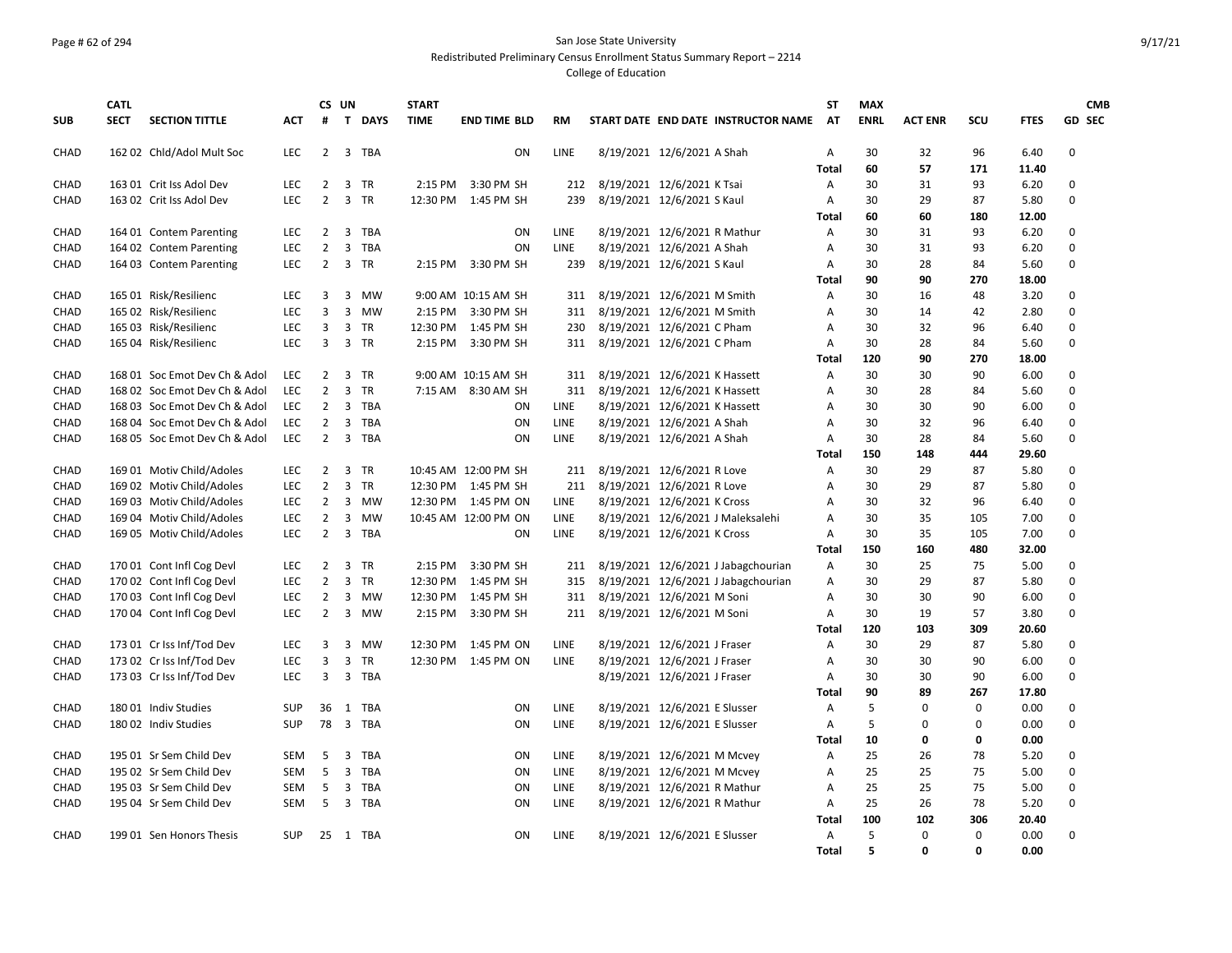### Page # 62 of 294 San Jose State University Redistributed Preliminary Census Enrollment Status Summary Report – 2214

|              | <b>CATL</b> |                                                        |                   |                | CS UN          |            | <b>START</b> |                                   |    |              |                                                              |                               |                                        | ST                | <b>MAX</b>  |                |           |               | <b>CMB</b>    |
|--------------|-------------|--------------------------------------------------------|-------------------|----------------|----------------|------------|--------------|-----------------------------------|----|--------------|--------------------------------------------------------------|-------------------------------|----------------------------------------|-------------------|-------------|----------------|-----------|---------------|---------------|
| <b>SUB</b>   | <b>SECT</b> | <b>SECTION TITTLE</b>                                  | <b>ACT</b>        | #              |                | T DAYS     | <b>TIME</b>  | <b>END TIME BLD</b>               |    | RM           |                                                              |                               | START DATE END DATE INSTRUCTOR NAME AT |                   | <b>ENRL</b> | <b>ACT ENR</b> | scu       | <b>FTES</b>   | <b>GD SEC</b> |
| CHAD         |             | 162 02 Chld/Adol Mult Soc                              | <b>LEC</b>        | $\overline{2}$ | 3              | TBA        |              |                                   | ON | <b>LINE</b>  | 8/19/2021 12/6/2021 A Shah                                   |                               |                                        | A                 | 30          | 32             | 96        | 6.40          | $\Omega$      |
|              |             |                                                        |                   |                |                |            |              |                                   |    |              |                                                              |                               |                                        | <b>Total</b>      | 60          | 57             | 171       | 11.40         |               |
| CHAD         |             | 163 01 Crit Iss Adol Dev                               | <b>LEC</b>        | $\overline{2}$ | $\overline{3}$ | <b>TR</b>  | 2:15 PM      | 3:30 PM SH                        |    | 212          | 8/19/2021 12/6/2021 K Tsai                                   |                               |                                        | A                 | 30          | 31             | 93        | 6.20          | $\Omega$      |
| CHAD         |             | 163 02 Crit Iss Adol Dev                               | <b>LEC</b>        | $\overline{2}$ |                | 3 TR       |              | 12:30 PM 1:45 PM SH               |    | 239          | 8/19/2021 12/6/2021 S Kaul                                   |                               |                                        | A<br><b>Total</b> | 30<br>60    | 29<br>60       | 87<br>180 | 5.80<br>12.00 | $\Omega$      |
| CHAD         |             | 164 01 Contem Parenting                                | <b>LEC</b>        | $\overline{2}$ |                | 3 TBA      |              |                                   | ON | <b>LINE</b>  | 8/19/2021 12/6/2021 R Mathur                                 |                               |                                        | A                 | 30          | 31             | 93        | 6.20          | 0             |
| CHAD         |             | 164 02 Contem Parenting                                | LEC               | $\overline{2}$ | 3              | TBA        |              |                                   | ON | LINE         | 8/19/2021 12/6/2021 A Shah                                   |                               |                                        | A                 | 30          | 31             | 93        | 6.20          | $\mathbf 0$   |
| CHAD         |             | 164 03 Contem Parenting                                | <b>LEC</b>        | $\overline{2}$ |                | 3 TR       | 2:15 PM      | 3:30 PM SH                        |    | 239          | 8/19/2021 12/6/2021 S Kaul                                   |                               |                                        | Α                 | 30          | 28             | 84        | 5.60          | 0             |
|              |             |                                                        |                   |                |                |            |              |                                   |    |              |                                                              |                               |                                        | <b>Total</b>      | 90          | 90             | 270       | 18.00         |               |
| CHAD         |             | 165 01 Risk/Resilienc                                  | LEC               | 3              | 3              | MW         |              | 9:00 AM 10:15 AM SH               |    | 311          | 8/19/2021 12/6/2021 M Smith                                  |                               |                                        | Α                 | 30          | 16             | 48        | 3.20          | $\mathbf 0$   |
| <b>CHAD</b>  |             | 165 02 Risk/Resilienc                                  | <b>LEC</b>        | 3              |                | 3 MW       |              | 2:15 PM 3:30 PM SH                |    | 311          | 8/19/2021 12/6/2021 M Smith                                  |                               |                                        | A                 | 30          | 14             | 42        | 2.80          | $\Omega$      |
| CHAD         |             | 165 03 Risk/Resilienc                                  | LEC               | 3              |                | 3 TR       |              | 12:30 PM 1:45 PM SH               |    | 230          | 8/19/2021 12/6/2021 C Pham                                   |                               |                                        | Α                 | 30          | 32             | 96        | 6.40          | $\Omega$      |
| <b>CHAD</b>  |             | 165 04 Risk/Resilienc                                  | <b>LEC</b>        | 3              |                | 3 TR       |              | 2:15 PM 3:30 PM SH                |    | 311          | 8/19/2021 12/6/2021 C Pham                                   |                               |                                        | A                 | 30          | 28             | 84        | 5.60          | 0             |
|              |             |                                                        |                   |                |                |            |              |                                   |    |              |                                                              |                               |                                        | <b>Total</b>      | 120         | 90             | 270       | 18.00         |               |
| CHAD         |             | 168 01 Soc Emot Dev Ch & Adol                          | LEC               | $\overline{2}$ |                | 3 TR       |              | 9:00 AM 10:15 AM SH               |    | 311          | 8/19/2021 12/6/2021 K Hassett                                |                               |                                        | Α                 | 30          | 30             | 90        | 6.00          | 0             |
| <b>CHAD</b>  |             | 168 02 Soc Emot Dev Ch & Adol                          | <b>LEC</b>        | $\overline{2}$ |                | 3 TR       |              | 7:15 AM 8:30 AM SH                |    | 311          | 8/19/2021 12/6/2021 K Hassett                                |                               |                                        | A                 | 30          | 28             | 84        | 5.60          | $\Omega$      |
| <b>CHAD</b>  |             | 168 03 Soc Emot Dev Ch & Adol                          | <b>LEC</b>        | $\overline{2}$ |                | 3 TBA      |              |                                   | ON | <b>LINE</b>  | 8/19/2021 12/6/2021 K Hassett                                |                               |                                        | Α                 | 30          | 30             | 90        | 6.00          | 0             |
| CHAD         |             | 168 04 Soc Emot Dev Ch & Adol                          | LEC               | $\overline{2}$ |                | 3 TBA      |              |                                   | ON | LINE         | 8/19/2021 12/6/2021 A Shah                                   |                               |                                        | A                 | 30          | 32             | 96        | 6.40          | $\mathbf 0$   |
| <b>CHAD</b>  |             | 168 05 Soc Emot Dev Ch & Adol                          | LEC               | $\overline{2}$ |                | 3 TBA      |              |                                   | ON | LINE         | 8/19/2021 12/6/2021 A Shah                                   |                               |                                        | A                 | 30          | 28             | 84        | 5.60          | 0             |
|              |             |                                                        |                   |                |                |            |              |                                   |    |              |                                                              |                               |                                        | <b>Total</b>      | 150         | 148            | 444       | 29.60         |               |
| CHAD         |             | 169 01 Motiv Child/Adoles                              | <b>LEC</b>        | $\overline{2}$ | 3              | TR         |              | 10:45 AM 12:00 PM SH              |    | 211          | 8/19/2021 12/6/2021 R Love                                   |                               |                                        | A                 | 30          | 29             | 87        | 5.80          | $\Omega$      |
| <b>CHAD</b>  |             | 169 02 Motiv Child/Adoles                              | <b>LEC</b>        | $\overline{2}$ |                | 3 TR       |              | 12:30 PM 1:45 PM SH               |    | 211          | 8/19/2021 12/6/2021 R Love                                   |                               |                                        | Α                 | 30          | 29             | 87        | 5.80          | $\Omega$      |
| CHAD         |             | 169 03 Motiv Child/Adoles                              | <b>LEC</b>        | $\overline{2}$ |                | 3 MW       |              | 12:30 PM 1:45 PM ON               |    | LINE         | 8/19/2021 12/6/2021 K Cross                                  |                               |                                        | Α                 | 30          | 32             | 96        | 6.40          | $\mathbf 0$   |
| <b>CHAD</b>  |             | 169 04 Motiv Child/Adoles                              | LEC               | $\overline{2}$ |                | 3 MW       |              | 10:45 AM 12:00 PM ON              |    | LINE         |                                                              |                               | 8/19/2021 12/6/2021 J Maleksalehi      | Α                 | 30          | 35             | 105       | 7.00          | 0             |
| <b>CHAD</b>  |             | 169 05 Motiv Child/Adoles                              | <b>LEC</b>        | $\overline{2}$ |                | 3 TBA      |              |                                   | ON | LINE         | 8/19/2021 12/6/2021 K Cross                                  |                               |                                        | A                 | 30          | 35             | 105       | 7.00          | $\Omega$      |
|              |             |                                                        |                   |                |                |            |              |                                   |    |              |                                                              |                               |                                        | <b>Total</b>      | 150         | 160            | 480       | 32.00         |               |
| <b>CHAD</b>  |             | 170 01 Cont Infl Cog Devl                              | <b>LEC</b>        | 2              | 3              | <b>TR</b>  | 2:15 PM      | 3:30 PM SH                        |    | 211          |                                                              |                               | 8/19/2021 12/6/2021 J Jabagchourian    | Α                 | 30          | 25             | 75        | 5.00          | $\Omega$      |
| CHAD         |             | 170 02 Cont Infl Cog Devl                              | LEC               | $\overline{2}$ | $\overline{3}$ | TR         | 12:30 PM     | 1:45 PM SH                        |    | 315          |                                                              |                               | 8/19/2021 12/6/2021 J Jabagchourian    | A                 | 30          | 29             | 87        | 5.80          | $\Omega$      |
| <b>CHAD</b>  |             | 170 03 Cont Infl Cog Devl                              | <b>LEC</b>        | $\overline{2}$ |                | 3 MW       | 12:30 PM     | 1:45 PM SH                        |    | 311          | 8/19/2021 12/6/2021 M Soni                                   |                               |                                        | Α                 | 30          | 30             | 90        | 6.00          | 0             |
| <b>CHAD</b>  |             | 170 04 Cont Infl Cog Devl                              | <b>LEC</b>        | $\overline{2}$ |                | 3 MW       | 2:15 PM      | 3:30 PM SH                        |    | 211          | 8/19/2021 12/6/2021 M Soni                                   |                               |                                        | A                 | 30          | 19             | 57        | 3.80          | $\Omega$      |
|              |             |                                                        |                   |                |                |            |              |                                   |    |              |                                                              |                               |                                        | <b>Total</b><br>A | 120         | 103            | 309       | 20.60         | $\Omega$      |
| CHAD<br>CHAD |             | 173 01 Cr Iss Inf/Tod Dev<br>173 02 Cr Iss Inf/Tod Dev | <b>LEC</b><br>LEC | 3<br>3         | 3              | MW<br>3 TR | 12:30 PM     | 1:45 PM ON<br>12:30 PM 1:45 PM ON |    | LINE<br>LINE | 8/19/2021 12/6/2021 J Fraser<br>8/19/2021 12/6/2021 J Fraser |                               |                                        | Α                 | 30<br>30    | 29<br>30       | 87<br>90  | 5.80<br>6.00  | $\Omega$      |
| CHAD         |             | 173 03 Cr Iss Inf/Tod Dev                              | <b>LEC</b>        | 3              |                | 3 TBA      |              |                                   |    |              | 8/19/2021 12/6/2021 J Fraser                                 |                               |                                        | Α                 | 30          | 30             | 90        | 6.00          | $\mathbf 0$   |
|              |             |                                                        |                   |                |                |            |              |                                   |    |              |                                                              |                               |                                        | <b>Total</b>      | 90          | 89             | 267       | 17.80         |               |
| CHAD         |             | 180 01 Indiv Studies                                   | <b>SUP</b>        | 36             |                | 1 TBA      |              |                                   | ON | LINE         |                                                              | 8/19/2021 12/6/2021 E Slusser |                                        | Α                 | 5           | 0              | 0         | 0.00          | 0             |
| CHAD         |             | 180 02 Indiv Studies                                   | <b>SUP</b>        | 78             |                | 3 TBA      |              |                                   | ON | LINE         | 8/19/2021 12/6/2021 E Slusser                                |                               |                                        | Α                 | 5           | 0              | 0         | 0.00          | 0             |
|              |             |                                                        |                   |                |                |            |              |                                   |    |              |                                                              |                               |                                        | <b>Total</b>      | 10          | 0              | 0         | 0.00          |               |
| <b>CHAD</b>  |             | 195 01 Sr Sem Child Dev                                | <b>SEM</b>        | 5              | 3              | TBA        |              |                                   | ON | LINE         | 8/19/2021 12/6/2021 M Mcvey                                  |                               |                                        | Α                 | 25          | 26             | 78        | 5.20          | $\mathbf 0$   |
| <b>CHAD</b>  |             | 195 02 Sr Sem Child Dev                                | <b>SEM</b>        | 5              | 3              | TBA        |              |                                   | ON | LINE         | 8/19/2021 12/6/2021 M Mcvey                                  |                               |                                        | A                 | 25          | 25             | 75        | 5.00          | $\Omega$      |
| CHAD         |             | 195 03 Sr Sem Child Dev                                | <b>SEM</b>        | 5              | $\mathbf{3}$   | TBA        |              |                                   | ON | LINE         | 8/19/2021 12/6/2021 R Mathur                                 |                               |                                        | Α                 | 25          | 25             | 75        | 5.00          | $\Omega$      |
| <b>CHAD</b>  |             | 195 04 Sr Sem Child Dev                                | <b>SEM</b>        | 5              |                | 3 TBA      |              |                                   | ON | LINE         | 8/19/2021 12/6/2021 R Mathur                                 |                               |                                        | A                 | 25          | 26             | 78        | 5.20          | $\mathbf 0$   |
|              |             |                                                        |                   |                |                |            |              |                                   |    |              |                                                              |                               |                                        | <b>Total</b>      | 100         | 102            | 306       | 20.40         |               |
| CHAD         |             | 199 01 Sen Honors Thesis                               | <b>SUP</b>        |                |                | 25 1 TBA   |              |                                   | ON | LINE         | 8/19/2021 12/6/2021 E Slusser                                |                               |                                        | A                 | 5           | 0              | 0         | 0.00          | 0             |
|              |             |                                                        |                   |                |                |            |              |                                   |    |              |                                                              |                               |                                        | <b>Total</b>      | 5           | 0              | 0         | 0.00          |               |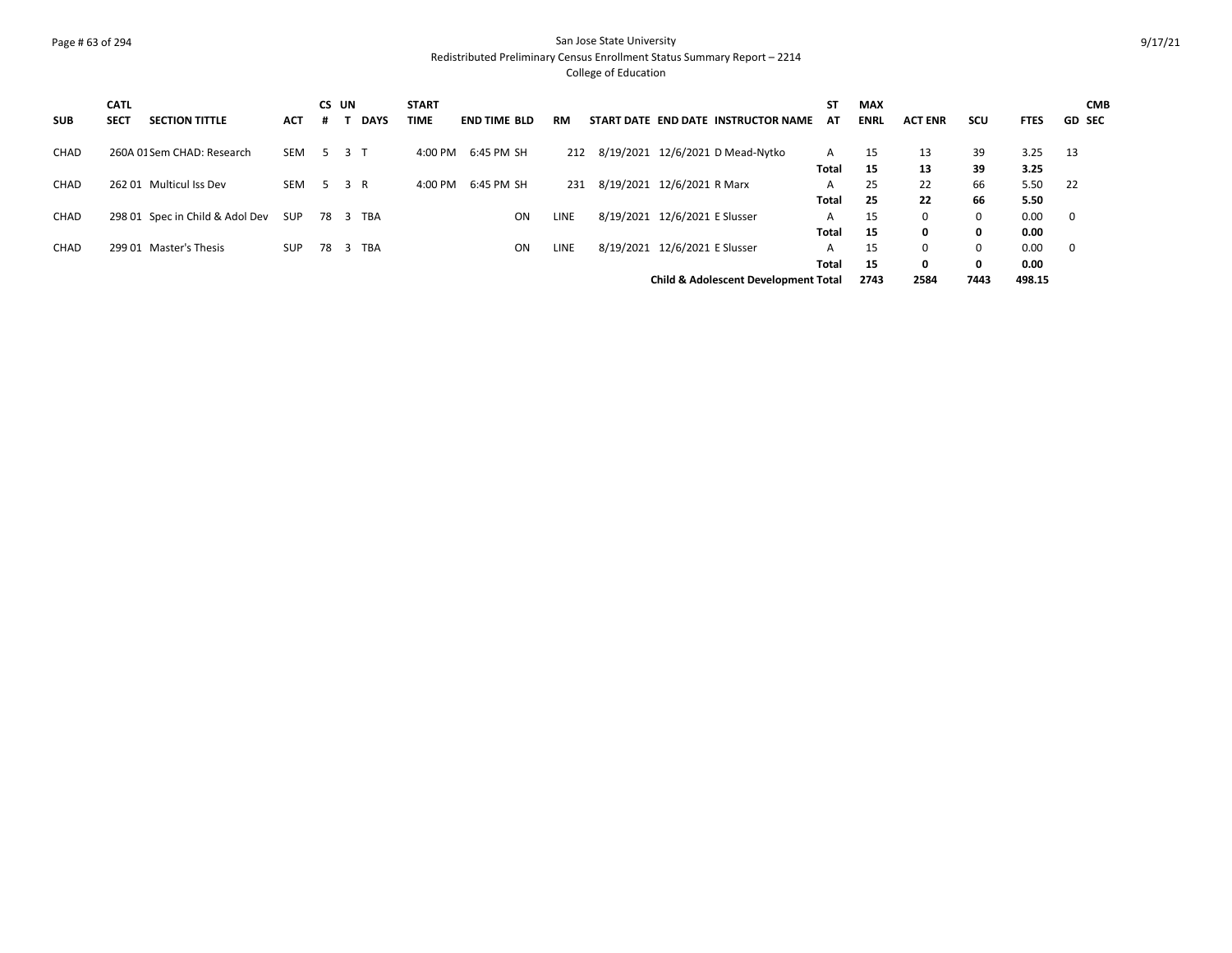### Page # 63 of 294 San Jose State University Redistributed Preliminary Census Enrollment Status Summary Report – 2214

|            | <b>CATL</b> |                                 |            | CS UN |                |             | <b>START</b> |                     |           |      |                               |                                                 | <b>ST</b>    | <b>MAX</b>  |                |             |             | <b>CMB</b>              |
|------------|-------------|---------------------------------|------------|-------|----------------|-------------|--------------|---------------------|-----------|------|-------------------------------|-------------------------------------------------|--------------|-------------|----------------|-------------|-------------|-------------------------|
| <b>SUB</b> | <b>SECT</b> | <b>SECTION TITTLE</b>           | <b>ACT</b> | #     |                | <b>DAYS</b> | <b>TIME</b>  | <b>END TIME BLD</b> |           | RM   |                               | START DATE END DATE INSTRUCTOR NAME             | AT           | <b>ENRL</b> | <b>ACT ENR</b> | scu         | <b>FTES</b> | <b>GD SEC</b>           |
| CHAD       |             | 260A 01Sem CHAD: Research       | <b>SEM</b> | 5.    | 3 <sup>7</sup> |             | 4:00 PM      | 6:45 PM SH          |           | 212  |                               | 8/19/2021 12/6/2021 D Mead-Nytko                | A            | 15          | 13             | 39          | 3.25        | - 13                    |
|            |             |                                 |            |       |                |             |              |                     |           |      |                               |                                                 | Total        | 15          | 13             | 39          | 3.25        |                         |
| CHAD       |             | 262 01 Multicul Iss Dev         | <b>SEM</b> | 5     | 3 R            |             | 4:00 PM      | 6:45 PM SH          |           | 231  | 8/19/2021 12/6/2021 R Marx    |                                                 | A            | 25          | 22             | 66          | 5.50        | - 22                    |
|            |             |                                 |            |       |                |             |              |                     |           |      |                               |                                                 | Total        | 25          | 22             | 66          | 5.50        |                         |
| CHAD       |             | 298 01 Spec in Child & Adol Dev | SUP        | 78    |                | 3 TBA       |              |                     | <b>ON</b> | LINE | 8/19/2021 12/6/2021 E Slusser |                                                 | A            | 15          | 0              | $\mathbf 0$ | 0.00        | $\overline{0}$          |
|            |             |                                 |            |       |                |             |              |                     |           |      |                               |                                                 | <b>Total</b> | 15          | 0              | 0           | 0.00        |                         |
| CHAD       |             | 299 01 Master's Thesis          | <b>SUP</b> | 78    |                | 3 TBA       |              |                     | ON        | LINE | 8/19/2021 12/6/2021 E Slusser |                                                 | A            | 15          | 0              | $\mathbf 0$ | 0.00        | $\overline{\mathbf{0}}$ |
|            |             |                                 |            |       |                |             |              |                     |           |      |                               |                                                 | <b>Total</b> | 15          | 0              | 0           | 0.00        |                         |
|            |             |                                 |            |       |                |             |              |                     |           |      |                               | <b>Child &amp; Adolescent Development Total</b> |              | 2743        | 2584           | 7443        | 498.15      |                         |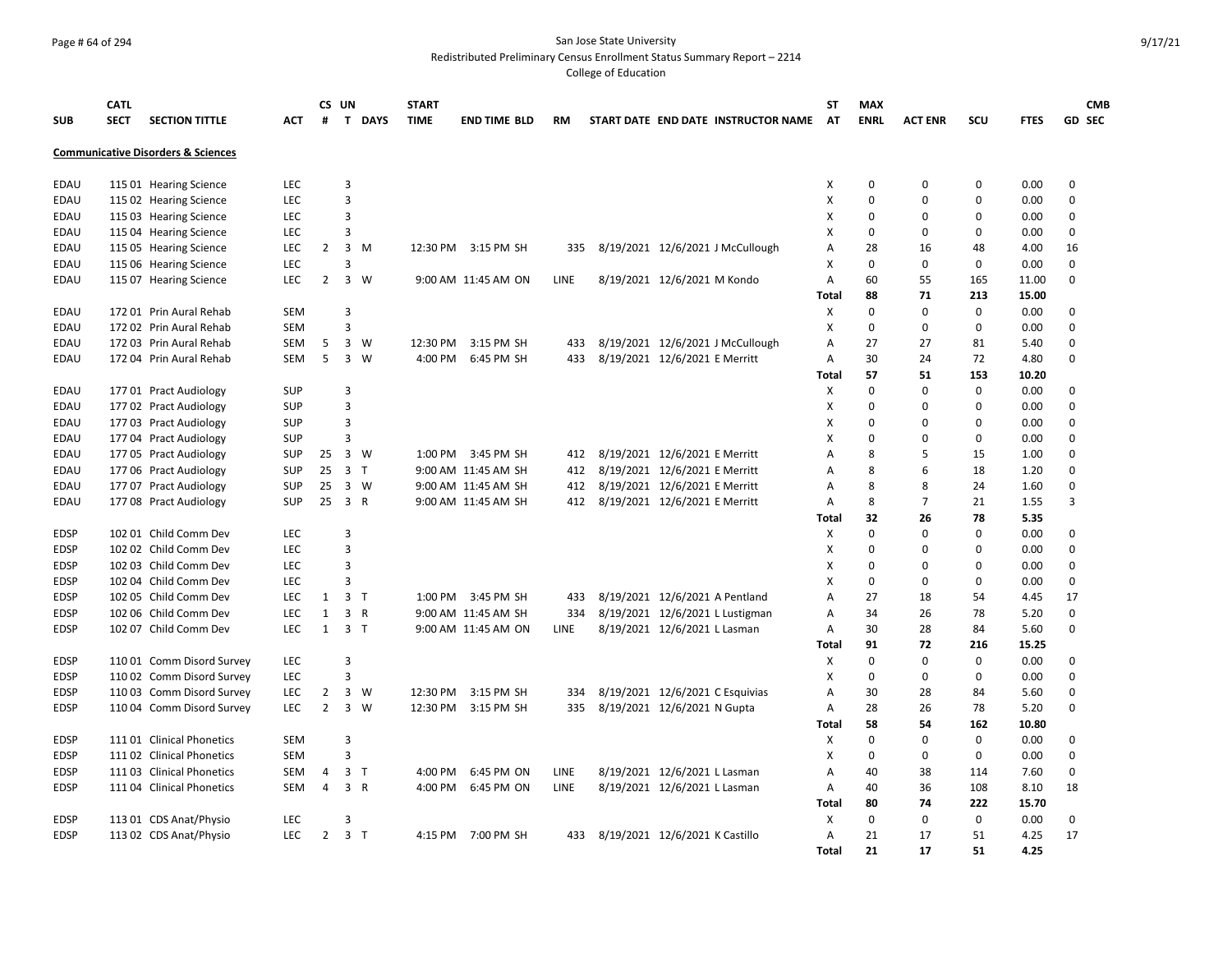## Page # 64 of 294 San Jose State University

Redistributed Preliminary Census Enrollment Status Summary Report – 2214

|                            | <b>CATL</b> |                                                  |            |                | CS UN          |                | <b>START</b> |                     |           |                                |                               |                                     | <b>ST</b>    | <b>MAX</b>  |                |             |             | <b>CMB</b>     |
|----------------------------|-------------|--------------------------------------------------|------------|----------------|----------------|----------------|--------------|---------------------|-----------|--------------------------------|-------------------------------|-------------------------------------|--------------|-------------|----------------|-------------|-------------|----------------|
| <b>SUB</b>                 | <b>SECT</b> | <b>SECTION TITTLE</b>                            | АСТ        | #              | T.             | <b>DAYS</b>    | <b>TIME</b>  | <b>END TIME BLD</b> | <b>RM</b> |                                |                               | START DATE END DATE INSTRUCTOR NAME | AT           | <b>ENRL</b> | <b>ACT ENR</b> | scu         | <b>FTES</b> | <b>GD SEC</b>  |
|                            |             | <b>Communicative Disorders &amp; Sciences</b>    |            |                |                |                |              |                     |           |                                |                               |                                     |              |             |                |             |             |                |
| EDAU                       |             | 115 01 Hearing Science                           | <b>LEC</b> |                | 3              |                |              |                     |           |                                |                               |                                     | X            | $\mathbf 0$ | $\mathbf 0$    | $\Omega$    | 0.00        | $\mathbf 0$    |
| <b>EDAU</b>                |             | 115 02 Hearing Science                           | <b>LEC</b> |                | 3              |                |              |                     |           |                                |                               |                                     | X            | $\mathbf 0$ | $\Omega$       | $\Omega$    | 0.00        | 0              |
| EDAU                       |             | 115 03 Hearing Science                           | LEC        |                | 3              |                |              |                     |           |                                |                               |                                     | X            | 0           | $\Omega$       | 0           | 0.00        | 0              |
| EDAU                       |             | 115 04 Hearing Science                           | <b>LEC</b> |                | 3              |                |              |                     |           |                                |                               |                                     | X            | $\mathbf 0$ | $\Omega$       | $\Omega$    | 0.00        | $\mathbf 0$    |
| EDAU                       |             | 115 05 Hearing Science                           | LEC        | $\overline{2}$ | 3              | M              |              | 12:30 PM 3:15 PM SH | 335       |                                |                               | 8/19/2021 12/6/2021 J McCullough    | Α            | 28          | 16             | 48          | 4.00        | 16             |
| EDAU                       |             | 115 06 Hearing Science                           | <b>LEC</b> |                | 3              |                |              |                     |           |                                |                               |                                     | X            | $\mathbf 0$ | $\Omega$       | $\Omega$    | 0.00        | $\mathbf 0$    |
| EDAU                       |             | 115 07 Hearing Science                           | LEC        | $\overline{2}$ | $\overline{3}$ | W              |              | 9:00 AM 11:45 AM ON | LINE      |                                | 8/19/2021 12/6/2021 M Kondo   |                                     | А            | 60          | 55             | 165         | 11.00       | $\Omega$       |
|                            |             |                                                  |            |                |                |                |              |                     |           |                                |                               |                                     | <b>Total</b> | 88          | 71             | 213         | 15.00       |                |
| <b>EDAU</b>                |             | 172 01 Prin Aural Rehab                          | <b>SEM</b> |                | 3              |                |              |                     |           |                                |                               |                                     | X            | $\mathbf 0$ | $\Omega$       | $\mathbf 0$ | 0.00        | $\mathbf 0$    |
| <b>EDAU</b>                |             | 172 02 Prin Aural Rehab                          | SEM        |                | 3              |                |              |                     |           |                                |                               |                                     | X            | $\mathbf 0$ | $\Omega$       | 0           | 0.00        | $\mathbf 0$    |
| EDAU                       |             | 172 03 Prin Aural Rehab                          | <b>SEM</b> | 5              | 3              | W              | 12:30 PM     | 3:15 PM SH          | 433       |                                |                               | 8/19/2021 12/6/2021 J McCullough    | A            | 27          | 27             | 81          | 5.40        | $\mathbf 0$    |
| EDAU                       |             | 172 04 Prin Aural Rehab                          | <b>SEM</b> | 5              | $\mathbf{3}$   | W              | 4:00 PM      | 6:45 PM SH          | 433       |                                | 8/19/2021 12/6/2021 E Merritt |                                     | A            | 30          | 24             | 72          | 4.80        | $\Omega$       |
|                            |             |                                                  |            |                |                |                |              |                     |           |                                |                               |                                     | Total        | 57          | 51             | 153         | 10.20       |                |
| <b>EDAU</b>                |             | 177 01 Pract Audiology                           | <b>SUP</b> |                | 3              |                |              |                     |           |                                |                               |                                     | X            | $\mathbf 0$ | $\Omega$       | 0           | 0.00        | 0              |
| <b>EDAU</b>                |             | 177 02 Pract Audiology                           | <b>SUP</b> |                | 3              |                |              |                     |           |                                |                               |                                     | X            | $\mathbf 0$ | $\Omega$       | $\Omega$    | 0.00        | $\mathbf 0$    |
| EDAU                       |             | 177 03 Pract Audiology                           | SUP        |                | 3              |                |              |                     |           |                                |                               |                                     | X            | 0           | $\Omega$       | 0           | 0.00        | $\Omega$       |
| <b>EDAU</b>                |             | 177 04 Pract Audiology                           | <b>SUP</b> |                | 3              |                |              |                     |           |                                |                               |                                     | X            | $\Omega$    | $\Omega$       | $\Omega$    | 0.00        | $\Omega$       |
| EDAU                       |             | 177 05 Pract Audiology                           | <b>SUP</b> | 25             |                | 3 W            |              | 1:00 PM 3:45 PM SH  | 412       | 8/19/2021 12/6/2021 E Merritt  |                               |                                     | Α            | 8           | 5              | 15          | 1.00        | $\mathbf 0$    |
| EDAU                       |             | 177 06 Pract Audiology                           | <b>SUP</b> | 25             |                | 3 <sub>T</sub> |              | 9:00 AM 11:45 AM SH | 412       | 8/19/2021 12/6/2021 E Merritt  |                               |                                     | A            | 8           | 6              | 18          | 1.20        | $\mathbf 0$    |
| <b>EDAU</b>                |             | 177 07 Pract Audiology                           | <b>SUP</b> | 25             |                | $3 \quad W$    |              | 9:00 AM 11:45 AM SH | 412       | 8/19/2021 12/6/2021 E Merritt  |                               |                                     | A            | 8           | 8              | 24          | 1.60        | $\mathbf 0$    |
| EDAU                       |             | 177 08 Pract Audiology                           | <b>SUP</b> | 25             | 3 R            |                |              | 9:00 AM 11:45 AM SH | 412       | 8/19/2021 12/6/2021 E Merritt  |                               |                                     | A            | 8           | $\overline{7}$ | 21          | 1.55        | $\overline{3}$ |
|                            |             |                                                  |            |                |                |                |              |                     |           |                                |                               |                                     | Total        | 32          | 26             | 78          | 5.35        |                |
| <b>EDSP</b>                |             | 102 01 Child Comm Dev                            | <b>LEC</b> |                | 3              |                |              |                     |           |                                |                               |                                     | X            | $\mathbf 0$ | $\Omega$       | 0           | 0.00        | 0              |
| <b>EDSP</b>                |             | 102 02 Child Comm Dev                            | <b>LEC</b> |                | 3              |                |              |                     |           |                                |                               |                                     | X            | 0           | $\Omega$       | 0           | 0.00        | $\mathbf 0$    |
| <b>EDSP</b>                |             | 102 03 Child Comm Dev                            | <b>LEC</b> |                | 3              |                |              |                     |           |                                |                               |                                     | X            | $\mathbf 0$ | $\Omega$       | O           | 0.00        | $\Omega$       |
| EDSP                       |             | 102 04 Child Comm Dev                            | <b>LEC</b> |                | 3              |                |              |                     |           |                                |                               |                                     | X            | $\mathbf 0$ | $\Omega$       | 0           | 0.00        | $\mathbf 0$    |
| <b>EDSP</b>                |             | 102 05 Child Comm Dev                            | <b>LEC</b> | $\mathbf{1}$   |                | 3 <sub>1</sub> |              | 1:00 PM 3:45 PM SH  | 433       |                                |                               | 8/19/2021 12/6/2021 A Pentland      | A            | 27          | 18             | 54          | 4.45        | 17             |
| <b>EDSP</b>                |             | 102 06 Child Comm Dev                            | <b>LEC</b> | $\mathbf{1}$   | 3              | R              |              | 9:00 AM 11:45 AM SH | 334       |                                |                               | 8/19/2021 12/6/2021 L Lustigman     | A            | 34          | 26             | 78          | 5.20        | $\Omega$       |
| <b>EDSP</b>                |             | 102 07 Child Comm Dev                            | <b>LEC</b> | $\mathbf{1}$   | 3 <sub>T</sub> |                |              | 9:00 AM 11:45 AM ON | LINE      |                                | 8/19/2021 12/6/2021 L Lasman  |                                     | Α            | 30          | 28             | 84          | 5.60        | 0              |
|                            |             |                                                  |            |                |                |                |              |                     |           |                                |                               |                                     | <b>Total</b> | 91          | 72             | 216         | 15.25       |                |
| <b>EDSP</b>                |             | 110 01 Comm Disord Survey                        | <b>LEC</b> |                | 3              |                |              |                     |           |                                |                               |                                     | X            | $\mathbf 0$ | $\Omega$       | 0           | 0.00        | 0              |
| <b>EDSP</b>                |             | 110 02 Comm Disord Survey                        | <b>LEC</b> |                | 3              |                |              |                     |           |                                |                               |                                     | X            | 0           | $\Omega$       | 0           | 0.00        | $\mathbf 0$    |
| <b>EDSP</b>                |             | 110 03 Comm Disord Survey                        | <b>LEC</b> | 2              | $\mathbf{3}$   | W              | 12:30 PM     | 3:15 PM SH          | 334       |                                |                               | 8/19/2021 12/6/2021 C Esquivias     | A            | 30          | 28             | 84          | 5.60        | $\mathbf 0$    |
| <b>EDSP</b>                |             | 110 04 Comm Disord Survey                        | LEC        | $\overline{2}$ | $\overline{3}$ | W              |              | 12:30 PM 3:15 PM SH | 335       | 8/19/2021 12/6/2021 N Gupta    |                               |                                     | Α            | 28          | 26             | 78          | 5.20        | 0              |
|                            |             |                                                  |            |                |                |                |              |                     |           |                                |                               |                                     | <b>Total</b> | 58          | 54             | 162         | 10.80       |                |
| <b>EDSP</b>                |             | 111 01 Clinical Phonetics                        | SEM        |                | 3              |                |              |                     |           |                                |                               |                                     | X            | $\Omega$    | $\Omega$       | $\Omega$    | 0.00        | 0              |
| <b>EDSP</b>                |             | 111 02 Clinical Phonetics                        | <b>SEM</b> |                | 3              |                |              |                     |           |                                |                               |                                     | Х            | 0           | $\Omega$       | 0           | 0.00        | $\mathbf 0$    |
| <b>EDSP</b>                |             | 111 03 Clinical Phonetics                        | <b>SEM</b> | 4              |                | 3 <sub>1</sub> | 4:00 PM      | 6:45 PM ON          | LINE      | 8/19/2021 12/6/2021 L Lasman   |                               |                                     | Α            | 40          | 38             | 114         | 7.60        | 0              |
| <b>EDSP</b>                |             | 111 04 Clinical Phonetics                        | SEM        | 4              | $\overline{3}$ | $\overline{R}$ | 4:00 PM      | 6:45 PM ON          | LINE      |                                | 8/19/2021 12/6/2021 L Lasman  |                                     |              | 40          | 36             | 108         | 8.10        | 18             |
|                            |             |                                                  |            |                |                |                |              |                     |           |                                |                               |                                     | Α            | 80          | 74             | 222         | 15.70       |                |
|                            |             |                                                  | <b>LEC</b> |                | 3              |                |              |                     |           |                                |                               |                                     | Total<br>X   | $\Omega$    | $\Omega$       | 0           | 0.00        | 0              |
| <b>EDSP</b><br><b>EDSP</b> |             | 113 01 CDS Anat/Physio<br>113 02 CDS Anat/Physio | <b>LEC</b> | $\overline{2}$ | 3 <sub>T</sub> |                |              | 4:15 PM 7:00 PM SH  | 433       | 8/19/2021 12/6/2021 K Castillo |                               |                                     | Α            | 21          | 17             | 51          | 4.25        | 17             |
|                            |             |                                                  |            |                |                |                |              |                     |           |                                |                               |                                     | <b>Total</b> | 21          | 17             | 51          | 4.25        |                |
|                            |             |                                                  |            |                |                |                |              |                     |           |                                |                               |                                     |              |             |                |             |             |                |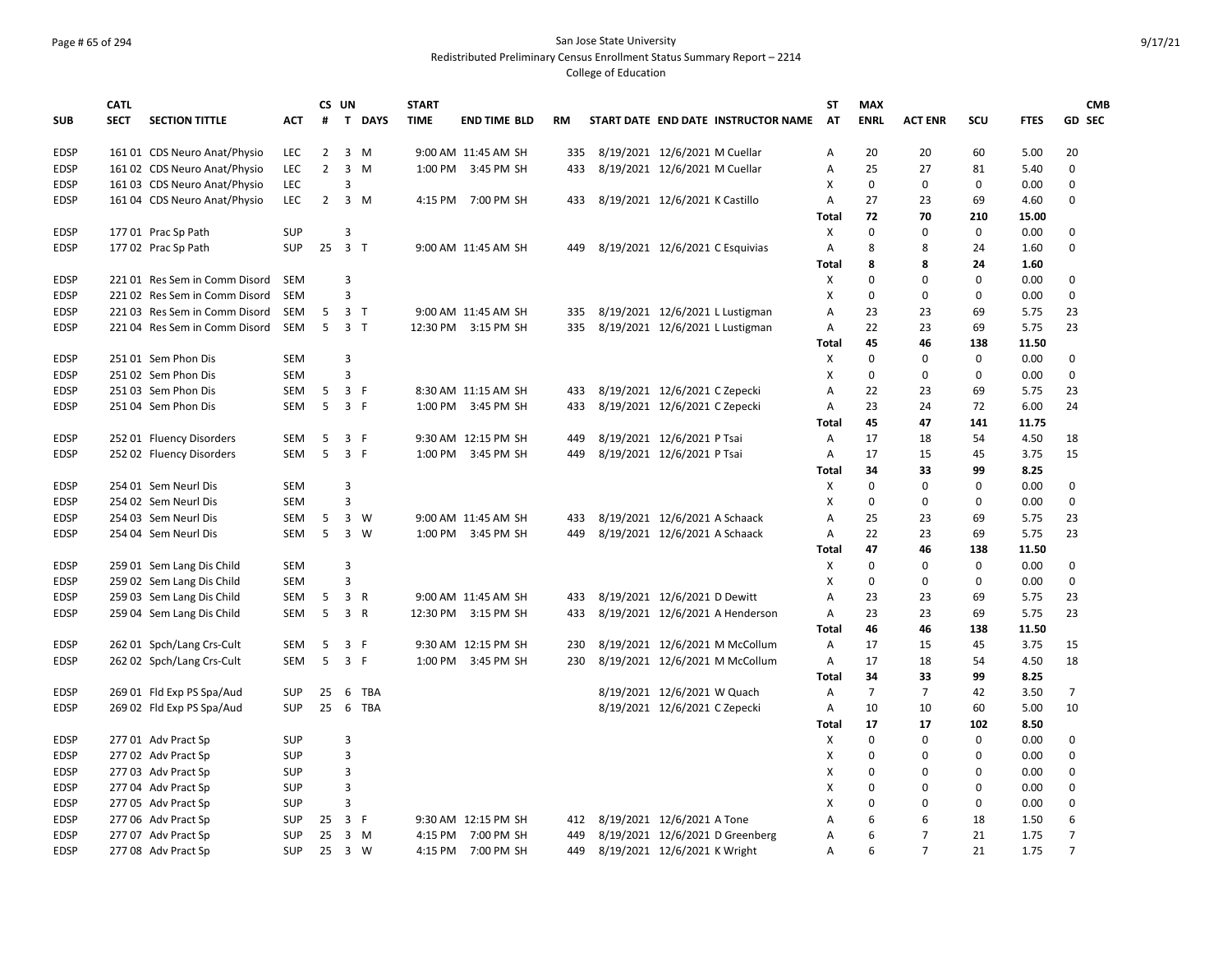### Page # 65 of 294 San Jose State University Redistributed Preliminary Census Enrollment Status Summary Report – 2214

|             | <b>CATL</b> |                               |            | CS UN          |                |        | <b>START</b> |                     |     |                                |                                     | ST           | <b>MAX</b>     |                |             |             |                | <b>CMB</b> |
|-------------|-------------|-------------------------------|------------|----------------|----------------|--------|--------------|---------------------|-----|--------------------------------|-------------------------------------|--------------|----------------|----------------|-------------|-------------|----------------|------------|
| <b>SUB</b>  | <b>SECT</b> | <b>SECTION TITTLE</b>         | <b>ACT</b> | #              |                | T DAYS | <b>TIME</b>  | <b>END TIME BLD</b> | RM  |                                | START DATE END DATE INSTRUCTOR NAME | AT           | <b>ENRL</b>    | <b>ACT ENR</b> | <b>SCU</b>  | <b>FTES</b> |                | GD SEC     |
| <b>EDSP</b> |             | 161 01 CDS Neuro Anat/Physio  | <b>LEC</b> | 2              | $3 \, M$       |        |              | 9:00 AM 11:45 AM SH | 335 | 8/19/2021 12/6/2021 M Cuellar  |                                     | A            | 20             | 20             | 60          | 5.00        | 20             |            |
| <b>EDSP</b> |             | 161 02 CDS Neuro Anat/Physio  | LEC        | $\overline{2}$ | $3 \, M$       |        |              | 1:00 PM 3:45 PM SH  | 433 | 8/19/2021 12/6/2021 M Cuellar  |                                     | A            | 25             | 27             | 81          | 5.40        | 0              |            |
| <b>EDSP</b> |             | 161 03 CDS Neuro Anat/Physio  | <b>LEC</b> |                | 3              |        |              |                     |     |                                |                                     | X            | $\mathbf 0$    | 0              | 0           | 0.00        | $\Omega$       |            |
| <b>EDSP</b> |             | 161 04 CDS Neuro Anat/Physio  | LEC        | $\overline{2}$ | $3 \, M$       |        |              | 4:15 PM 7:00 PM SH  | 433 | 8/19/2021 12/6/2021 K Castillo |                                     | A            | 27             | 23             | 69          | 4.60        | $\Omega$       |            |
|             |             |                               |            |                |                |        |              |                     |     |                                |                                     | <b>Total</b> | 72             | 70             | 210         | 15.00       |                |            |
| <b>EDSP</b> |             | 177 01 Prac Sp Path           | <b>SUP</b> |                | 3              |        |              |                     |     |                                |                                     | X            | 0              | 0              | $\mathbf 0$ | 0.00        | 0              |            |
| <b>EDSP</b> |             | 177 02 Prac Sp Path           | <b>SUP</b> | 25 3 T         |                |        |              | 9:00 AM 11:45 AM SH | 449 |                                | 8/19/2021 12/6/2021 C Esquivias     | A            | 8              | 8              | 24          | 1.60        | $\Omega$       |            |
|             |             |                               |            |                |                |        |              |                     |     |                                |                                     | Total        | 8              | 8              | 24          | 1.60        |                |            |
| <b>EDSP</b> |             | 221 01 Res Sem in Comm Disord | <b>SEM</b> |                | 3              |        |              |                     |     |                                |                                     | X            | 0              | 0              | 0           | 0.00        | $\Omega$       |            |
| <b>EDSP</b> |             | 221 02 Res Sem in Comm Disord | <b>SEM</b> |                | 3              |        |              |                     |     |                                |                                     | X            | $\Omega$       | $\Omega$       | $\Omega$    | 0.00        | $\pmb{0}$      |            |
| <b>EDSP</b> |             | 221 03 Res Sem in Comm Disord | <b>SEM</b> | 5              | 3 <sub>1</sub> |        |              | 9:00 AM 11:45 AM SH | 335 |                                | 8/19/2021 12/6/2021 L Lustigman     | Α            | 23             | 23             | 69          | 5.75        | 23             |            |
| <b>EDSP</b> |             | 221 04 Res Sem in Comm Disord | <b>SEM</b> | 5              | 3 <sub>T</sub> |        |              | 12:30 PM 3:15 PM SH | 335 |                                | 8/19/2021 12/6/2021 L Lustigman     | A            | 22             | 23             | 69          | 5.75        | 23             |            |
|             |             |                               |            |                |                |        |              |                     |     |                                |                                     | <b>Total</b> | 45             | 46             | 138         | 11.50       |                |            |
| <b>EDSP</b> |             | 251 01 Sem Phon Dis           | <b>SEM</b> |                | 3              |        |              |                     |     |                                |                                     | X            | $\mathbf 0$    | 0              | 0           | 0.00        | 0              |            |
| <b>EDSP</b> |             | 251 02 Sem Phon Dis           | <b>SEM</b> |                | 3              |        |              |                     |     |                                |                                     | X            | $\mathbf 0$    | $\Omega$       | $\Omega$    | 0.00        | 0              |            |
| <b>EDSP</b> |             | 251 03 Sem Phon Dis           | <b>SEM</b> | 5              | 3 F            |        |              | 8:30 AM 11:15 AM SH | 433 | 8/19/2021 12/6/2021 C Zepecki  |                                     | A            | 22             | 23             | 69          | 5.75        | 23             |            |
| <b>EDSP</b> |             | 251 04 Sem Phon Dis           | <b>SEM</b> | 5              | 3 F            |        |              | 1:00 PM 3:45 PM SH  | 433 | 8/19/2021 12/6/2021 C Zepecki  |                                     | Α            | 23             | 24             | 72          | 6.00        | 24             |            |
|             |             |                               |            |                |                |        |              |                     |     |                                |                                     | <b>Total</b> | 45             | 47             | 141         | 11.75       |                |            |
| <b>EDSP</b> |             | 252 01 Fluency Disorders      | SEM        | 5              | 3              | F      |              | 9:30 AM 12:15 PM SH | 449 | 8/19/2021 12/6/2021 P Tsai     |                                     | A            | 17             | 18             | 54          | 4.50        | 18             |            |
| <b>EDSP</b> |             | 252 02 Fluency Disorders      | <b>SEM</b> | 5              | 3 F            |        |              | 1:00 PM 3:45 PM SH  | 449 | 8/19/2021 12/6/2021 P Tsai     |                                     | A            | 17             | 15             | 45          | 3.75        | 15             |            |
|             |             |                               |            |                |                |        |              |                     |     |                                |                                     | <b>Total</b> | 34             | 33             | 99          | 8.25        |                |            |
| <b>EDSP</b> |             | 254 01 Sem Neurl Dis          | <b>SEM</b> |                | 3              |        |              |                     |     |                                |                                     | х            | $\mathbf 0$    | 0              | 0           | 0.00        | 0              |            |
| <b>EDSP</b> |             | 254 02 Sem Neurl Dis          | <b>SEM</b> |                | 3              |        |              |                     |     |                                |                                     | X            | $\mathbf 0$    | 0              | 0           | 0.00        | 0              |            |
| <b>EDSP</b> |             | 254 03 Sem Neurl Dis          | <b>SEM</b> | 5              | $3 \quad W$    |        |              | 9:00 AM 11:45 AM SH | 433 | 8/19/2021 12/6/2021 A Schaack  |                                     | Α            | 25             | 23             | 69          | 5.75        | 23             |            |
| <b>EDSP</b> |             | 254 04 Sem Neurl Dis          | <b>SEM</b> | 5              | 3 W            |        |              | 1:00 PM 3:45 PM SH  | 449 | 8/19/2021 12/6/2021 A Schaack  |                                     | Α            | 22             | 23             | 69          | 5.75        | 23             |            |
|             |             |                               |            |                |                |        |              |                     |     |                                |                                     | <b>Total</b> | 47             | 46             | 138         | 11.50       |                |            |
| <b>EDSP</b> |             | 259 01 Sem Lang Dis Child     | <b>SEM</b> |                | 3              |        |              |                     |     |                                |                                     | X            | $\mathbf 0$    | 0              | 0           | 0.00        | $\mathbf 0$    |            |
| <b>EDSP</b> |             | 259 02 Sem Lang Dis Child     | <b>SEM</b> |                | 3              |        |              |                     |     |                                |                                     | X            | 0              | 0              | 0           | 0.00        | 0              |            |
| <b>EDSP</b> |             | 259 03 Sem Lang Dis Child     | <b>SEM</b> | 5              | 3 R            |        |              | 9:00 AM 11:45 AM SH | 433 | 8/19/2021 12/6/2021 D Dewitt   |                                     | A            | 23             | 23             | 69          | 5.75        | 23             |            |
| <b>EDSP</b> |             | 259 04 Sem Lang Dis Child     | <b>SEM</b> | 5              | 3 R            |        |              | 12:30 PM 3:15 PM SH | 433 |                                | 8/19/2021 12/6/2021 A Henderson     | Α            | 23             | 23             | 69          | 5.75        | 23             |            |
|             |             |                               |            |                |                |        |              |                     |     |                                |                                     | <b>Total</b> | 46             | 46             | 138         | 11.50       |                |            |
| <b>EDSP</b> |             | 262 01 Spch/Lang Crs-Cult     | <b>SEM</b> | 5              | 3              | F      |              | 9:30 AM 12:15 PM SH | 230 |                                | 8/19/2021 12/6/2021 M McCollum      | Α            | 17             | 15             | 45          | 3.75        | 15             |            |
| <b>EDSP</b> |             | 262 02 Spch/Lang Crs-Cult     | SEM        | 5              | 3 F            |        |              | 1:00 PM 3:45 PM SH  | 230 |                                | 8/19/2021 12/6/2021 M McCollum      | Α            | 17             | 18             | 54          | 4.50        | 18             |            |
|             |             |                               |            |                |                |        |              |                     |     |                                |                                     | <b>Total</b> | 34             | 33             | 99          | 8.25        |                |            |
| <b>EDSP</b> |             | 269 01 Fld Exp PS Spa/Aud     | <b>SUP</b> | 25             | 6              | TBA    |              |                     |     | 8/19/2021 12/6/2021 W Quach    |                                     | A            | $\overline{7}$ | $\overline{7}$ | 42          | 3.50        | $\overline{7}$ |            |
| <b>EDSP</b> |             | 269 02 Fld Exp PS Spa/Aud     | <b>SUP</b> | 25             |                | 6 TBA  |              |                     |     | 8/19/2021 12/6/2021 C Zepecki  |                                     | Α            | 10             | 10             | 60          | 5.00        | 10             |            |
|             |             |                               |            |                |                |        |              |                     |     |                                |                                     | <b>Total</b> | 17             | 17             | 102         | 8.50        |                |            |
| <b>EDSP</b> |             | 277 01 Adv Pract Sp           | <b>SUP</b> |                | 3              |        |              |                     |     |                                |                                     | X            | $\mathbf 0$    | 0              | 0           | 0.00        | $\Omega$       |            |
| <b>EDSP</b> |             | 277 02 Adv Pract Sp           | <b>SUP</b> |                | 3              |        |              |                     |     |                                |                                     | X            | 0              | 0              | $\Omega$    | 0.00        | $\Omega$       |            |
| <b>EDSP</b> |             | 277 03 Adv Pract Sp           | <b>SUP</b> |                | 3              |        |              |                     |     |                                |                                     | X            | 0              | $\Omega$       | $\Omega$    | 0.00        | 0              |            |
| <b>EDSP</b> |             | 277 04 Adv Pract Sp           | <b>SUP</b> |                | 3              |        |              |                     |     |                                |                                     | X            | 0              | 0              | 0           | 0.00        | $\mathbf 0$    |            |
| <b>EDSP</b> |             | 277 05 Adv Pract Sp           | <b>SUP</b> |                | 3              |        |              |                     |     |                                |                                     | x            | 0              | 0              | 0           | 0.00        | 0              |            |
| <b>EDSP</b> |             | 277 06 Adv Pract Sp           | <b>SUP</b> | 25             | 3 F            |        |              | 9:30 AM 12:15 PM SH | 412 | 8/19/2021 12/6/2021 A Tone     |                                     | A            | 6              | 6              | 18          | 1.50        | 6              |            |
| <b>EDSP</b> |             | 277 07 Adv Pract Sp           | <b>SUP</b> | 25             | 3 M            |        |              | 4:15 PM 7:00 PM SH  | 449 |                                | 8/19/2021 12/6/2021 D Greenberg     | А            | 6              | $\overline{7}$ | 21          | 1.75        | $\overline{7}$ |            |
| <b>EDSP</b> |             | 277 08 Adv Pract Sp           | <b>SUP</b> | 25             | 3 W            |        |              | 4:15 PM 7:00 PM SH  | 449 | 8/19/2021 12/6/2021 K Wright   |                                     | A            | 6              | $\overline{7}$ | 21          | 1.75        | $\overline{7}$ |            |
|             |             |                               |            |                |                |        |              |                     |     |                                |                                     |              |                |                |             |             |                |            |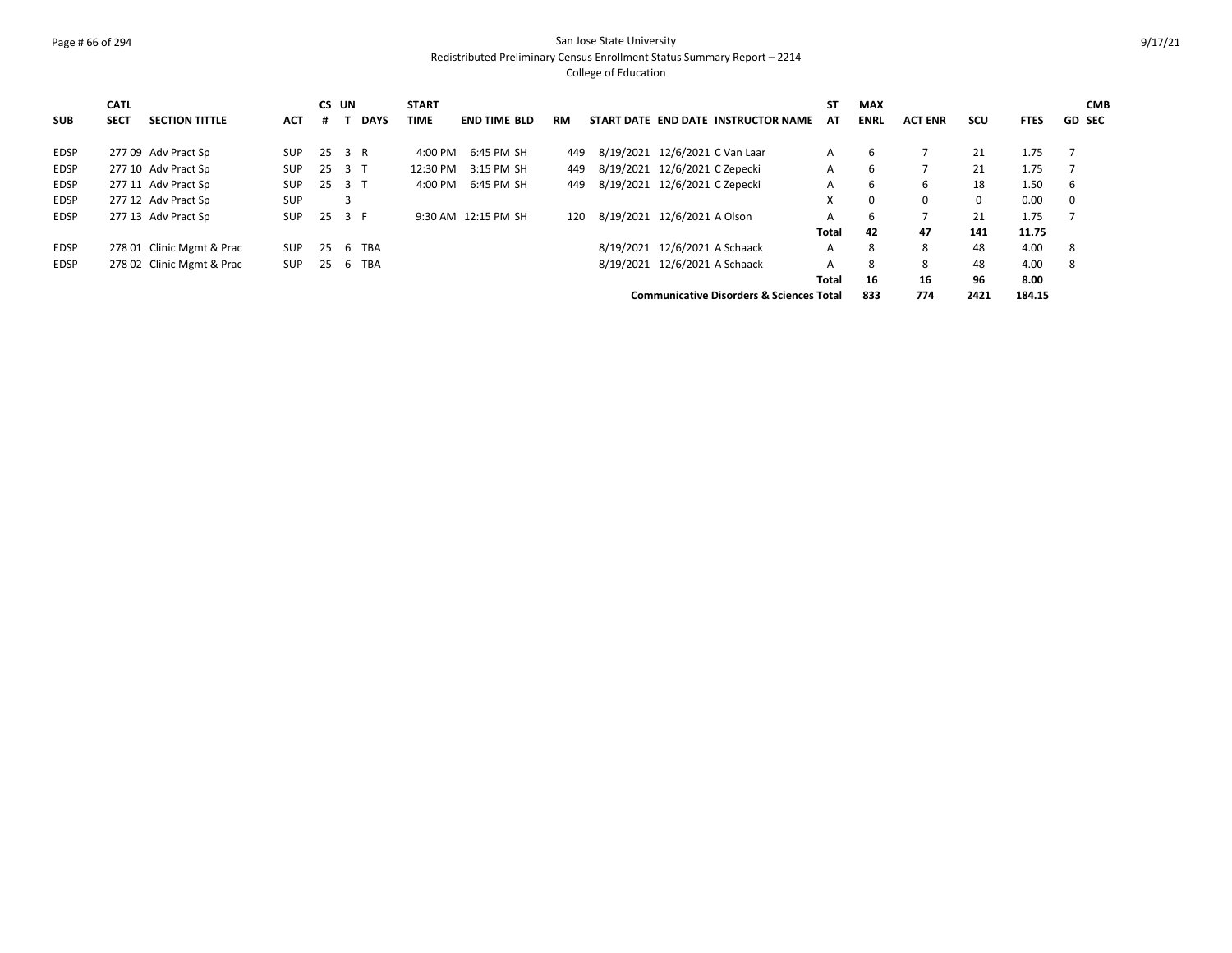### Page # 66 of 294 San Jose State University Redistributed Preliminary Census Enrollment Status Summary Report – 2214

|             | <b>CATL</b> |                           |            | CS UN  |     |             | <b>START</b> |                     |     |                                                     | ST    | <b>MAX</b>  |                |      |             | <b>CMB</b>    |
|-------------|-------------|---------------------------|------------|--------|-----|-------------|--------------|---------------------|-----|-----------------------------------------------------|-------|-------------|----------------|------|-------------|---------------|
| <b>SUB</b>  | <b>SECT</b> | <b>SECTION TITTLE</b>     | ACT        | .#     |     | <b>DAYS</b> | <b>TIME</b>  | <b>END TIME BLD</b> | RM  | START DATE END DATE INSTRUCTOR NAME                 | AT    | <b>ENRL</b> | <b>ACT ENR</b> | scu  | <b>FTES</b> | <b>GD SEC</b> |
| <b>EDSP</b> |             | 277 09 Adv Pract Sp       | <b>SUP</b> | 25 3 R |     |             | 4:00 PM      | 6:45 PM SH          | 449 | 8/19/2021 12/6/2021 C Van Laar                      | A     | 6           |                | 21   | 1.75        |               |
| <b>EDSP</b> |             | 277 10 Adv Pract Sp       | <b>SUP</b> | 25     | 3 T |             | 12:30 PM     | 3:15 PM SH          | 449 | 8/19/2021 12/6/2021 C Zepecki                       | A     | 6           |                | 21   | 1.75        |               |
| <b>EDSP</b> |             | 277 11 Adv Pract Sp       | <b>SUP</b> | 25 3 T |     |             | 4:00 PM      | 6:45 PM SH          | 449 | 8/19/2021 12/6/2021 C Zepecki                       | A     | 6           | 6              | 18   | 1.50        | 6             |
| <b>EDSP</b> |             | 277 12 Adv Pract Sp       | <b>SUP</b> |        | 3   |             |              |                     |     |                                                     | X     | $\Omega$    | $\Omega$       | 0    | 0.00        | 0             |
| <b>EDSP</b> |             | 277 13 Adv Pract Sp       | <b>SUP</b> | 25     | 3 F |             |              | 9:30 AM 12:15 PM SH | 120 | 8/19/2021 12/6/2021 A Olson                         | A     | 6           |                | 21   | 1.75        |               |
|             |             |                           |            |        |     |             |              |                     |     |                                                     | Total | 42          | 47             | 141  | 11.75       |               |
| <b>EDSP</b> |             | 278 01 Clinic Mgmt & Prac | SUP        | 25     | b   | <b>TBA</b>  |              |                     |     | 8/19/2021 12/6/2021 A Schaack                       | A     | 8           | 8              | 48   | 4.00        | 8             |
| <b>EDSP</b> |             | 278 02 Clinic Mgmt & Prac | <b>SUP</b> | 25     | b   | <b>TBA</b>  |              |                     |     | 8/19/2021 12/6/2021 A Schaack                       | A     | 8           | 8              | 48   | 4.00        | 8             |
|             |             |                           |            |        |     |             |              |                     |     |                                                     | Total | 16          | 16             | 96   | 8.00        |               |
|             |             |                           |            |        |     |             |              |                     |     | <b>Communicative Disorders &amp; Sciences Total</b> |       | 833         | 774            | 2421 | 184.15      |               |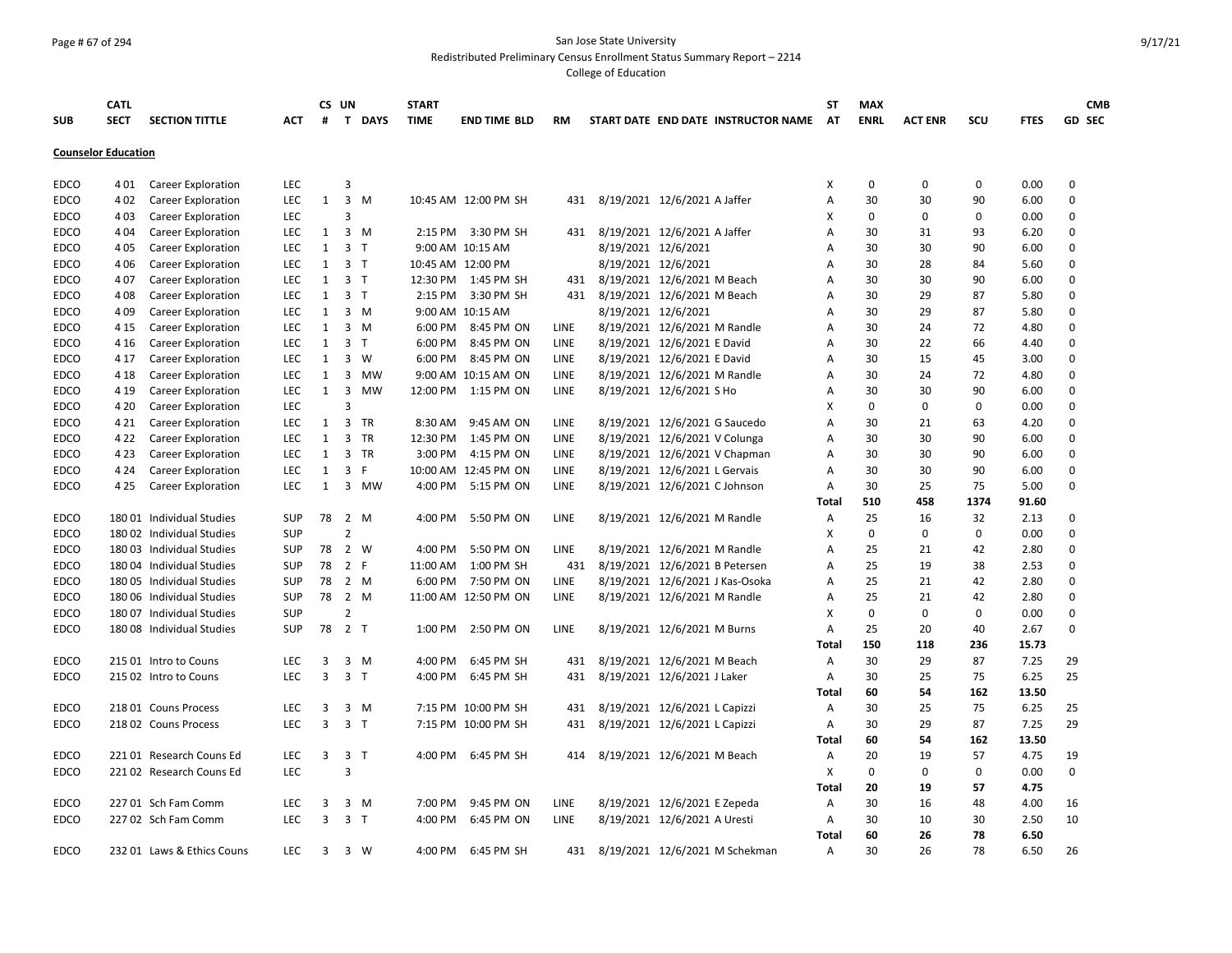## Page # 67 of 294 San Jose State University

Redistributed Preliminary Census Enrollment Status Summary Report – 2214

|                            | <b>CATL</b> |                            |            |    | CS UN          |             | <b>START</b> |                      |      |                                     | ST             | <b>MAX</b>  |                |      |       | <b>CMB</b>    |
|----------------------------|-------------|----------------------------|------------|----|----------------|-------------|--------------|----------------------|------|-------------------------------------|----------------|-------------|----------------|------|-------|---------------|
| <b>SUB</b>                 | <b>SECT</b> | <b>SECTION TITTLE</b>      | АСТ        | #  | $\mathbf{T}$   | <b>DAYS</b> | <b>TIME</b>  | <b>END TIME BLD</b>  | RM   | START DATE END DATE INSTRUCTOR NAME | AT             | <b>ENRL</b> | <b>ACT ENR</b> | scu  | FTES  | <b>GD SEC</b> |
| <b>Counselor Education</b> |             |                            |            |    |                |             |              |                      |      |                                     |                |             |                |      |       |               |
|                            |             |                            |            |    |                |             |              |                      |      |                                     |                |             |                |      |       |               |
| <b>EDCO</b>                | 401         | <b>Career Exploration</b>  | <b>LEC</b> |    | 3              |             |              |                      |      |                                     | Χ              | $\pmb{0}$   | 0              | 0    | 0.00  | $\mathbf 0$   |
| <b>EDCO</b>                | 4 0 2       | <b>Career Exploration</b>  | <b>LEC</b> | 1  |                | 3 M         |              | 10:45 AM 12:00 PM SH | 431  | 8/19/2021 12/6/2021 A Jaffer        | Α              | 30          | 30             | 90   | 6.00  | $\mathbf 0$   |
| <b>EDCO</b>                | 403         | Career Exploration         | <b>LEC</b> |    | 3              |             |              |                      |      |                                     | Х              | $\mathbf 0$ | $\Omega$       | 0    | 0.00  | 0             |
| <b>EDCO</b>                | 404         | <b>Career Exploration</b>  | <b>LEC</b> | 1  |                | 3 M         | 2:15 PM      | 3:30 PM SH           | 431  | 8/19/2021 12/6/2021 A Jaffer        | Α              | 30          | 31             | 93   | 6.20  | 0             |
| <b>EDCO</b>                | 405         | <b>Career Exploration</b>  | <b>LEC</b> | 1  | 3 <sub>T</sub> |             |              | 9:00 AM 10:15 AM     |      | 8/19/2021 12/6/2021                 | Α              | 30          | 30             | 90   | 6.00  | 0             |
| <b>EDCO</b>                | 406         | Career Exploration         | LEC        | 1  | 3 <sub>T</sub> |             |              | 10:45 AM 12:00 PM    |      | 8/19/2021 12/6/2021                 | Α              | 30          | 28             | 84   | 5.60  | $\mathbf 0$   |
| <b>EDCO</b>                | 407         | <b>Career Exploration</b>  | <b>LEC</b> | 1  | 3 <sub>T</sub> |             |              | 12:30 PM 1:45 PM SH  | 431  | 8/19/2021 12/6/2021 M Beach         | A              | 30          | 30             | 90   | 6.00  | $\Omega$      |
| <b>EDCO</b>                | 408         | Career Exploration         | LEC        | 1  | 3              | $\top$      | 2:15 PM      | 3:30 PM SH           | 431  | 8/19/2021 12/6/2021 M Beach         | Α              | 30          | 29             | 87   | 5.80  | $\mathbf 0$   |
| <b>EDCO</b>                | 409         | <b>Career Exploration</b>  | <b>LEC</b> | 1  |                | 3 M         |              | 9:00 AM 10:15 AM     |      | 8/19/2021 12/6/2021                 | Α              | 30          | 29             | 87   | 5.80  | $\mathbf 0$   |
| <b>EDCO</b>                | 4 1 5       | <b>Career Exploration</b>  | LEC        | 1  |                | 3 M         | 6:00 PM      | 8:45 PM ON           | LINE | 8/19/2021 12/6/2021 M Randle        | Α              | 30          | 24             | 72   | 4.80  | $\Omega$      |
| <b>EDCO</b>                | 4 1 6       | <b>Career Exploration</b>  | <b>LEC</b> | 1  | 3 <sub>T</sub> |             | 6:00 PM      | 8:45 PM ON           | LINE | 8/19/2021 12/6/2021 E David         | Α              | 30          | 22             | 66   | 4.40  | $\mathbf 0$   |
| <b>EDCO</b>                | 4 1 7       | Career Exploration         | <b>LEC</b> | 1  | 3              | W           | 6:00 PM      | 8:45 PM ON           | LINE | 8/19/2021 12/6/2021 E David         | $\overline{A}$ | 30          | 15             | 45   | 3.00  | $\Omega$      |
| <b>EDCO</b>                | 4 18        | <b>Career Exploration</b>  | <b>LEC</b> | 1  |                | 3 MW        |              | 9:00 AM 10:15 AM ON  | LINE | 8/19/2021 12/6/2021 M Randle        | Α              | 30          | 24             | 72   | 4.80  | $\mathbf 0$   |
| <b>EDCO</b>                | 4 1 9       | Career Exploration         | <b>LEC</b> | 1  | $\overline{3}$ | MW          |              | 12:00 PM 1:15 PM ON  | LINE | 8/19/2021 12/6/2021 S Ho            | Α              | 30          | 30             | 90   | 6.00  | 0             |
| <b>EDCO</b>                | 4 2 0       | <b>Career Exploration</b>  | LEC        |    | 3              |             |              |                      |      |                                     | Χ              | $\mathbf 0$ | $\mathbf 0$    | 0    | 0.00  | $\mathbf 0$   |
| <b>EDCO</b>                | 4 2 1       | <b>Career Exploration</b>  | LEC        | 1  | 3              | TR          | 8:30 AM      | 9:45 AM ON           | LINE | 8/19/2021 12/6/2021 G Saucedo       | Α              | 30          | 21             | 63   | 4.20  | 0             |
| <b>EDCO</b>                | 4 2 2       | Career Exploration         | LEC        | 1  | 3              | TR          | 12:30 PM     | 1:45 PM ON           | LINE | 8/19/2021 12/6/2021 V Colunga       | Α              | 30          | 30             | 90   | 6.00  | $\Omega$      |
| <b>EDCO</b>                | 4 2 3       | <b>Career Exploration</b>  | LEC        | 1  |                | 3 TR        | 3:00 PM      | 4:15 PM ON           | LINE | 8/19/2021 12/6/2021 V Chapman       | Α              | 30          | 30             | 90   | 6.00  | 0             |
| <b>EDCO</b>                | 4 2 4       | Career Exploration         | LEC        | 1  | 3              | F           |              | 10:00 AM 12:45 PM ON | LINE | 8/19/2021 12/6/2021 L Gervais       | Α              | 30          | 30             | 90   | 6.00  | $\Omega$      |
| <b>EDCO</b>                | 4 2 5       | <b>Career Exploration</b>  | <b>LEC</b> | 1  |                | 3 MW        | 4:00 PM      | 5:15 PM ON           | LINE | 8/19/2021 12/6/2021 C Johnson       | Α              | 30          | 25             | 75   | 5.00  | $\mathbf 0$   |
|                            |             |                            |            |    |                |             |              |                      |      |                                     | Total          | 510         | 458            | 1374 | 91.60 |               |
| <b>EDCO</b>                |             | 180 01 Individual Studies  | <b>SUP</b> | 78 |                | 2 M         | 4:00 PM      | 5:50 PM ON           | LINE | 8/19/2021 12/6/2021 M Randle        | Α              | 25          | 16             | 32   | 2.13  | $\mathbf 0$   |
| <b>EDCO</b>                |             | 180 02 Individual Studies  | <b>SUP</b> |    | $\overline{2}$ |             |              |                      |      |                                     | X              | $\mathbf 0$ | 0              | 0    | 0.00  | $\Omega$      |
| EDCO                       |             | 180 03 Individual Studies  | <b>SUP</b> | 78 | $\overline{2}$ | W           | 4:00 PM      | 5:50 PM ON           | LINE | 8/19/2021 12/6/2021 M Randle        | Α              | 25          | 21             | 42   | 2.80  | 0             |
| <b>EDCO</b>                |             | 180 04 Individual Studies  | <b>SUP</b> | 78 | 2 F            |             | 11:00 AM     | 1:00 PM SH           | 431  | 8/19/2021 12/6/2021 B Petersen      | Α              | 25          | 19             | 38   | 2.53  | 0             |
| <b>EDCO</b>                |             | 180 05 Individual Studies  | <b>SUP</b> | 78 |                | 2 M         | 6:00 PM      | 7:50 PM ON           | LINE | 8/19/2021 12/6/2021 J Kas-Osoka     | Α              | 25          | 21             | 42   | 2.80  | $\Omega$      |
| <b>EDCO</b>                |             | 180 06 Individual Studies  | <b>SUP</b> | 78 |                | 2 M         |              | 11:00 AM 12:50 PM ON | LINE | 8/19/2021 12/6/2021 M Randle        | Α              | 25          | 21             | 42   | 2.80  | $\mathbf 0$   |
| <b>EDCO</b>                |             | 180 07 Individual Studies  | <b>SUP</b> |    | $\overline{2}$ |             |              |                      |      |                                     | X              | $\Omega$    | $\mathbf 0$    | 0    | 0.00  | $\Omega$      |
| <b>EDCO</b>                |             | 180 08 Individual Studies  | <b>SUP</b> | 78 | 2 <sub>T</sub> |             | 1:00 PM      | 2:50 PM ON           | LINE | 8/19/2021 12/6/2021 M Burns         | Α              | 25          | 20             | 40   | 2.67  | $\Omega$      |
|                            |             |                            |            |    |                |             |              |                      |      |                                     | Total          | 150         | 118            | 236  | 15.73 |               |
| <b>EDCO</b>                |             | 215 01 Intro to Couns      | <b>LEC</b> | 3  |                | 3 M         | 4:00 PM      | 6:45 PM SH           | 431  | 8/19/2021 12/6/2021 M Beach         | A              | 30          | 29             | 87   | 7.25  | 29            |
| <b>EDCO</b>                |             | 215 02 Intro to Couns      | <b>LEC</b> | 3  | 3 <sub>1</sub> |             | 4:00 PM      | 6:45 PM SH           | 431  | 8/19/2021 12/6/2021 J Laker         | Α              | 30          | 25             | 75   | 6.25  | 25            |
|                            |             |                            |            |    |                |             |              |                      |      |                                     | Total          | 60          | 54             | 162  | 13.50 |               |
| <b>EDCO</b>                |             | 218 01 Couns Process       | <b>LEC</b> | 3  | 3              | M           |              | 7:15 PM 10:00 PM SH  | 431  | 8/19/2021 12/6/2021 L Capizzi       | Α              | 30          | 25             | 75   | 6.25  | 25            |
| EDCO                       |             | 218 02 Couns Process       | LEC.       | 3  | 3 <sub>1</sub> |             |              | 7:15 PM 10:00 PM SH  | 431  | 8/19/2021 12/6/2021 L Capizzi       | Α              | 30          | 29             | 87   | 7.25  | 29            |
|                            |             |                            |            |    |                |             |              |                      |      |                                     | Total          | 60          | 54             | 162  | 13.50 |               |
| <b>EDCO</b>                |             | 221 01 Research Couns Ed   | LEC        | 3  | $\overline{3}$ | $\top$      | 4:00 PM      | 6:45 PM SH           | 414  | 8/19/2021 12/6/2021 M Beach         | Α              | 20          | 19             | 57   | 4.75  | 19            |
| <b>EDCO</b>                |             | 221 02 Research Couns Ed   | <b>LEC</b> |    | 3              |             |              |                      |      |                                     | X              | $\pmb{0}$   | 0              | 0    | 0.00  | $\mathbf 0$   |
|                            |             |                            |            |    |                |             |              |                      |      |                                     | Total          | 20          | 19             | 57   | 4.75  |               |
| <b>EDCO</b>                |             | 227 01 Sch Fam Comm        | <b>LEC</b> | 3  |                | 3 M         | 7:00 PM      | 9:45 PM ON           | LINE | 8/19/2021 12/6/2021 E Zepeda        | Α              | 30          | 16             | 48   | 4.00  | 16            |
| <b>EDCO</b>                |             | 227 02 Sch Fam Comm        | <b>LEC</b> | 3  | 3 <sub>T</sub> |             | 4:00 PM      | 6:45 PM ON           | LINE | 8/19/2021 12/6/2021 A Uresti        | Α              | 30          | 10             | 30   | 2.50  | 10            |
|                            |             |                            |            |    |                |             |              |                      |      |                                     | Total          | 60          | 26             | 78   | 6.50  |               |
| <b>EDCO</b>                |             | 232 01 Laws & Ethics Couns | <b>LEC</b> | 3  |                | 3 W         | 4:00 PM      | 6:45 PM SH           | 431  | 8/19/2021 12/6/2021 M Schekman      | $\overline{A}$ | 30          | 26             | 78   | 6.50  | 26            |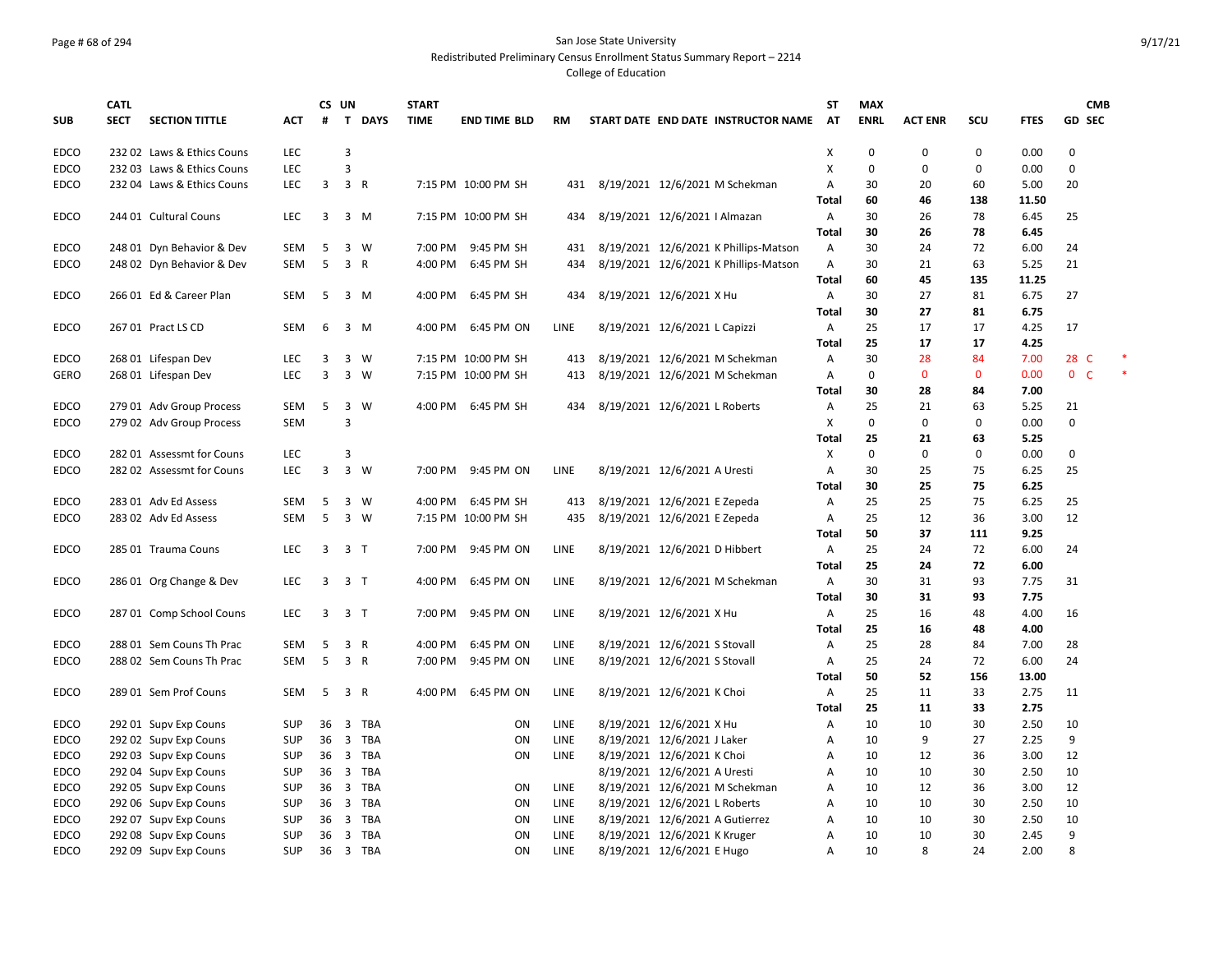# Page # 68 of 294 San Jose State University

Redistributed Preliminary Census Enrollment Status Summary Report – 2214

|             | <b>CATL</b> |                            |            |    | CS UN          |             | <b>START</b> |                     |             |                                       | <b>ST</b>    | <b>MAX</b>  |                |              |             | <b>CMB</b>     |  |
|-------------|-------------|----------------------------|------------|----|----------------|-------------|--------------|---------------------|-------------|---------------------------------------|--------------|-------------|----------------|--------------|-------------|----------------|--|
| <b>SUB</b>  | <b>SECT</b> | <b>SECTION TITTLE</b>      | <b>ACT</b> | #  | T.             | <b>DAYS</b> | <b>TIME</b>  | <b>END TIME BLD</b> | <b>RM</b>   | START DATE END DATE INSTRUCTOR NAME   | AT           | <b>ENRL</b> | <b>ACT ENR</b> | SCU          | <b>FTES</b> | <b>GD SEC</b>  |  |
| <b>EDCO</b> |             | 232 02 Laws & Ethics Couns | <b>LEC</b> |    | $\overline{3}$ |             |              |                     |             |                                       | X            | $\mathbf 0$ | $\mathbf 0$    | 0            | 0.00        | 0              |  |
| <b>EDCO</b> |             | 232 03 Laws & Ethics Couns | LEC        |    | $\overline{3}$ |             |              |                     |             |                                       | Χ            | 0           | $\pmb{0}$      | 0            | 0.00        | $\pmb{0}$      |  |
| <b>EDCO</b> |             | 232 04 Laws & Ethics Couns | LEC        | 3  | 3 R            |             |              | 7:15 PM 10:00 PM SH | 431         | 8/19/2021 12/6/2021 M Schekman        | Α            | 30          | 20             | 60           | 5.00        | 20             |  |
|             |             |                            |            |    |                |             |              |                     |             |                                       | Total        | 60          | 46             | 138          | 11.50       |                |  |
| EDCO        |             | 244 01 Cultural Couns      | LEC        | 3  | $3 \, M$       |             |              | 7:15 PM 10:00 PM SH | 434         | 8/19/2021 12/6/2021   Almazan         | Α            | 30          | 26             | 78           | 6.45        | 25             |  |
|             |             |                            |            |    |                |             |              |                     |             |                                       | Total        | 30          | 26             | 78           | 6.45        |                |  |
| <b>EDCO</b> |             | 248 01 Dyn Behavior & Dev  | <b>SEM</b> | 5  | 3 W            |             | 7:00 PM      | 9:45 PM SH          | 431         | 8/19/2021 12/6/2021 K Phillips-Matson | Α            | 30          | 24             | 72           | 6.00        | 24             |  |
| EDCO        |             | 248 02 Dyn Behavior & Dev  | <b>SEM</b> | 5  | 3 R            |             | 4:00 PM      | 6:45 PM SH          | 434         | 8/19/2021 12/6/2021 K Phillips-Matson | A            | 30          | 21             | 63           | 5.25        | 21             |  |
|             |             |                            |            |    |                |             |              |                     |             |                                       | Total        | 60          | 45             | 135          | 11.25       |                |  |
| EDCO        |             | 266 01 Ed & Career Plan    | SEM        | 5  | $3 \, M$       |             | 4:00 PM      | 6:45 PM SH          | 434         | 8/19/2021 12/6/2021 X Hu              | Α            | 30          | 27             | 81           | 6.75        | 27             |  |
|             |             |                            |            |    |                |             |              |                     |             |                                       | Total        | 30          | 27             | 81           | 6.75        |                |  |
| <b>EDCO</b> |             | 267 01 Pract LS CD         | <b>SEM</b> | 6  | 3 M            |             | 4:00 PM      | 6:45 PM ON          | <b>LINE</b> | 8/19/2021 12/6/2021 L Capizzi         | A            | 25          | 17             | 17           | 4.25        | 17             |  |
|             |             |                            |            |    |                |             |              |                     |             |                                       | <b>Total</b> | 25          | 17             | 17           | 4.25        |                |  |
| <b>EDCO</b> |             | 268 01 Lifespan Dev        | <b>LEC</b> | 3  | $3 \quad W$    |             |              | 7:15 PM 10:00 PM SH | 413         | 8/19/2021 12/6/2021 M Schekman        | Α            | 30          | 28             | 84           | 7.00        | 28 C           |  |
| <b>GERO</b> |             | 268 01 Lifespan Dev        | <b>LEC</b> | 3  | $3 \quad W$    |             |              | 7:15 PM 10:00 PM SH | 413         | 8/19/2021 12/6/2021 M Schekman        | Α            | $\Omega$    | $\mathbf{0}$   | $\mathbf{0}$ | 0.00        | 0 <sup>o</sup> |  |
|             |             |                            |            |    |                |             |              |                     |             |                                       | Total        | 30          | 28             | 84           | 7.00        |                |  |
| <b>EDCO</b> |             | 279 01 Adv Group Process   | SEM        | 5  | 3 W            |             |              | 4:00 PM 6:45 PM SH  | 434         | 8/19/2021 12/6/2021 L Roberts         | Α            | 25          | 21             | 63           | 5.25        | 21             |  |
| EDCO        |             | 279 02 Adv Group Process   | SEM        |    | 3              |             |              |                     |             |                                       | x            | $\mathbf 0$ | 0              | 0            | 0.00        | 0              |  |
|             |             |                            |            |    |                |             |              |                     |             |                                       | Total        | 25          | 21             | 63           | 5.25        |                |  |
| <b>EDCO</b> |             | 282 01 Assessmt for Couns  | LEC        |    | 3              |             |              |                     |             |                                       | X            | $\mathbf 0$ | $\mathbf 0$    | 0            | 0.00        | 0              |  |
| EDCO        |             | 282 02 Assessmt for Couns  | LEC        | 3  | $3 \quad W$    |             | 7:00 PM      | 9:45 PM ON          | LINE        | 8/19/2021 12/6/2021 A Uresti          | Α            | 30          | 25             | 75           | 6.25        | 25             |  |
|             |             |                            |            |    |                |             |              |                     |             |                                       | Total        | 30          | 25             | 75           | 6.25        |                |  |
| <b>EDCO</b> |             | 283 01 Adv Ed Assess       | SEM        | 5  | 3 W            |             | 4:00 PM      | 6:45 PM SH          | 413         | 8/19/2021 12/6/2021 E Zepeda          | Α            | 25          | 25             | 75           | 6.25        | 25             |  |
| <b>EDCO</b> |             | 283 02 Adv Ed Assess       | <b>SEM</b> | 5  | $3 \quad W$    |             |              | 7:15 PM 10:00 PM SH | 435         | 8/19/2021 12/6/2021 E Zepeda          | Α            | 25          | 12             | 36           | 3.00        | 12             |  |
|             |             |                            |            |    |                |             |              |                     |             |                                       | Total        | 50          | 37             | 111          | 9.25        |                |  |
| <b>EDCO</b> |             | 285 01 Trauma Couns        | LEC        | 3  | 3 <sub>T</sub> |             | 7:00 PM      | 9:45 PM ON          | LINE        | 8/19/2021 12/6/2021 D Hibbert         | Α            | 25          | 24             | 72           | 6.00        | 24             |  |
|             |             |                            |            |    |                |             |              |                     |             |                                       | Total        | 25          | 24             | 72           | 6.00        |                |  |
| <b>EDCO</b> |             | 286 01 Org Change & Dev    | <b>LEC</b> | 3  | 3 <sub>T</sub> |             | 4:00 PM      | 6:45 PM ON          | <b>LINE</b> | 8/19/2021 12/6/2021 M Schekman        | Α            | 30          | 31             | 93           | 7.75        | 31             |  |
|             |             |                            |            |    |                |             |              |                     |             |                                       | <b>Total</b> | 30          | 31             | 93           | 7.75        |                |  |
| <b>EDCO</b> |             | 287 01 Comp School Couns   | LEC        | 3  | 3 <sub>1</sub> |             | 7:00 PM      | 9:45 PM ON          | <b>LINE</b> | 8/19/2021 12/6/2021 X Hu              | Α            | 25          | 16             | 48           | 4.00        | 16             |  |
|             |             |                            |            |    |                |             |              |                     |             |                                       | Total        | 25          | 16             | 48           | 4.00        |                |  |
| EDCO        |             | 288 01 Sem Couns Th Prac   | <b>SEM</b> | 5  | 3 R            |             | 4:00 PM      | 6:45 PM ON          | <b>LINE</b> | 8/19/2021 12/6/2021 S Stovall         | Α            | 25          | 28             | 84           | 7.00        | 28             |  |
| <b>EDCO</b> |             | 288 02 Sem Couns Th Prac   | <b>SEM</b> | 5  | 3 R            |             | 7:00 PM      | 9:45 PM ON          | <b>LINE</b> | 8/19/2021 12/6/2021 S Stovall         | Α            | 25          | 24             | 72           | 6.00        | 24             |  |
|             |             |                            |            |    |                |             |              |                     |             |                                       | <b>Total</b> | 50          | 52             | 156          | 13.00       |                |  |
| <b>EDCO</b> |             | 289 01 Sem Prof Couns      | SEM        | 5  | 3 R            |             | 4:00 PM      | 6:45 PM ON          | LINE        | 8/19/2021 12/6/2021 K Choi            | Α            | 25          | 11             | 33           | 2.75        | 11             |  |
|             |             |                            |            |    |                |             |              |                     |             |                                       | <b>Total</b> | 25          | 11             | 33           | 2.75        |                |  |
| EDCO        |             | 292 01 Supv Exp Couns      | <b>SUP</b> | 36 |                | 3 TBA       |              | ON                  | <b>LINE</b> | 8/19/2021 12/6/2021 X Hu              | Α            | 10          | 10             | 30           | 2.50        | 10             |  |
| <b>EDCO</b> |             | 292 02 Supv Exp Couns      | <b>SUP</b> | 36 |                | 3 TBA       |              | ON                  | <b>LINE</b> | 8/19/2021 12/6/2021 J Laker           | Α            | 10          | 9              | 27           | 2.25        | 9              |  |
| EDCO        |             | 292 03 Supv Exp Couns      | <b>SUP</b> | 36 |                | 3 TBA       |              | ON                  | LINE        | 8/19/2021 12/6/2021 K Choi            | Α            | 10          | 12             | 36           | 3.00        | 12             |  |
| <b>EDCO</b> |             | 292 04 Supv Exp Couns      | <b>SUP</b> | 36 |                | 3 TBA       |              |                     |             | 8/19/2021 12/6/2021 A Uresti          | Α            | 10          | 10             | 30           | 2.50        | 10             |  |
| <b>EDCO</b> |             | 292 05 Supv Exp Couns      | <b>SUP</b> | 36 |                | 3 TBA       |              | ON                  | <b>LINE</b> | 8/19/2021 12/6/2021 M Schekman        | A            | 10          | 12             | 36           | 3.00        | 12             |  |
| <b>EDCO</b> |             | 292 06 Supv Exp Couns      | <b>SUP</b> | 36 |                | 3 TBA       |              | ON                  | LINE        | 8/19/2021 12/6/2021 L Roberts         | Α            | 10          | 10             | 30           | 2.50        | 10             |  |
| <b>EDCO</b> |             | 292 07 Supv Exp Couns      | <b>SUP</b> | 36 |                | 3 TBA       |              | ON                  | <b>LINE</b> | 8/19/2021 12/6/2021 A Gutierrez       | Α            | 10          | 10             | 30           | 2.50        | 10             |  |
| EDCO        |             | 292 08 Supv Exp Couns      | <b>SUP</b> | 36 |                | 3 TBA       |              | ON                  | LINE        | 8/19/2021 12/6/2021 K Kruger          | Α            | 10          | 10             | 30           | 2.45        | 9              |  |
| <b>EDCO</b> |             | 292 09 Supv Exp Couns      | <b>SUP</b> |    |                | 36 3 TBA    |              | ON                  | LINE        | 8/19/2021 12/6/2021 E Hugo            | Α            | 10          | 8              | 24           | 2.00        | 8              |  |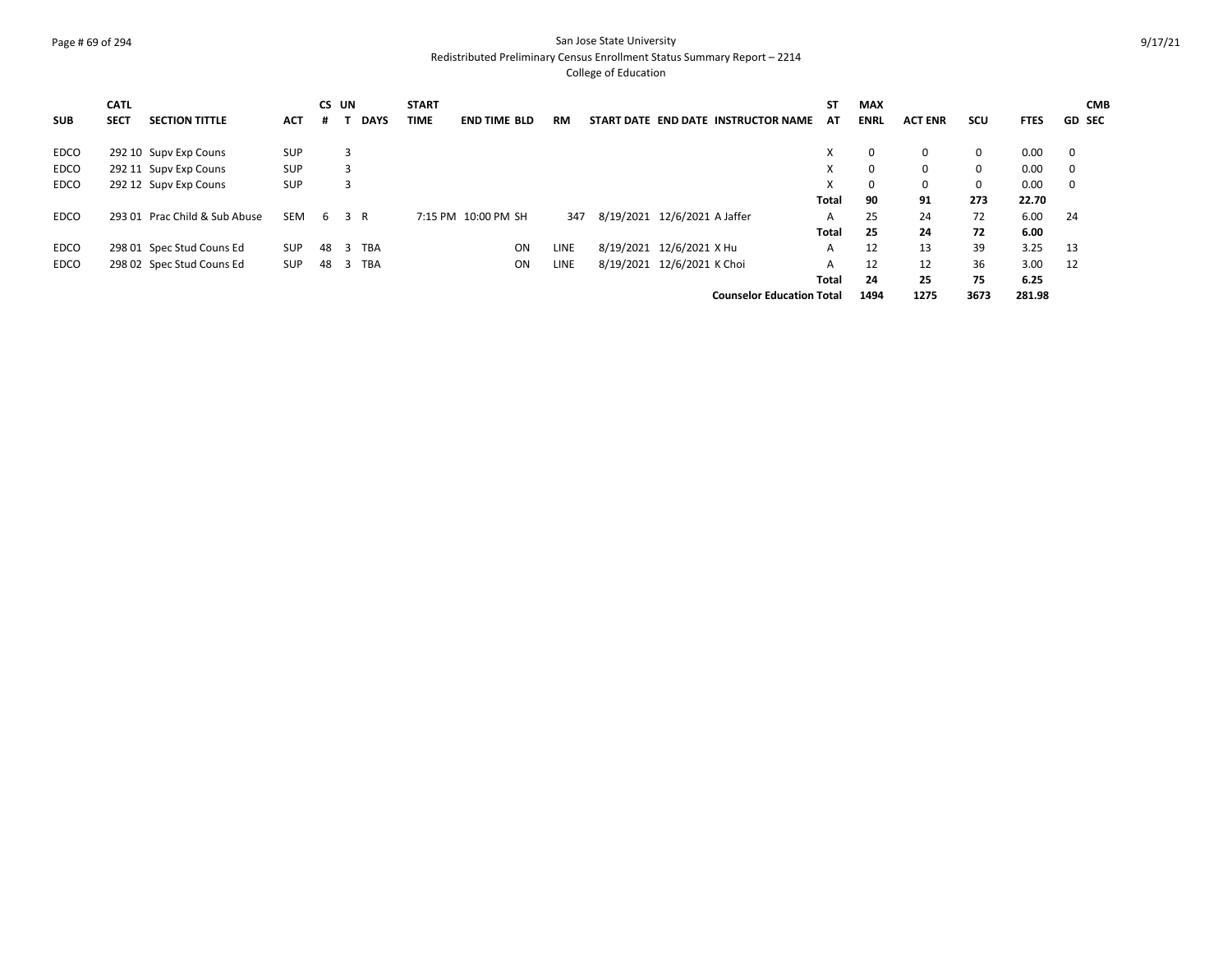# Page # 69 of 294 San Jose State University

Redistributed Preliminary Census Enrollment Status Summary Report – 2214

|             | <b>CATL</b> |                               |            | CS UN |     |             | <b>START</b> |                     |      |                              |                                     | ST           | <b>MAX</b>  |                |            |             | <b>CMB</b>    |
|-------------|-------------|-------------------------------|------------|-------|-----|-------------|--------------|---------------------|------|------------------------------|-------------------------------------|--------------|-------------|----------------|------------|-------------|---------------|
| <b>SUB</b>  | <b>SECT</b> | <b>SECTION TITTLE</b>         | <b>ACT</b> | #     |     | <b>DAYS</b> | <b>TIME</b>  | <b>END TIME BLD</b> | RM   |                              | START DATE END DATE INSTRUCTOR NAME | AT           | <b>ENRL</b> | <b>ACT ENR</b> | <b>SCU</b> | <b>FTES</b> | <b>GD SEC</b> |
| <b>EDCO</b> |             | 292 10 Supy Exp Couns         | <b>SUP</b> |       |     |             |              |                     |      |                              |                                     | X            | 0           | 0              | 0          | 0.00        | $\mathbf 0$   |
| <b>EDCO</b> |             | 292 11 Supy Exp Couns         | <b>SUP</b> |       |     |             |              |                     |      |                              |                                     | X            | 0           | 0              | 0          | 0.00        | 0             |
| EDCO        |             | 292 12 Supy Exp Couns         | <b>SUP</b> |       | 3   |             |              |                     |      |                              |                                     | X            | $\Omega$    | 0              | 0          | 0.00        | $\Omega$      |
|             |             |                               |            |       |     |             |              |                     |      |                              |                                     | Total        | 90          | 91             | 273        | 22.70       |               |
| EDCO        |             | 293 01 Prac Child & Sub Abuse | <b>SEM</b> | 6     | 3 R |             |              | 7:15 PM 10:00 PM SH | 347  | 8/19/2021 12/6/2021 A Jaffer |                                     | A            | 25          | 24             | 72         | 6.00        | 24            |
|             |             |                               |            |       |     |             |              |                     |      |                              |                                     | Total        | 25          | 24             | 72         | 6.00        |               |
| <b>EDCO</b> |             | 298 01 Spec Stud Couns Ed     | <b>SUP</b> | 48    |     | 3 TBA       |              | ON                  | LINE | 8/19/2021 12/6/2021 X Hu     |                                     | $\mathsf{A}$ | 12          | 13             | 39         | 3.25        | - 13          |
| EDCO        |             | 298 02 Spec Stud Couns Ed     | <b>SUP</b> | 48    |     | TBA         |              | ON                  | LINE | 8/19/2021 12/6/2021 K Choi   |                                     | A            | 12          | 12             | 36         | 3.00        | 12            |
|             |             |                               |            |       |     |             |              |                     |      |                              |                                     | Total        | 24          | 25             | 75         | 6.25        |               |
|             |             |                               |            |       |     |             |              |                     |      |                              | <b>Counselor Education Total</b>    |              | 1494        | 1275           | 3673       | 281.98      |               |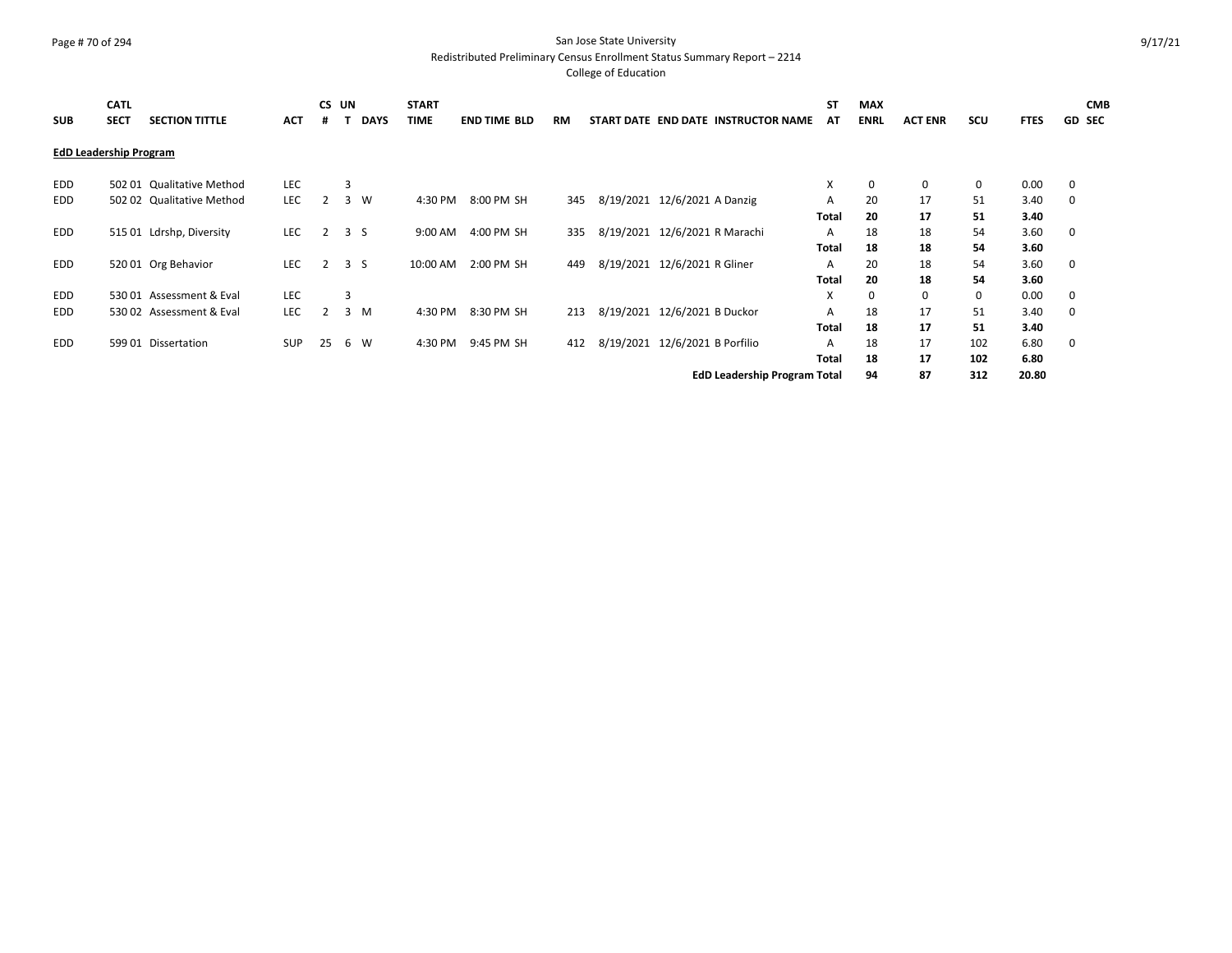## Page # 70 of 294 San Jose State University

Redistributed Preliminary Census Enrollment Status Summary Report – 2214

| <b>SUB</b>                    | <b>CATL</b><br><b>SECT</b> | <b>SECTION TITTLE</b>     | <b>ACT</b> | <b>CS</b><br># | UN             | <b>DAYS</b> | <b>START</b><br><b>TIME</b> | <b>END TIME BLD</b> | <b>RM</b> |                                | START DATE END DATE INSTRUCTOR NAME | ST<br>AT | <b>MAX</b><br><b>ENRL</b> | <b>ACT ENR</b> | <b>SCU</b> | <b>FTES</b> | <b>CMB</b><br><b>GD SEC</b> |
|-------------------------------|----------------------------|---------------------------|------------|----------------|----------------|-------------|-----------------------------|---------------------|-----------|--------------------------------|-------------------------------------|----------|---------------------------|----------------|------------|-------------|-----------------------------|
| <b>EdD Leadership Program</b> |                            |                           |            |                |                |             |                             |                     |           |                                |                                     |          |                           |                |            |             |                             |
| <b>EDD</b>                    |                            | 502 01 Qualitative Method | <b>LEC</b> |                | 3              |             |                             |                     |           |                                |                                     | X        | 0                         | 0              | 0          | 0.00        | 0                           |
| <b>EDD</b>                    |                            | 502 02 Qualitative Method | <b>LEC</b> | 2              | 3 W            |             | 4:30 PM                     | 8:00 PM SH          | 345       | 8/19/2021 12/6/2021 A Danzig   |                                     | A        | 20                        | 17             | 51         | 3.40        | 0                           |
|                               |                            |                           |            |                |                |             |                             |                     |           |                                |                                     | Total    | 20                        | 17             | 51         | 3.40        |                             |
| <b>EDD</b>                    |                            | 515 01 Ldrshp, Diversity  | <b>LEC</b> | $\overline{2}$ | 3 <sub>5</sub> |             | 9:00 AM                     | 4:00 PM SH          | 335       | 8/19/2021 12/6/2021 R Marachi  |                                     | A        | 18                        | 18             | 54         | 3.60        | 0                           |
|                               |                            |                           |            |                |                |             |                             |                     |           |                                |                                     | Total    | 18                        | 18             | 54         | 3.60        |                             |
| EDD                           |                            | 520 01 Org Behavior       | <b>LEC</b> | $\overline{2}$ | 3 <sub>5</sub> |             | 10:00 AM                    | 2:00 PM SH          | 449       | 8/19/2021 12/6/2021 R Gliner   |                                     | А        | 20                        | 18             | 54         | 3.60        | 0                           |
|                               |                            |                           |            |                |                |             |                             |                     |           |                                |                                     | Total    | 20                        | 18             | 54         | 3.60        |                             |
| <b>EDD</b>                    | 53001                      | Assessment & Eval         | <b>LEC</b> |                | 3              |             |                             |                     |           |                                |                                     | X        | 0                         | $\Omega$       | 0          | 0.00        | 0                           |
| <b>EDD</b>                    |                            | 530 02 Assessment & Eval  | <b>LEC</b> | $\mathcal{P}$  | 3 M            |             | 4:30 PM                     | 8:30 PM SH          | 213       | 8/19/2021 12/6/2021 B Duckor   |                                     | A        | 18                        | 17             | 51         | 3.40        | 0                           |
|                               |                            |                           |            |                |                |             |                             |                     |           |                                |                                     | Total    | 18                        | 17             | 51         | 3.40        |                             |
| <b>EDD</b>                    |                            | 599 01 Dissertation       | <b>SUP</b> | 25             | 6 W            |             | 4:30 PM                     | 9:45 PM SH          | 412       | 8/19/2021 12/6/2021 B Porfilio |                                     | A        | 18                        | 17             | 102        | 6.80        | 0                           |
|                               |                            |                           |            |                |                |             |                             |                     |           |                                |                                     | Total    | 18                        | 17             | 102        | 6.80        |                             |
|                               |                            |                           |            |                |                |             |                             |                     |           |                                | <b>EdD Leadership Program Total</b> |          | 94                        | 87             | 312        | 20.80       |                             |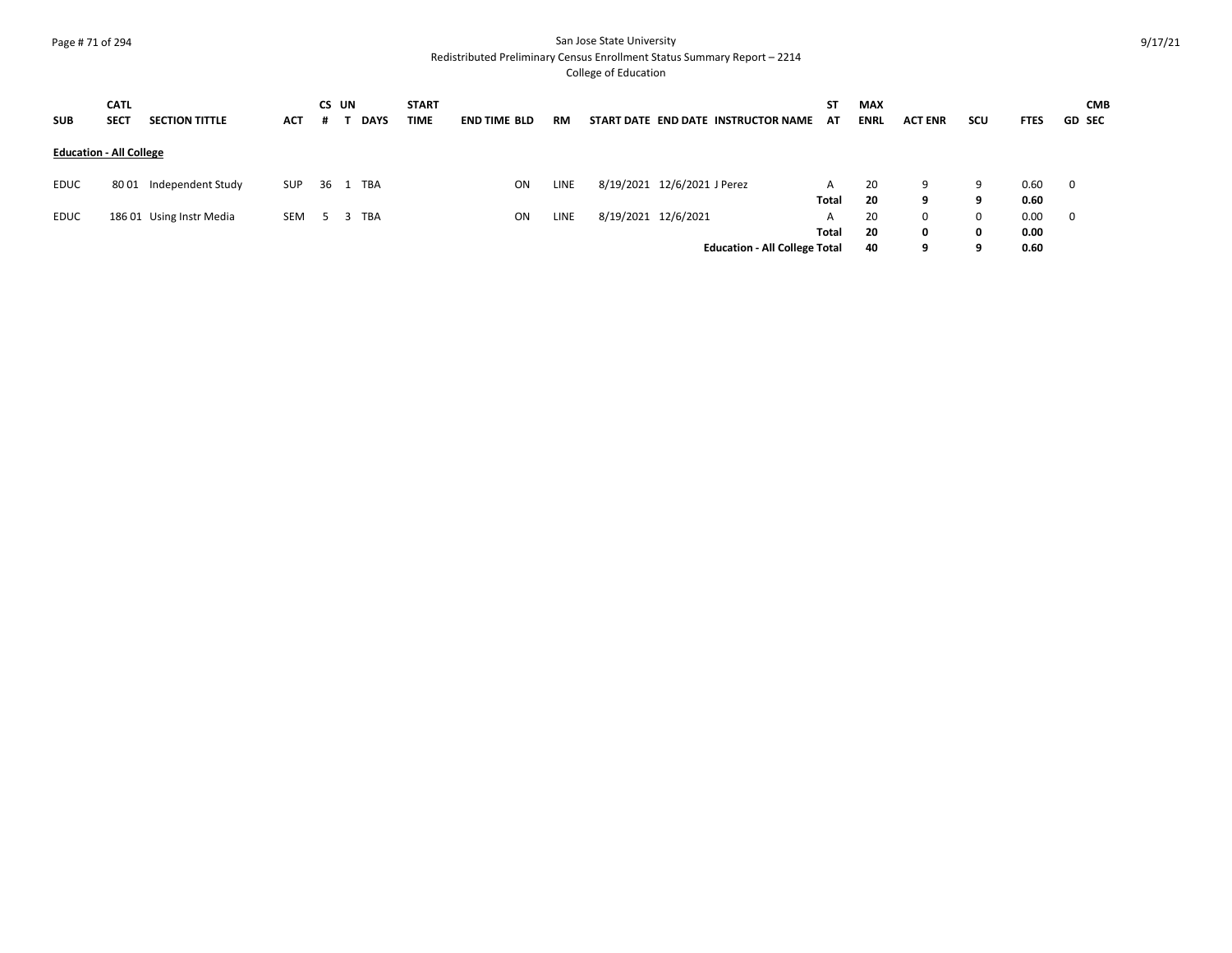# Page # 71 of 294 San Jose State University

Redistributed Preliminary Census Enrollment Status Summary Report – 2214

| <b>SUB</b>                     | <b>CATL</b><br>SEC <sub>1</sub> | <b>SECTION TITTLE</b>    | <b>ACT</b> | #  | CS UN | <b>DAYS</b> | <b>START</b><br>TIME | <b>END TIME BLD</b> | RM   |                             | START DATE END DATE INSTRUCTOR NAME  | ST<br>AT   | <b>MAX</b><br><b>ENRL</b> | <b>ACT ENR</b> | <b>SCU</b>    | <b>FTES</b>  | <b>CMB</b><br><b>GD SEC</b> |
|--------------------------------|---------------------------------|--------------------------|------------|----|-------|-------------|----------------------|---------------------|------|-----------------------------|--------------------------------------|------------|---------------------------|----------------|---------------|--------------|-----------------------------|
| <b>Education - All College</b> |                                 |                          |            |    |       |             |                      |                     |      |                             |                                      |            |                           |                |               |              |                             |
| <b>EDUC</b>                    | 8001                            | Independent Study        | SUP        | 36 |       | 1 TBA       |                      | ON                  | LINE | 8/19/2021 12/6/2021 J Perez |                                      | A<br>Total | 20<br>20                  | 9<br>9         | 9<br>9        | 0.60<br>0.60 | 0                           |
| <b>EDUC</b>                    |                                 | 186 01 Using Instr Media | SEM        |    |       | 3 TBA       |                      | ON                  | LINE | 8/19/2021 12/6/2021         |                                      | A<br>Total | 20<br>20                  | 0<br>0         | $\Omega$<br>0 | 0.00<br>0.00 | $\overline{\mathbf{0}}$     |
|                                |                                 |                          |            |    |       |             |                      |                     |      |                             | <b>Education - All College Total</b> |            | 40                        | 9              | q             | 0.60         |                             |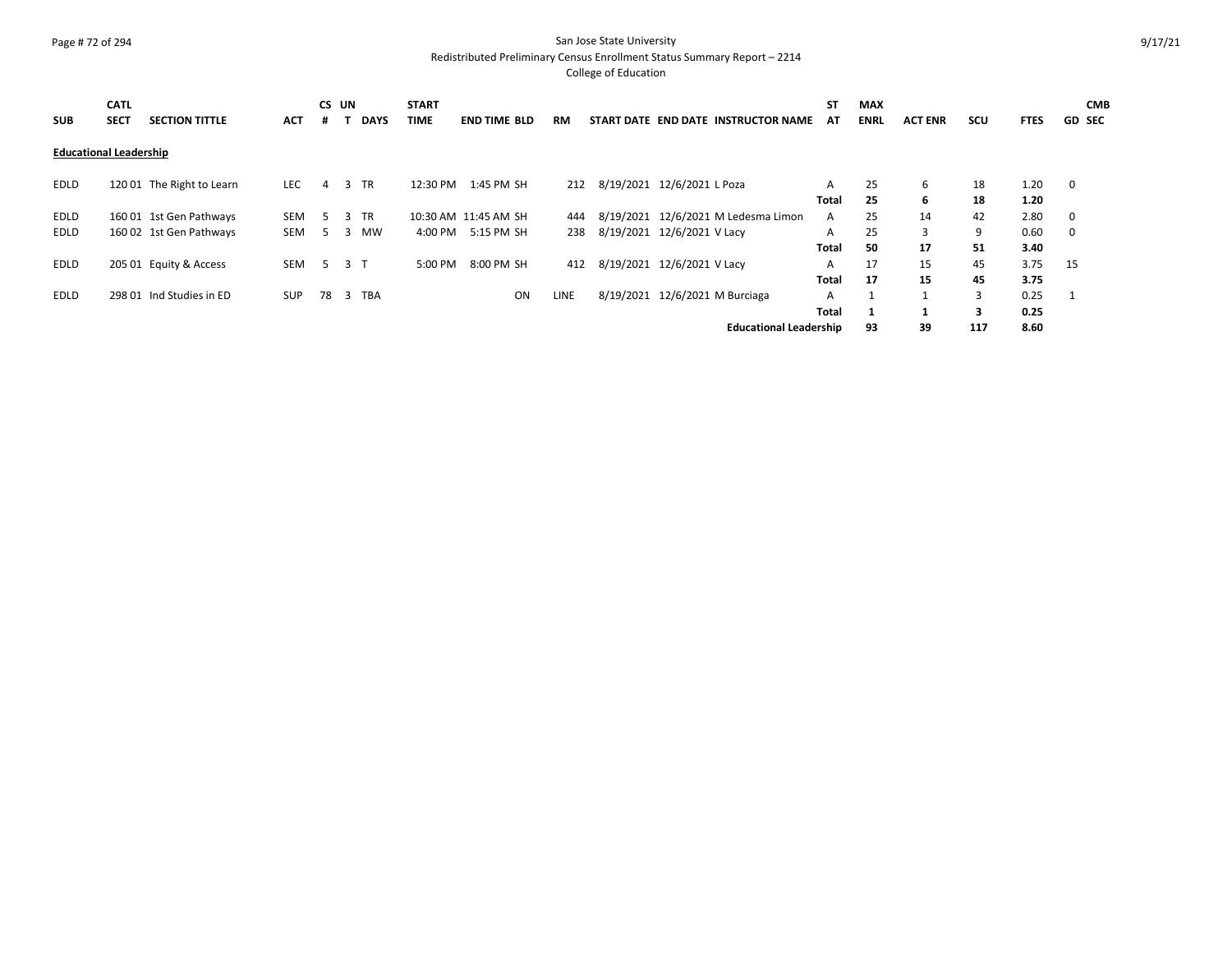# Page # 72 of 294 San Jose State University

Redistributed Preliminary Census Enrollment Status Summary Report – 2214

| <b>SUB</b>                    | <b>CATL</b><br><b>SECT</b> | <b>SECTION TITTLE</b>     | <b>ACT</b> | CS UN<br># |                | <b>DAYS</b> | <b>START</b><br>TIME | <b>END TIME BLD</b>  | <b>RM</b> |                            | START DATE END DATE INSTRUCTOR NAME | ST<br>AT | <b>MAX</b><br><b>ENRL</b> | <b>ACT ENR</b> | <b>SCU</b> | <b>FTES</b> | <b>CMB</b><br><b>GD SEC</b> |
|-------------------------------|----------------------------|---------------------------|------------|------------|----------------|-------------|----------------------|----------------------|-----------|----------------------------|-------------------------------------|----------|---------------------------|----------------|------------|-------------|-----------------------------|
| <b>Educational Leadership</b> |                            |                           |            |            |                |             |                      |                      |           |                            |                                     |          |                           |                |            |             |                             |
| EDLD                          |                            | 120 01 The Right to Learn | <b>LEC</b> | 4          |                | 3 TR        | 12:30 PM             | 1:45 PM SH           | 212       | 8/19/2021 12/6/2021 L Poza |                                     | A        | 25                        | 6              | 18         | 1.20        | 0                           |
|                               |                            |                           |            |            |                |             |                      |                      |           |                            |                                     | Total    | 25                        | 6              | 18         | 1.20        |                             |
| EDLD                          |                            | 160 01 1st Gen Pathways   | SEM        | 5          |                | 3 TR        |                      | 10:30 AM 11:45 AM SH | 444       |                            | 8/19/2021 12/6/2021 M Ledesma Limon | A        | 25                        | 14             | 42         | 2.80        | 0                           |
| EDLD                          |                            | 160 02 1st Gen Pathways   | SEM        | -5         |                | 3 MW        | 4:00 PM              | 5:15 PM SH           | 238       | 8/19/2021 12/6/2021 V Lacy |                                     | A        | 25                        | 3              | 9          | 0.60        | 0                           |
|                               |                            |                           |            |            |                |             |                      |                      |           |                            |                                     | Total    | 50                        | 17             | 51         | 3.40        |                             |
| EDLD                          |                            | 205 01 Equity & Access    | SEM        | -5         | 3 <sub>1</sub> |             | 5:00 PM              | 8:00 PM SH           | 412       | 8/19/2021 12/6/2021 V Lacy |                                     | A        | 17                        | 15             | 45         | 3.75        | -15                         |
|                               |                            |                           |            |            |                |             |                      |                      |           |                            |                                     | Total    | 17                        | 15             | 45         | 3.75        |                             |
| EDLD                          | 298 01                     | Ind Studies in ED         | <b>SUP</b> | 78         |                | 3 TBA       |                      | ON                   | LINE      |                            | 8/19/2021 12/6/2021 M Burciaga      | А        |                           |                | 3          | 0.25        |                             |
|                               |                            |                           |            |            |                |             |                      |                      |           |                            |                                     | Total    |                           |                | 3          | 0.25        |                             |
|                               |                            |                           |            |            |                |             |                      |                      |           |                            | <b>Educational Leadership</b>       |          | 93                        | 39             | 117        | 8.60        |                             |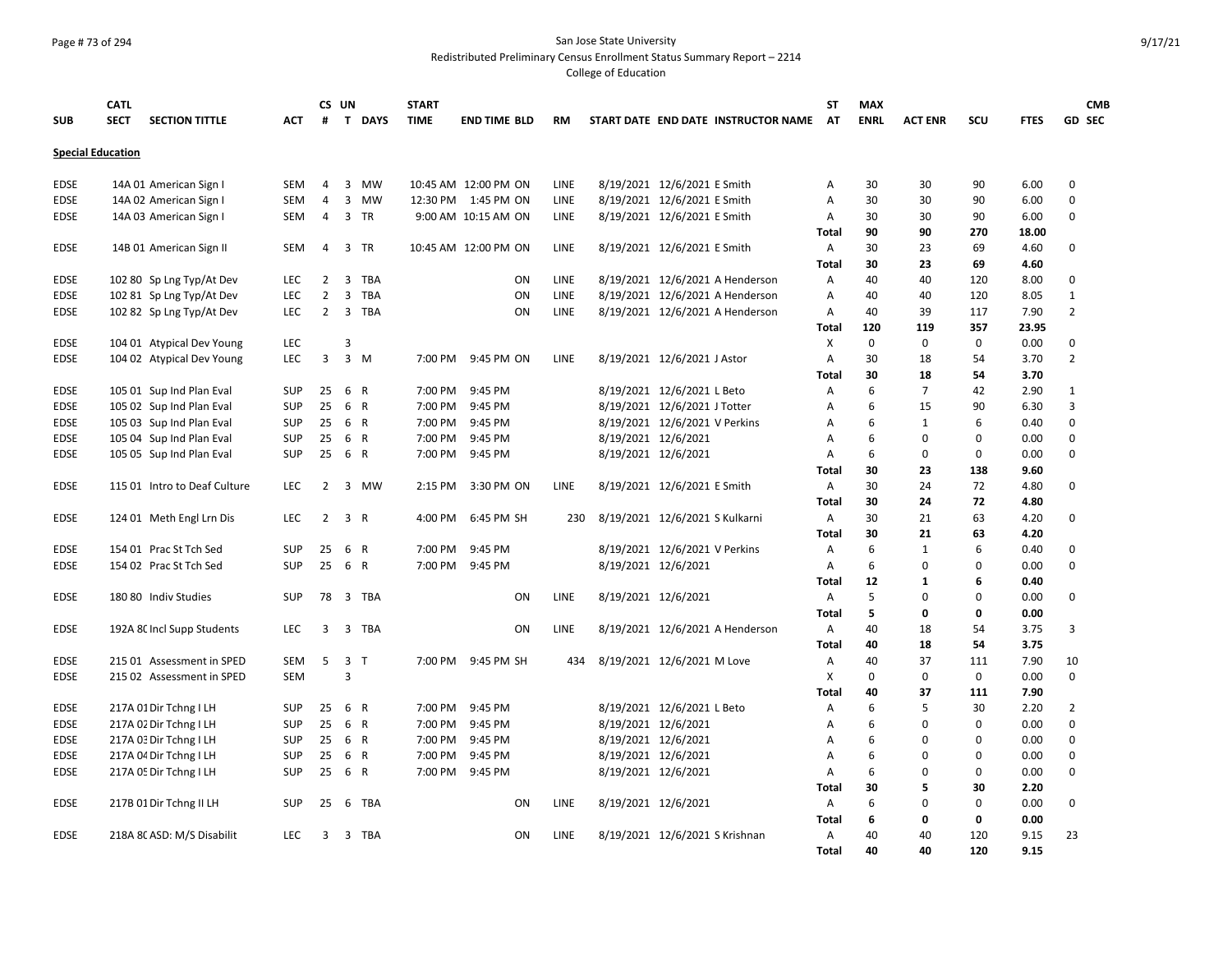## Page # 73 of 294 San Jose State University

Redistributed Preliminary Census Enrollment Status Summary Report – 2214

|                          | <b>CATL</b> |                              |            |                | CS UN        |             | <b>START</b> |                      |             |                                |                                     | ST             | <b>MAX</b>  |                |              |             | <b>CMB</b>     |
|--------------------------|-------------|------------------------------|------------|----------------|--------------|-------------|--------------|----------------------|-------------|--------------------------------|-------------------------------------|----------------|-------------|----------------|--------------|-------------|----------------|
| <b>SUB</b>               | <b>SECT</b> | <b>SECTION TITTLE</b>        | <b>ACT</b> | #              | $\mathbf{T}$ | <b>DAYS</b> | <b>TIME</b>  | <b>END TIME BLD</b>  | <b>RM</b>   |                                | START DATE END DATE INSTRUCTOR NAME | AT             | <b>ENRL</b> | <b>ACT ENR</b> | SCU          | <b>FTES</b> | <b>GD SEC</b>  |
| <b>Special Education</b> |             |                              |            |                |              |             |              |                      |             |                                |                                     |                |             |                |              |             |                |
| <b>EDSE</b>              |             | 14A 01 American Sign I       | <b>SEM</b> | 4              | 3            | <b>MW</b>   |              | 10:45 AM 12:00 PM ON | LINE        | 8/19/2021 12/6/2021 E Smith    |                                     | Α              | 30          | 30             | 90           | 6.00        | 0              |
| <b>EDSE</b>              |             | 14A 02 American Sign I       | SEM        | 4              |              | 3 MW        |              | 12:30 PM 1:45 PM ON  | LINE        | 8/19/2021 12/6/2021 E Smith    |                                     | Α              | 30          | 30             | 90           | 6.00        | 0              |
| <b>EDSE</b>              |             | 14A 03 American Sign I       | <b>SEM</b> | 4              |              | 3 TR        |              | 9:00 AM 10:15 AM ON  | LINE        | 8/19/2021 12/6/2021 E Smith    |                                     | A              | 30          | 30             | 90           | 6.00        | 0              |
|                          |             |                              |            |                |              |             |              |                      |             |                                |                                     | Total          | 90          | 90             | 270          | 18.00       |                |
| <b>EDSE</b>              |             | 14B 01 American Sign II      | <b>SEM</b> | 4              |              | 3 TR        |              | 10:45 AM 12:00 PM ON | <b>LINE</b> | 8/19/2021 12/6/2021 E Smith    |                                     | A              | 30          | 23             | 69           | 4.60        | 0              |
|                          |             |                              |            |                |              |             |              |                      |             |                                |                                     | Total          | 30          | 23             | 69           | 4.60        |                |
| <b>EDSE</b>              |             | 102 80 Sp Lng Typ/At Dev     | <b>LEC</b> | $\overline{2}$ | $\mathbf{3}$ | TBA         |              | ON                   | LINE        |                                | 8/19/2021 12/6/2021 A Henderson     | A              | 40          | 40             | 120          | 8.00        | 0              |
| <b>EDSE</b>              |             | 102 81 Sp Lng Typ/At Dev     | LEC        | $\overline{2}$ | 3            | TBA         |              | ON                   | LINE        |                                | 8/19/2021 12/6/2021 A Henderson     | Α              | 40          | 40             | 120          | 8.05        | $\mathbf{1}$   |
| <b>EDSE</b>              |             | 102 82 Sp Lng Typ/At Dev     | <b>LEC</b> | $\overline{2}$ |              | 3 TBA       |              | ON                   | <b>LINE</b> |                                | 8/19/2021 12/6/2021 A Henderson     | A              | 40          | 39             | 117          | 7.90        | $\overline{2}$ |
|                          |             |                              |            |                |              |             |              |                      |             |                                |                                     | <b>Total</b>   | 120         | 119            | 357          | 23.95       |                |
| <b>EDSE</b>              |             | 104 01 Atypical Dev Young    | LEC        |                | 3            |             |              |                      |             |                                |                                     | Х              | $\mathbf 0$ | 0              | 0            | 0.00        | 0              |
| <b>EDSE</b>              |             | 104 02 Atypical Dev Young    | <b>LEC</b> | 3              |              | 3 M         |              | 7:00 PM 9:45 PM ON   | LINE        | 8/19/2021 12/6/2021 J Astor    |                                     | A              | 30          | 18             | 54           | 3.70        | $\overline{2}$ |
|                          |             |                              |            |                |              |             |              |                      |             |                                |                                     | Total          | 30          | 18             | 54           | 3.70        |                |
| <b>EDSE</b>              |             | 105 01 Sup Ind Plan Eval     | <b>SUP</b> | 25             |              | 6 R         | 7:00 PM      | 9:45 PM              |             | 8/19/2021 12/6/2021 L Beto     |                                     | Α              | 6           | $\overline{7}$ | 42           | 2.90        | 1              |
| <b>EDSE</b>              |             | 105 02 Sup Ind Plan Eval     | <b>SUP</b> | 25             |              | 6 R         | 7:00 PM      | 9:45 PM              |             | 8/19/2021 12/6/2021 J Totter   |                                     | Α              | 6           | 15             | 90           | 6.30        | 3              |
| <b>EDSE</b>              |             | 105 03 Sup Ind Plan Eval     | <b>SUP</b> | 25             |              | 6 R         | 7:00 PM      | 9:45 PM              |             | 8/19/2021 12/6/2021 V Perkins  |                                     | Α              | 6           | $\mathbf{1}$   | 6            | 0.40        | 0              |
| <b>EDSE</b>              |             | 105 04 Sup Ind Plan Eval     | SUP        | 25             | 6            | R           | 7:00 PM      | 9:45 PM              |             | 8/19/2021 12/6/2021            |                                     | Α              | 6           | $\mathbf 0$    | $\Omega$     | 0.00        | 0              |
| <b>EDSE</b>              |             | 105 05 Sup Ind Plan Eval     | <b>SUP</b> | 25             | 6 R          |             | 7:00 PM      | 9:45 PM              |             | 8/19/2021 12/6/2021            |                                     | A              | 6           | $\mathbf 0$    | $\mathbf 0$  | 0.00        | 0              |
|                          |             |                              |            |                |              |             |              |                      |             |                                |                                     | Total          | 30          | 23             | 138          | 9.60        |                |
| <b>EDSE</b>              |             | 115 01 Intro to Deaf Culture | LEC        | 2              |              | 3 MW        | 2:15 PM      | 3:30 PM ON           | LINE        | 8/19/2021 12/6/2021 E Smith    |                                     | A              | 30          | 24             | 72           | 4.80        | 0              |
|                          |             |                              |            |                |              |             |              |                      |             |                                |                                     | Total          | 30          | 24             | 72           | 4.80        |                |
| <b>EDSE</b>              |             | 124 01 Meth Engl Lrn Dis     | <b>LEC</b> | $\overline{2}$ | 3 R          |             | 4:00 PM      | 6:45 PM SH           | 230         | 8/19/2021 12/6/2021 S Kulkarni |                                     | $\overline{A}$ | 30          | 21             | 63           | 4.20        | 0              |
|                          |             |                              |            |                |              |             |              |                      |             |                                |                                     | Total          | 30          | 21             | 63           | 4.20        |                |
| <b>EDSE</b>              |             | 154 01 Prac St Tch Sed       | <b>SUP</b> | 25             | 6            | R           | 7:00 PM      | 9:45 PM              |             | 8/19/2021 12/6/2021 V Perkins  |                                     | А              | 6           | $\mathbf{1}$   | 6            | 0.40        | 0              |
| <b>EDSE</b>              |             | 154 02 Prac St Tch Sed       | <b>SUP</b> | 25             | 6 R          |             |              | 7:00 PM 9:45 PM      |             | 8/19/2021 12/6/2021            |                                     | A              | 6           | $\mathbf 0$    | 0            | 0.00        | 0              |
|                          |             |                              |            |                |              |             |              |                      |             |                                |                                     | Total          | 12          | $\mathbf{1}$   | 6            | 0.40        |                |
| <b>EDSE</b>              |             | 180 80 Indiv Studies         | <b>SUP</b> | 78             |              | 3 TBA       |              | ON                   | LINE        | 8/19/2021 12/6/2021            |                                     | $\overline{A}$ | 5           | $\Omega$       | $\Omega$     | 0.00        | 0              |
|                          |             |                              |            |                |              |             |              |                      |             |                                |                                     | Total          | 5           | 0              | $\mathbf{0}$ | 0.00        |                |
| <b>EDSE</b>              |             | 192A 8C Incl Supp Students   | <b>LEC</b> | 3              |              | 3 TBA       |              | ON                   | LINE        |                                | 8/19/2021 12/6/2021 A Henderson     | A              | 40          | 18             | 54           | 3.75        | 3              |
|                          |             |                              |            |                |              |             |              |                      |             |                                |                                     | Total          | 40          | 18             | 54           | 3.75        |                |
| <b>EDSE</b>              |             | 215 01 Assessment in SPED    | <b>SEM</b> | 5              | 3 T          |             |              | 7:00 PM 9:45 PM SH   | 434         | 8/19/2021 12/6/2021 M Love     |                                     | A              | 40          | 37             | 111          | 7.90        | 10             |
| <b>EDSE</b>              |             | 215 02 Assessment in SPED    | SEM        |                | 3            |             |              |                      |             |                                |                                     | X              | $\mathbf 0$ | $\mathbf 0$    | $\mathbf 0$  | 0.00        | 0              |
|                          |             |                              |            |                |              |             |              |                      |             |                                |                                     | Total          | 40          | 37             | 111          | 7.90        |                |
| <b>EDSE</b>              |             | 217A 01Dir Tchng I LH        | <b>SUP</b> | 25             | 6 R          |             | 7:00 PM      | 9:45 PM              |             | 8/19/2021 12/6/2021 L Beto     |                                     | Α              | 6           | 5              | 30           | 2.20        | $\overline{2}$ |
| <b>EDSE</b>              |             | 217A 02 Dir Tchng I LH       | <b>SUP</b> | 25             |              | 6 R         | 7:00 PM      | 9:45 PM              |             | 8/19/2021 12/6/2021            |                                     | Α              | 6           | $\mathbf 0$    | $\mathbf 0$  | 0.00        | 0              |
| <b>EDSE</b>              |             | 217A 03 Dir Tchng I LH       | <b>SUP</b> | 25             | 6 R          |             | 7:00 PM      | 9:45 PM              |             | 8/19/2021 12/6/2021            |                                     | A              | 6           | $\Omega$       | 0            | 0.00        | 0              |
| <b>EDSE</b>              |             | 217A 04 Dir Tchng I LH       | <b>SUP</b> | 25             |              | 6 R         | 7:00 PM      | 9:45 PM              |             | 8/19/2021 12/6/2021            |                                     | A              | 6           | $\mathbf 0$    | $\Omega$     | 0.00        | 0              |
| EDSE                     |             | 217A 05 Dir Tchng I LH       | <b>SUP</b> | 25             | 6 R          |             |              | 7:00 PM 9:45 PM      |             | 8/19/2021 12/6/2021            |                                     | Α              | 6           | $\Omega$       | $\Omega$     | 0.00        | $\Omega$       |
|                          |             |                              |            |                |              |             |              |                      |             |                                |                                     | Total          | 30          | 5              | 30           | 2.20        |                |
| <b>EDSE</b>              |             | 217B 01 Dir Tchng II LH      | <b>SUP</b> | 25             |              | 6 TBA       |              | ON                   | LINE        | 8/19/2021 12/6/2021            |                                     | $\overline{A}$ | 6           | $\mathbf 0$    | $\mathbf 0$  | 0.00        | 0              |
|                          |             |                              |            |                |              |             |              |                      |             |                                |                                     | Total          | 6           | 0              | $\mathbf 0$  | 0.00        |                |
| <b>EDSE</b>              |             |                              | <b>LEC</b> | 3              |              | 3 TBA       |              | <b>ON</b>            | LINE        |                                |                                     | Α              | 40          | 40             | 120          | 9.15        | 23             |
|                          |             | 218A 8C ASD: M/S Disabilit   |            |                |              |             |              |                      |             | 8/19/2021 12/6/2021 S Krishnan |                                     | Total          | 40          | 40             | 120          | 9.15        |                |
|                          |             |                              |            |                |              |             |              |                      |             |                                |                                     |                |             |                |              |             |                |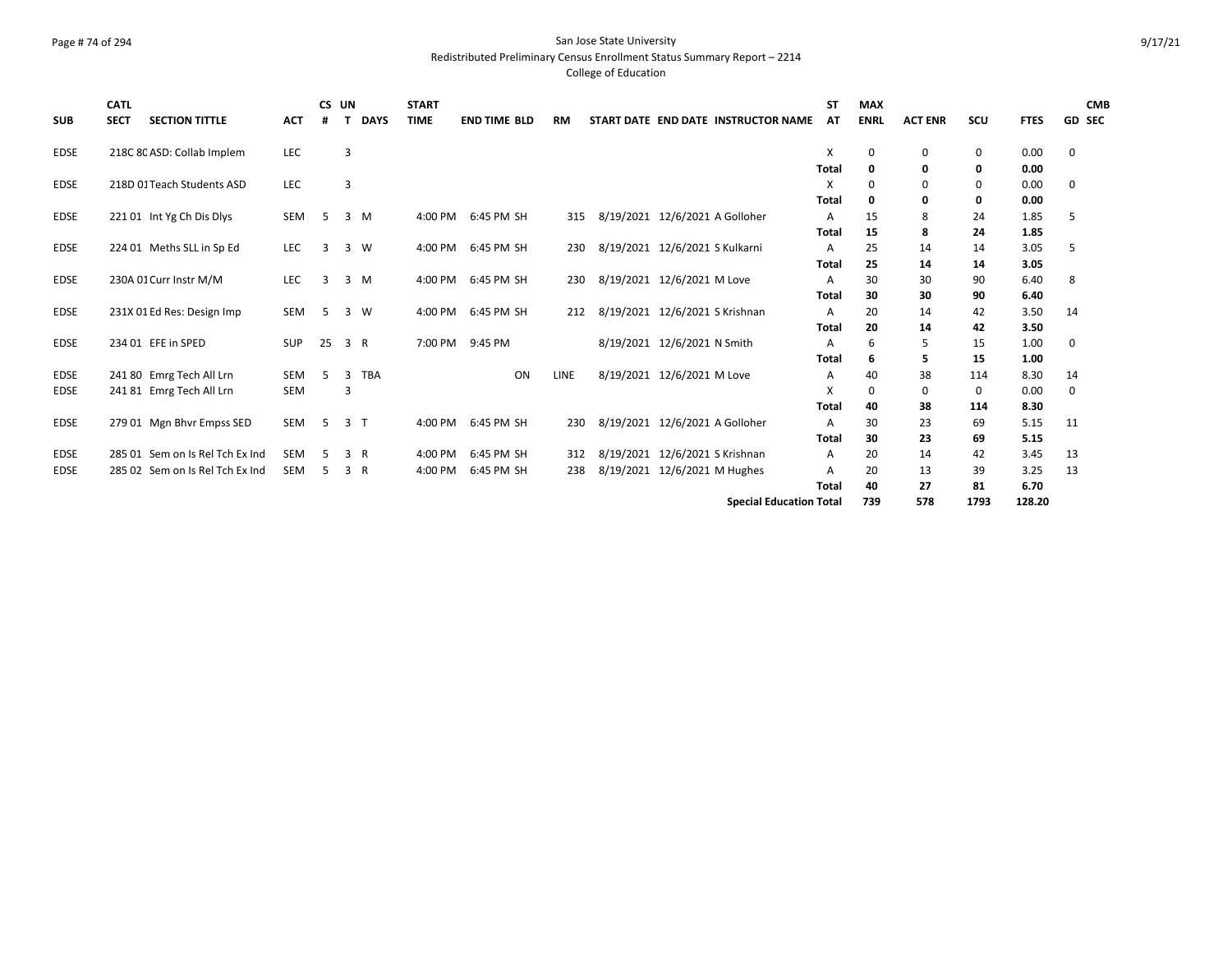### Page # 74 of 294 San Jose State University Redistributed Preliminary Census Enrollment Status Summary Report – 2214

| <b>SUB</b>  | <b>CATL</b><br><b>SECT</b><br><b>SECTION TITTLE</b> | <b>ACT</b> | #  | CS UN<br>т     | <b>DAYS</b> | <b>START</b><br><b>TIME</b> | <b>END TIME BLD</b> | <b>RM</b> |                                |                                | START DATE END DATE INSTRUCTOR NAME | <b>ST</b><br>AT | <b>MAX</b><br><b>ENRL</b> | <b>ACT ENR</b> | SCU  | <b>FTES</b> | <b>CMB</b><br><b>GD SEC</b> |
|-------------|-----------------------------------------------------|------------|----|----------------|-------------|-----------------------------|---------------------|-----------|--------------------------------|--------------------------------|-------------------------------------|-----------------|---------------------------|----------------|------|-------------|-----------------------------|
| <b>EDSE</b> | 218C 80 ASD: Collab Implem                          | LEC        |    | 3              |             |                             |                     |           |                                |                                |                                     | X               | 0                         | 0              | 0    | 0.00        | 0                           |
|             |                                                     |            |    |                |             |                             |                     |           |                                |                                |                                     | Total           | 0                         | 0              | 0    | 0.00        |                             |
| <b>EDSE</b> | 218D 01 Teach Students ASD                          | LEC        |    | 3              |             |                             |                     |           |                                |                                |                                     | X               | 0                         | 0              | 0    | 0.00        | 0                           |
|             |                                                     |            |    |                |             |                             |                     |           |                                |                                |                                     | Total           | 0                         | 0              | 0    | 0.00        |                             |
| <b>EDSE</b> | 221 01 Int Yg Ch Dis Dlys                           | SEM        | 5  | 3              | M           | 4:00 PM                     | 6:45 PM SH          | 315       | 8/19/2021 12/6/2021 A Golloher |                                |                                     | A               | 15                        | 8              | 24   | 1.85        | 5                           |
|             |                                                     |            |    |                |             |                             |                     |           |                                |                                |                                     | Total           | 15                        | 8              | 24   | 1.85        |                             |
| <b>EDSE</b> | 224 01 Meths SLL in Sp Ed                           | LEC        | 3  | 3              | W           | 4:00 PM                     | 6:45 PM SH          | 230       | 8/19/2021 12/6/2021 S Kulkarni |                                |                                     | A               | 25                        | 14             | 14   | 3.05        | 5                           |
|             |                                                     |            |    |                |             |                             |                     |           |                                |                                |                                     | Total           | 25                        | 14             | 14   | 3.05        |                             |
| <b>EDSE</b> | 230A 01 Curr Instr M/M                              | LEC        | 3  | 3              | M           | 4:00 PM                     | 6:45 PM SH          | 230       | 8/19/2021 12/6/2021 M Love     |                                |                                     | A               | 30                        | 30             | 90   | 6.40        | 8                           |
|             |                                                     |            |    |                |             |                             |                     |           |                                |                                |                                     | Total           | 30                        | 30             | 90   | 6.40        |                             |
| <b>EDSE</b> | 231X 01 Ed Res: Design Imp                          | SEM        | 5  | 3              | W           | 4:00 PM                     | 6:45 PM SH          | 212       | 8/19/2021 12/6/2021 S Krishnan |                                |                                     | A               | 20                        | 14             | 42   | 3.50        | 14                          |
|             |                                                     |            |    |                |             |                             |                     |           |                                |                                |                                     | Total           | 20                        | 14             | 42   | 3.50        |                             |
| <b>EDSE</b> | 234 01 EFE in SPED                                  | <b>SUP</b> | 25 | 3 R            |             | 7:00 PM                     | 9:45 PM             |           |                                | 8/19/2021 12/6/2021 N Smith    |                                     | A               | 6                         | 5              | 15   | 1.00        | 0                           |
|             |                                                     |            |    |                |             |                             |                     |           |                                |                                |                                     | Total           | 6                         | 5              | 15   | 1.00        |                             |
| <b>EDSE</b> | 241 80 Emrg Tech All Lrn                            | <b>SEM</b> | 5  | 3              | <b>TBA</b>  |                             | ON                  | LINE      |                                | 8/19/2021 12/6/2021 M Love     |                                     | A               | 40                        | 38             | 114  | 8.30        | 14                          |
| <b>EDSE</b> | 241 81 Emrg Tech All Lrn                            | <b>SEM</b> |    | 3              |             |                             |                     |           |                                |                                |                                     | X               | 0                         | 0              | 0    | 0.00        | 0                           |
|             |                                                     |            |    |                |             |                             |                     |           |                                |                                |                                     | Total           | 40                        | 38             | 114  | 8.30        |                             |
| <b>EDSE</b> | 279 01 Mgn Bhvr Empss SED                           | SEM        | 5  | 3 <sub>1</sub> |             | 4:00 PM                     | 6:45 PM SH          | 230       | 8/19/2021 12/6/2021 A Golloher |                                |                                     | A               | 30                        | 23             | 69   | 5.15        | 11                          |
|             |                                                     |            |    |                |             |                             |                     |           |                                |                                |                                     | Total           | 30                        | 23             | 69   | 5.15        |                             |
| <b>EDSE</b> | 285 01 Sem on Is Rel Tch Ex Ind                     | <b>SEM</b> | 5  | 3              | R           | 4:00 PM                     | 6:45 PM SH          | 312       |                                | 8/19/2021 12/6/2021 S Krishnan |                                     | Α               | 20                        | 14             | 42   | 3.45        | 13                          |
| <b>EDSE</b> | 285 02 Sem on Is Rel Tch Ex Ind                     | <b>SEM</b> | 5  | 3              | R           | 4:00 PM                     | 6:45 PM SH          | 238       |                                | 8/19/2021 12/6/2021 M Hughes   |                                     | A               | 20                        | 13             | 39   | 3.25        | 13                          |
|             |                                                     |            |    |                |             |                             |                     |           |                                |                                |                                     | Total           | 40                        | 27             | 81   | 6.70        |                             |
|             |                                                     |            |    |                |             |                             |                     |           |                                |                                | <b>Special Education Total</b>      |                 | 739                       | 578            | 1793 | 128.20      |                             |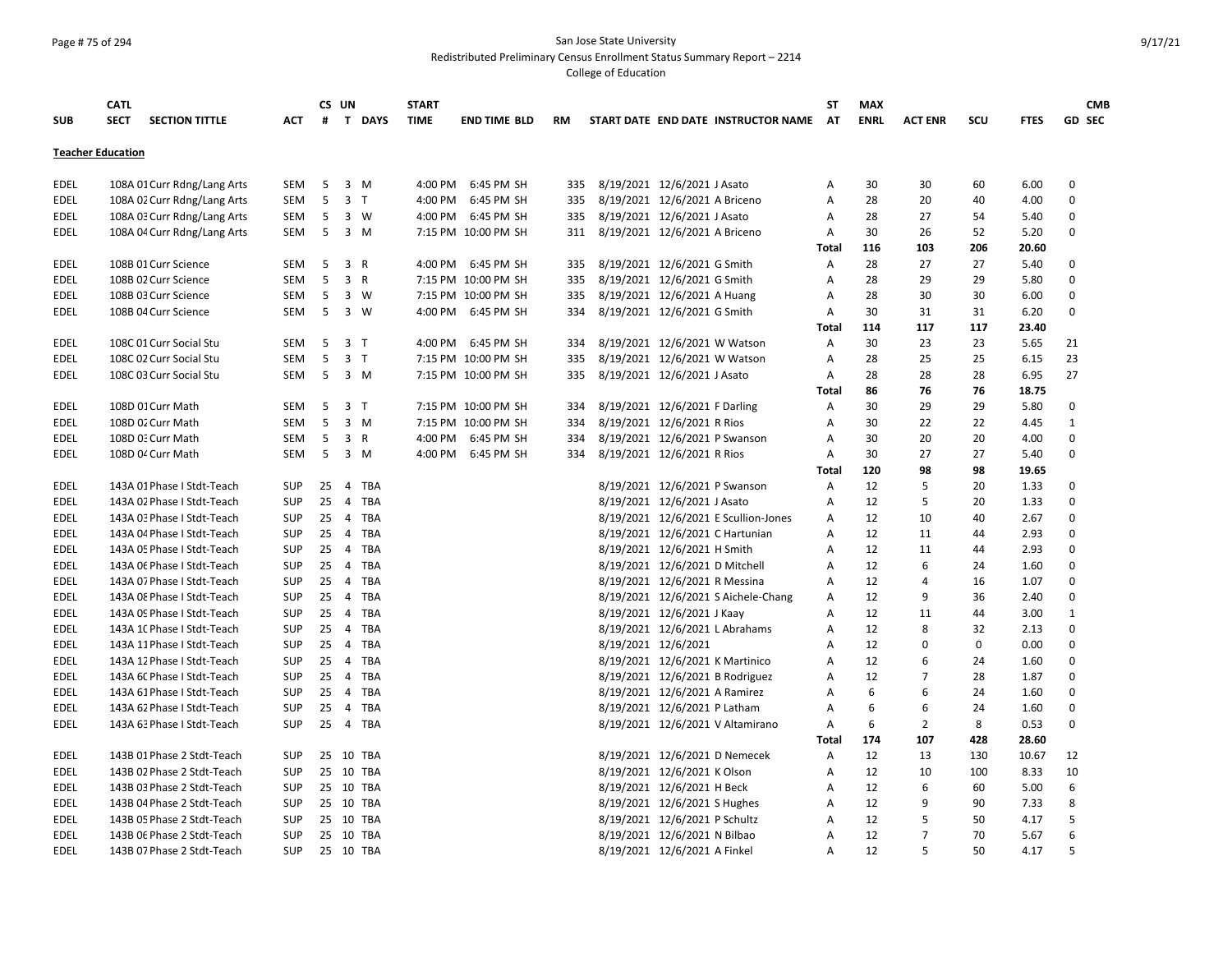# Page # 75 of 294 San Jose State University

Redistributed Preliminary Census Enrollment Status Summary Report – 2214

|                          | <b>CATL</b> |                             |            |    | CS UN          |              | <b>START</b> |                     |     |                                |                                        | ST             | <b>MAX</b>  |                |          |             | <b>CMB</b>    |
|--------------------------|-------------|-----------------------------|------------|----|----------------|--------------|--------------|---------------------|-----|--------------------------------|----------------------------------------|----------------|-------------|----------------|----------|-------------|---------------|
| <b>SUB</b>               | <b>SECT</b> | <b>SECTION TITTLE</b>       | ACT        | #  |                | T DAYS       | <b>TIME</b>  | <b>END TIME BLD</b> | RM  |                                | START DATE END DATE INSTRUCTOR NAME AT |                | <b>ENRL</b> | <b>ACT ENR</b> | SCU      | <b>FTES</b> | <b>GD SEC</b> |
| <b>Teacher Education</b> |             |                             |            |    |                |              |              |                     |     |                                |                                        |                |             |                |          |             |               |
| <b>EDEL</b>              |             | 108A 01 Curr Rdng/Lang Arts | <b>SEM</b> | 5  | 3              | M            | 4:00 PM      | 6:45 PM SH          | 335 | 8/19/2021 12/6/2021 J Asato    |                                        | A              | 30          | 30             | 60       | 6.00        | 0             |
| EDEL                     |             | 108A 02 Curr Rdng/Lang Arts | SEM        | 5  | 3 <sub>T</sub> |              |              | 4:00 PM 6:45 PM SH  | 335 | 8/19/2021 12/6/2021 A Briceno  |                                        | Α              | 28          | 20             | 40       | 4.00        | 0             |
| <b>EDEL</b>              |             | 108A 03 Curr Rdng/Lang Arts | SEM        | 5  |                | 3 W          |              | 4:00 PM 6:45 PM SH  | 335 | 8/19/2021 12/6/2021 J Asato    |                                        | A              | 28          | 27             | 54       | 5.40        | 0             |
| EDEL                     |             | 108A 04 Curr Rdng/Lang Arts | <b>SEM</b> | 5  |                | $3 \, M$     |              | 7:15 PM 10:00 PM SH | 311 | 8/19/2021 12/6/2021 A Briceno  |                                        | A              | 30          | 26             | 52       | 5.20        | 0             |
|                          |             |                             |            |    |                |              |              |                     |     |                                |                                        | <b>Total</b>   | 116         | 103            | 206      | 20.60       |               |
| EDEL                     |             | 108B 01 Curr Science        | <b>SEM</b> | 5  | 3              | $\mathsf{R}$ | 4:00 PM      | 6:45 PM SH          | 335 | 8/19/2021 12/6/2021 G Smith    |                                        | Α              | 28          | 27             | 27       | 5.40        | 0             |
| EDEL                     |             | 108B 02 Curr Science        | SEM        | 5  |                | 3 R          |              | 7:15 PM 10:00 PM SH | 335 | 8/19/2021 12/6/2021 G Smith    |                                        | А              | 28          | 29             | 29       | 5.80        | $\Omega$      |
| EDEL                     |             | 108B 03 Curr Science        | <b>SEM</b> | 5  |                | 3 W          |              | 7:15 PM 10:00 PM SH | 335 | 8/19/2021 12/6/2021 A Huang    |                                        | A              | 28          | 30             | 30       | 6.00        | 0             |
| <b>EDEL</b>              |             | 108B 04 Curr Science        | <b>SEM</b> | 5  | 3 W            |              |              | 4:00 PM 6:45 PM SH  | 334 | 8/19/2021 12/6/2021 G Smith    |                                        | A              | 30          | 31             | 31       | 6.20        | 0             |
|                          |             |                             |            |    |                |              |              |                     |     |                                |                                        | Total          | 114         | 117            | 117      | 23.40       |               |
| EDEL                     |             | 108C 01 Curr Social Stu     | <b>SEM</b> | 5  | 3 <sub>1</sub> |              |              | 4:00 PM 6:45 PM SH  | 334 | 8/19/2021 12/6/2021 W Watson   |                                        | Α              | 30          | 23             | 23       | 5.65        | 21            |
| <b>EDEL</b>              |             | 108C 02 Curr Social Stu     | SEM        | 5  | 3 <sub>T</sub> |              |              | 7:15 PM 10:00 PM SH | 335 | 8/19/2021 12/6/2021 W Watson   |                                        | A              | 28          | 25             | 25       | 6.15        | 23            |
| <b>EDEL</b>              |             | 108C 03 Curr Social Stu     | <b>SEM</b> | 5  | 3 M            |              |              | 7:15 PM 10:00 PM SH | 335 | 8/19/2021 12/6/2021 J Asato    |                                        | Α              | 28          | 28             | 28       | 6.95        | 27            |
|                          |             |                             |            |    |                |              |              |                     |     |                                |                                        | Total          | 86          | 76             | 76       | 18.75       |               |
| <b>EDEL</b>              |             | 108D 01 Curr Math           | <b>SEM</b> | 5  | 3 <sub>T</sub> |              |              | 7:15 PM 10:00 PM SH | 334 | 8/19/2021 12/6/2021 F Darling  |                                        | Α              | 30          | 29             | 29       | 5.80        | 0             |
| EDEL                     |             | 108D 02 Curr Math           | SEM        | 5  |                | $3 \, M$     |              | 7:15 PM 10:00 PM SH | 334 | 8/19/2021 12/6/2021 R Rios     |                                        | Α              | 30          | 22             | 22       | 4.45        | $\mathbf{1}$  |
| EDEL                     |             | 108D 03 Curr Math           | <b>SEM</b> | 5  | 3 R            |              | 4:00 PM      | 6:45 PM SH          | 334 | 8/19/2021 12/6/2021 P Swanson  |                                        | Α              | 30          | 20             | 20       | 4.00        | 0             |
| <b>EDEL</b>              |             | 108D 04 Curr Math           | <b>SEM</b> | 5  | 3 M            |              |              | 4:00 PM 6:45 PM SH  | 334 | 8/19/2021 12/6/2021 R Rios     |                                        | A              | 30          | 27             | 27       | 5.40        | 0             |
|                          |             |                             |            |    |                |              |              |                     |     |                                |                                        | Total          | 120         | 98             | 98       | 19.65       |               |
| <b>EDEL</b>              |             | 143A 01 Phase I Stdt-Teach  | <b>SUP</b> |    |                | 25 4 TBA     |              |                     |     |                                | 8/19/2021 12/6/2021 P Swanson          | $\overline{A}$ | 12          | 5              | 20       | 1.33        | O             |
| EDEL                     |             | 143A 02 Phase I Stdt-Teach  | <b>SUP</b> | 25 |                | 4 TBA        |              |                     |     | 8/19/2021 12/6/2021 J Asato    |                                        | А              | 12          | 5              | 20       | 1.33        | $\Omega$      |
| <b>EDEL</b>              |             | 143A 03 Phase I Stdt-Teach  | <b>SUP</b> |    |                | 25 4 TBA     |              |                     |     |                                | 8/19/2021 12/6/2021 E Scullion-Jones   | Α              | 12          | 10             | 40       | 2.67        | 0             |
| EDEL                     |             | 143A 04 Phase I Stdt-Teach  | <b>SUP</b> | 25 |                | 4 TBA        |              |                     |     |                                | 8/19/2021 12/6/2021 C Hartunian        | A              | 12          | 11             | 44       | 2.93        | $\Omega$      |
| EDEL                     |             | 143A 05 Phase I Stdt-Teach  | SUP        | 25 |                | 4 TBA        |              |                     |     | 8/19/2021 12/6/2021 H Smith    |                                        | A              | 12          | 11             | 44       | 2.93        | 0             |
| <b>EDEL</b>              |             | 143A OE Phase I Stdt-Teach  | <b>SUP</b> | 25 |                | 4 TBA        |              |                     |     | 8/19/2021 12/6/2021 D Mitchell |                                        | A              | 12          | 6              | 24       | 1.60        | $\Omega$      |
| EDEL                     |             | 143A 07 Phase I Stdt-Teach  | <b>SUP</b> | 25 |                | 4 TBA        |              |                     |     | 8/19/2021 12/6/2021 R Messina  |                                        | А              | 12          | $\overline{4}$ | 16       | 1.07        | 0             |
| <b>EDEL</b>              |             | 143A 08 Phase I Stdt-Teach  | <b>SUP</b> | 25 |                | 4 TBA        |              |                     |     |                                | 8/19/2021 12/6/2021 S Aichele-Chang    | Α              | 12          | 9              | 36       | 2.40        | 0             |
| EDEL                     |             | 143A OS Phase I Stdt-Teach  | <b>SUP</b> | 25 |                | 4 TBA        |              |                     |     | 8/19/2021 12/6/2021 J Kaay     |                                        | А              | 12          | 11             | 44       | 3.00        | $\mathbf{1}$  |
| <b>EDEL</b>              |             | 143A 1C Phase I Stdt-Teach  | <b>SUP</b> |    |                | 25 4 TBA     |              |                     |     |                                | 8/19/2021 12/6/2021 L Abrahams         | A              | 12          | 8              | 32       | 2.13        | 0             |
| <b>EDEL</b>              |             | 143A 11 Phase I Stdt-Teach  | <b>SUP</b> | 25 |                | 4 TBA        |              |                     |     | 8/19/2021 12/6/2021            |                                        | A              | 12          | $\Omega$       | $\Omega$ | 0.00        | $\Omega$      |
| <b>EDEL</b>              |             | 143A 12 Phase I Stdt-Teach  | <b>SUP</b> |    |                | 25 4 TBA     |              |                     |     |                                | 8/19/2021 12/6/2021 K Martinico        | A              | 12          | 6              | 24       | 1.60        | $\Omega$      |
| <b>EDEL</b>              |             | 143A 6C Phase I Stdt-Teach  | <b>SUP</b> | 25 |                | 4 TBA        |              |                     |     |                                | 8/19/2021 12/6/2021 B Rodriguez        | A              | 12          | $\overline{7}$ | 28       | 1.87        | $\Omega$      |
| EDEL                     |             | 143A 61 Phase I Stdt-Teach  | <b>SUP</b> | 25 |                | 4 TBA        |              |                     |     | 8/19/2021 12/6/2021 A Ramirez  |                                        | Α              | 6           | 6              | 24       | 1.60        | 0             |
| EDEL                     |             | 143A 62 Phase I Stdt-Teach  | <b>SUP</b> | 25 |                | 4 TBA        |              |                     |     | 8/19/2021 12/6/2021 P Latham   |                                        | A              | 6           | 6              | 24       | 1.60        | 0             |
| <b>EDEL</b>              |             | 143A 63 Phase I Stdt-Teach  | <b>SUP</b> | 25 |                | 4 TBA        |              |                     |     |                                | 8/19/2021 12/6/2021 V Altamirano       | Α              | 6           | $\overline{2}$ | 8        | 0.53        | 0             |
|                          |             |                             |            |    |                |              |              |                     |     |                                |                                        | <b>Total</b>   | 174         | 107            | 428      | 28.60       |               |
| <b>EDEL</b>              |             | 143B 01 Phase 2 Stdt-Teach  | <b>SUP</b> |    |                | 25 10 TBA    |              |                     |     |                                | 8/19/2021 12/6/2021 D Nemecek          | Α              | 12          | 13             | 130      | 10.67       | 12            |
| EDEL                     |             | 143B 02 Phase 2 Stdt-Teach  | <b>SUP</b> |    |                | 25 10 TBA    |              |                     |     | 8/19/2021 12/6/2021 K Olson    |                                        | А              | 12          | 10             | 100      | 8.33        | 10            |
| EDEL                     |             | 143B 03 Phase 2 Stdt-Teach  | <b>SUP</b> |    |                | 25 10 TBA    |              |                     |     | 8/19/2021 12/6/2021 H Beck     |                                        | A              | 12          | 6              | 60       | 5.00        | 6             |
| <b>EDEL</b>              |             | 143B 04 Phase 2 Stdt-Teach  | <b>SUP</b> |    |                | 25 10 TBA    |              |                     |     | 8/19/2021 12/6/2021 S Hughes   |                                        | A              | 12          | 9              | 90       | 7.33        | 8             |
| EDEL                     |             | 143B 05 Phase 2 Stdt-Teach  | <b>SUP</b> |    |                | 25 10 TBA    |              |                     |     | 8/19/2021 12/6/2021 P Schultz  |                                        | A              | 12          | 5              | 50       | 4.17        | 5             |
| <b>EDEL</b>              |             | 143B 06 Phase 2 Stdt-Teach  | <b>SUP</b> |    |                | 25 10 TBA    |              |                     |     | 8/19/2021 12/6/2021 N Bilbao   |                                        | A              | 12          | 7              | 70       | 5.67        | 6             |
| <b>EDEL</b>              |             | 143B 07 Phase 2 Stdt-Teach  | <b>SUP</b> |    |                | 25 10 TBA    |              |                     |     | 8/19/2021 12/6/2021 A Finkel   |                                        | A              | 12          | 5              | 50       | 4.17        | 5             |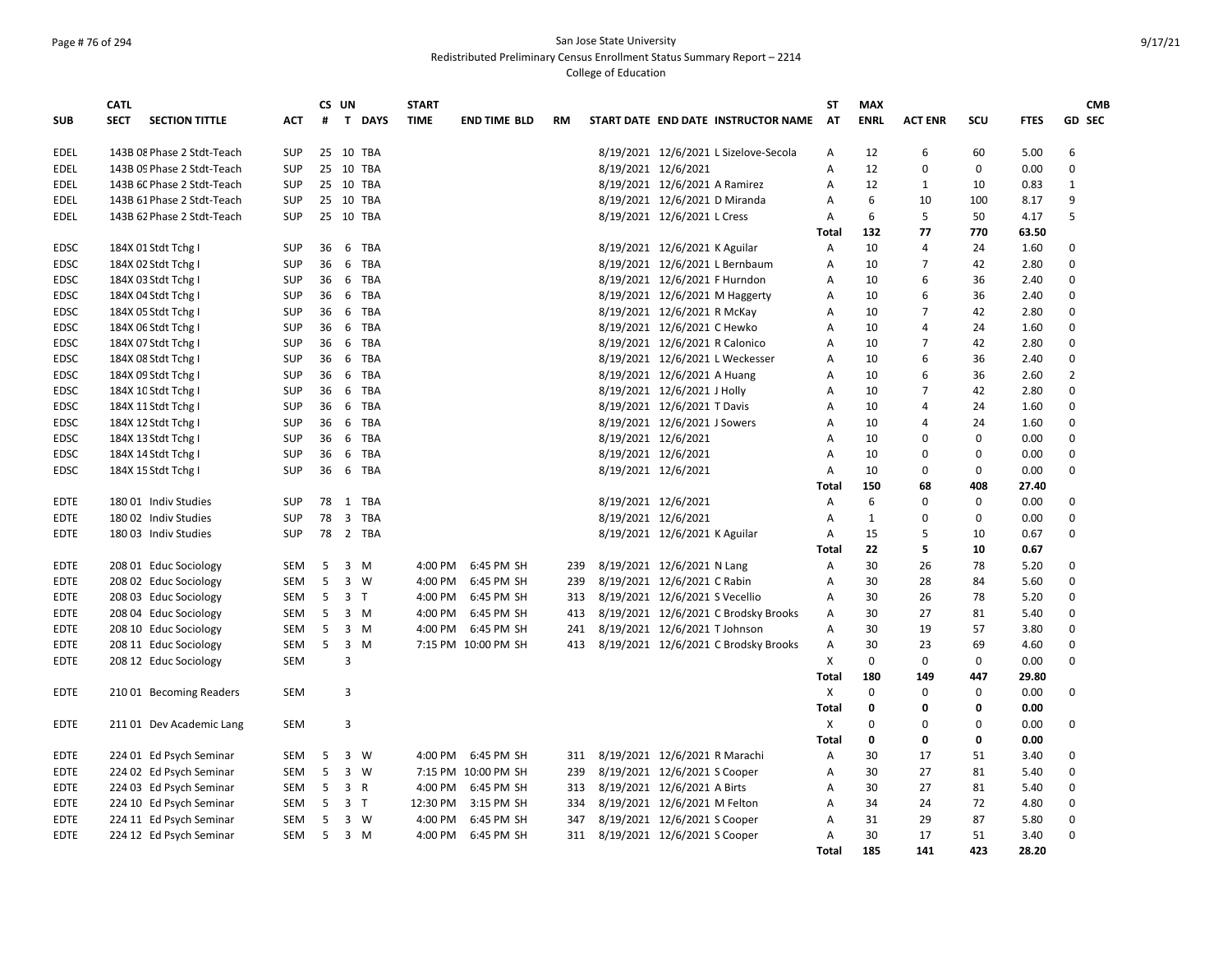### Page # 76 of 294 San Jose State University Redistributed Preliminary Census Enrollment Status Summary Report – 2214

| T DAYS<br><b>ENRL</b><br>GD SEC<br><b>SUB</b><br><b>SECTION TITTLE</b><br><b>TIME</b><br><b>END TIME BLD</b><br>START DATE END DATE INSTRUCTOR NAME<br>AT<br><b>ACT ENR</b><br>scu<br><b>FTES</b><br><b>SECT</b><br>АСТ<br>#<br>RM<br>143B 08 Phase 2 Stdt-Teach<br>25 10 TBA<br>8/19/2021 12/6/2021 L Sizelove-Secola<br>12<br>6<br>5.00<br>EDEL<br><b>SUP</b><br>Α<br>60<br>6<br>8/19/2021 12/6/2021<br>143B 09 Phase 2 Stdt-Teach<br><b>SUP</b><br>25 10 TBA<br>12<br>0<br>0<br>0.00<br>$\Omega$<br><b>EDEL</b><br>Α<br>143B 6C Phase 2 Stdt-Teach<br><b>SUP</b><br>25 10 TBA<br>8/19/2021 12/6/2021 A Ramirez<br>А<br>12<br>$\mathbf{1}$<br>0.83<br>$\mathbf{1}$<br>EDEL<br>10<br><b>SUP</b><br>25 10 TBA<br>8/19/2021 12/6/2021 D Miranda<br>6<br>10<br>100<br>9<br><b>EDEL</b><br>143B 61 Phase 2 Stdt-Teach<br>8.17<br>Α<br>5<br>5<br>143B 62 Phase 2 Stdt-Teach<br><b>SUP</b><br>25 10 TBA<br>8/19/2021 12/6/2021 L Cress<br>6<br>50<br>4.17<br><b>EDEL</b><br>Α<br>132<br>77<br>770<br>Total<br>63.50<br>184X 01 Stdt Tchg I<br>TBA<br>8/19/2021 12/6/2021 K Aguilar<br>10<br>4<br>24<br>1.60<br>EDSC<br><b>SUP</b><br>36<br>6<br>Α<br>$\Omega$<br>36<br>8/19/2021 12/6/2021 L Bernbaum<br>10<br>$\overline{7}$<br>2.80<br><b>EDSC</b><br>184X 02 Stdt Tchg I<br><b>SUP</b><br>6<br>TBA<br>Α<br>42<br>$\Omega$<br>184X 03 Stdt Tchg I<br><b>SUP</b><br>6 TBA<br>8/19/2021 12/6/2021 F Hurndon<br>10<br>6<br>36<br>2.40<br>$\Omega$<br>EDSC<br>36<br>Α<br>8/19/2021 12/6/2021 M Haggerty<br>6<br>2.40<br>0<br>184X 04 Stdt Tchg I<br><b>SUP</b><br>36<br>6<br>TBA<br>Α<br>10<br>36<br>EDSC<br>8/19/2021 12/6/2021 R McKay<br>$\overline{7}$<br>184X 05 Stdt Tchg I<br>6 TBA<br>42<br>2.80<br>$\Omega$<br>EDSC<br><b>SUP</b><br>36<br>Α<br>10<br>8/19/2021 12/6/2021 C Hewko<br>$\Omega$<br><b>EDSC</b><br>184X 06 Stdt Tchg I<br><b>SUP</b><br>36<br>6<br>TBA<br>A<br>10<br>4<br>24<br>1.60<br>184X 07 Stdt Tchg I<br><b>SUP</b><br>36<br>6 TBA<br>8/19/2021 12/6/2021 R Calonico<br>7<br>42<br>2.80<br>$\Omega$<br>EDSC<br>Α<br>10<br>8/19/2021 12/6/2021 L Weckesser<br>EDSC<br>184X 08 Stdt Tchg I<br><b>SUP</b><br>36<br>6 TBA<br>10<br>6<br>36<br>2.40<br>0<br>Α<br><b>SUP</b><br>6 TBA<br>8/19/2021 12/6/2021 A Huang<br>10<br>6<br>36<br>2.60<br>$\overline{2}$<br>EDSC<br>184X 09 Stdt Tchg I<br>36<br>A<br>8/19/2021 12/6/2021 J Holly<br>184X 10 Stdt Tchg I<br><b>SUP</b><br>6 TBA<br>10<br>7<br>42<br>2.80<br>$\Omega$<br>EDSC<br>36<br>A<br>6<br>8/19/2021 12/6/2021 T Davis<br>$\Omega$<br><b>EDSC</b><br>184X 11 Stdt Tchg I<br><b>SUP</b><br>36<br>TBA<br>A<br>10<br>4<br>24<br>1.60<br><b>EDSC</b><br>184X 12 Stdt Tchg I<br><b>SUP</b><br>36<br>6 TBA<br>8/19/2021 12/6/2021 J Sowers<br>10<br>24<br>1.60<br>$\Omega$<br>Α<br>4<br>36<br>8/19/2021 12/6/2021<br>0<br>$\Omega$<br>0.00<br>0<br><b>EDSC</b><br>184X 13 Stdt Tchg I<br><b>SUP</b><br>6<br>TBA<br>Α<br>10<br>184X 14 Stdt Tchg I<br><b>SUP</b><br>6 TBA<br>8/19/2021 12/6/2021<br>10<br>0<br>0<br>0.00<br>$\Omega$<br>EDSC<br>36<br>Α<br>8/19/2021 12/6/2021<br>184X 15 Stdt Tchg I<br><b>SUP</b><br>36<br>6 TBA<br>10<br>0<br>0<br>0.00<br>$\Omega$<br><b>EDSC</b><br>A<br>150<br>68<br>408<br>27.40<br>Total<br>6<br>8/19/2021 12/6/2021<br>$\Omega$<br><b>EDTE</b><br>180 01 Indiv Studies<br><b>SUP</b><br>78<br>1<br>TBA<br>A<br>0<br>0.00<br>$\Omega$<br>78<br>3<br>8/19/2021 12/6/2021<br>$\mathbf 0$<br>180 02 Indiv Studies<br><b>SUP</b><br>TBA<br>$\mathbf{1}$<br>0<br>0<br>0.00<br><b>EDTE</b><br>Α<br>78<br>2 TBA<br>8/19/2021 12/6/2021 K Aguilar<br>15<br>5<br>$\Omega$<br><b>EDTE</b><br>180 03 Indiv Studies<br><b>SUP</b><br>A<br>10<br>0.67<br>22<br>5<br>10<br>Total<br>0.67<br>8/19/2021 12/6/2021 N Lang<br>30<br>26<br>78<br>208 01 Educ Sociology<br><b>SEM</b><br>5<br>3<br>4:00 PM<br>6:45 PM SH<br>A<br>5.20<br>$\Omega$<br>EDTE<br>M<br>239<br>5<br>$\overline{3}$<br>8/19/2021 12/6/2021 C Rabin<br>30<br>28<br>84<br>5.60<br>$\Omega$<br><b>EDTE</b><br>208 02 Educ Sociology<br><b>SEM</b><br>W<br>4:00 PM<br>6:45 PM SH<br>239<br>Α<br>208 03 Educ Sociology<br><b>SEM</b><br>5<br>3 <sub>T</sub><br>4:00 PM<br>6:45 PM SH<br>313<br>8/19/2021 12/6/2021 S Vecellio<br>Α<br>30<br>26<br>78<br>5.20<br>$\Omega$<br>EDTE<br>5<br>$3 \, M$<br>8/19/2021 12/6/2021 C Brodsky Brooks<br>30<br>27<br>5.40<br>0<br><b>EDTE</b><br>208 04 Educ Sociology<br><b>SEM</b><br>4:00 PM<br>6:45 PM SH<br>413<br>Α<br>81<br>208 10 Educ Sociology<br>5<br>8/19/2021 12/6/2021 T Johnson<br>30<br>19<br>57<br>3.80<br>$\Omega$<br><b>EDTE</b><br><b>SEM</b><br>3<br>M<br>4:00 PM<br>6:45 PM SH<br>Α<br>241<br>5<br>8/19/2021 12/6/2021 C Brodsky Brooks<br>$\Omega$<br>208 11 Educ Sociology<br>3<br>7:15 PM 10:00 PM SH<br>30<br>23<br>69<br>EDTE<br><b>SEM</b><br>M<br>413<br>Α<br>4.60<br>3<br>X<br>$\mathbf 0$<br>0<br>$\mathbf 0$<br>$\Omega$<br>208 12 Educ Sociology<br><b>SEM</b><br>0.00<br>EDTE<br>29.80<br>Total<br>180<br>149<br>447<br>X<br>$\mathbf 0$<br>0<br><b>EDTE</b><br>210 01 Becoming Readers<br><b>SEM</b><br>3<br>0<br>0.00<br>$\Omega$<br><b>Total</b><br>0<br>0.00<br>0<br>0<br>$\mathbf 0$<br>0<br><b>EDTE</b><br>211 01 Dev Academic Lang<br><b>SEM</b><br>3<br>X<br>0<br>0.00<br>0<br>$\mathbf 0$<br>0<br>Total<br>0<br>0.00<br>8/19/2021 12/6/2021 R Marachi<br>224 01 Ed Psych Seminar<br>6:45 PM SH<br>30<br>17<br>51<br>EDTE<br>SEM<br>5<br>3 W<br>4:00 PM<br>311<br>Α<br>3.40<br>0<br>5<br>$3 \quad W$<br>30<br>27<br>$\Omega$<br>224 02 Ed Psych Seminar<br><b>SEM</b><br>7:15 PM 10:00 PM SH<br>239<br>8/19/2021 12/6/2021 S Cooper<br>81<br>5.40<br>EDTE<br>Α<br>8/19/2021 12/6/2021 A Birts<br>30<br>224 03 Ed Psych Seminar<br>5<br>3<br>$\mathsf{R}$<br>4:00 PM<br>6:45 PM SH<br>313<br>А<br>27<br>81<br>5.40<br>$\Omega$<br>EDTE<br>SEM<br>224 10 Ed Psych Seminar<br>3 <sub>1</sub><br>8/19/2021 12/6/2021 M Felton<br>72<br>$\Omega$<br><b>EDTE</b><br><b>SEM</b><br>5<br>12:30 PM<br>3:15 PM SH<br>334<br>Α<br>34<br>24<br>4.80<br>8/19/2021 12/6/2021 S Cooper<br>$\Omega$<br>224 11 Ed Psych Seminar<br>5<br>3<br>4:00 PM<br>31<br>29<br>87<br>5.80<br><b>EDTE</b><br><b>SEM</b><br>W<br>6:45 PM SH<br>347<br>Α<br>5<br>8/19/2021 12/6/2021 S Cooper<br>30<br>17<br>51<br>$\Omega$<br><b>EDTE</b><br>224 12 Ed Psych Seminar<br><b>SEM</b><br>3 M<br>4:00 PM<br>6:45 PM SH<br>311<br>A<br>3.40<br>423<br>185<br>141<br>28.20<br><b>Total</b> | <b>CATL</b> |  | CS UN | <b>START</b> |  |  | <b>ST</b> | <b>MAX</b> |  | <b>CMB</b> |
|--------------------------------------------------------------------------------------------------------------------------------------------------------------------------------------------------------------------------------------------------------------------------------------------------------------------------------------------------------------------------------------------------------------------------------------------------------------------------------------------------------------------------------------------------------------------------------------------------------------------------------------------------------------------------------------------------------------------------------------------------------------------------------------------------------------------------------------------------------------------------------------------------------------------------------------------------------------------------------------------------------------------------------------------------------------------------------------------------------------------------------------------------------------------------------------------------------------------------------------------------------------------------------------------------------------------------------------------------------------------------------------------------------------------------------------------------------------------------------------------------------------------------------------------------------------------------------------------------------------------------------------------------------------------------------------------------------------------------------------------------------------------------------------------------------------------------------------------------------------------------------------------------------------------------------------------------------------------------------------------------------------------------------------------------------------------------------------------------------------------------------------------------------------------------------------------------------------------------------------------------------------------------------------------------------------------------------------------------------------------------------------------------------------------------------------------------------------------------------------------------------------------------------------------------------------------------------------------------------------------------------------------------------------------------------------------------------------------------------------------------------------------------------------------------------------------------------------------------------------------------------------------------------------------------------------------------------------------------------------------------------------------------------------------------------------------------------------------------------------------------------------------------------------------------------------------------------------------------------------------------------------------------------------------------------------------------------------------------------------------------------------------------------------------------------------------------------------------------------------------------------------------------------------------------------------------------------------------------------------------------------------------------------------------------------------------------------------------------------------------------------------------------------------------------------------------------------------------------------------------------------------------------------------------------------------------------------------------------------------------------------------------------------------------------------------------------------------------------------------------------------------------------------------------------------------------------------------------------------------------------------------------------------------------------------------------------------------------------------------------------------------------------------------------------------------------------------------------------------------------------------------------------------------------------------------------------------------------------------------------------------------------------------------------------------------------------------------------------------------------------------------------------------------------------------------------------------------------------------------------------------------------------------------------------------------------------------------------------------------------------------------------------------------------------------------------------------------------------------------------------------------------------------------------------------------------------------------------------------------------------------------------------------------------------------------------------------------------------------------------------------------------------------------------------------------------------------------------------------------------------------------------------------------------------------------------------------------------------------------------------------------------------------------------------------------------------------------------------------------------------------------------------------------------------------------------------------------------------------------------------------------------------------------------------------------------------------------------------------------------------------------------------------------------------------------------------------------------------------------------------------------------------------------------------------------------------------------------------------------------------------------------------------------------------------------------------------------------------------------------------------------------------|-------------|--|-------|--------------|--|--|-----------|------------|--|------------|
|                                                                                                                                                                                                                                                                                                                                                                                                                                                                                                                                                                                                                                                                                                                                                                                                                                                                                                                                                                                                                                                                                                                                                                                                                                                                                                                                                                                                                                                                                                                                                                                                                                                                                                                                                                                                                                                                                                                                                                                                                                                                                                                                                                                                                                                                                                                                                                                                                                                                                                                                                                                                                                                                                                                                                                                                                                                                                                                                                                                                                                                                                                                                                                                                                                                                                                                                                                                                                                                                                                                                                                                                                                                                                                                                                                                                                                                                                                                                                                                                                                                                                                                                                                                                                                                                                                                                                                                                                                                                                                                                                                                                                                                                                                                                                                                                                                                                                                                                                                                                                                                                                                                                                                                                                                                                                                                                                                                                                                                                                                                                                                                                                                                                                                                                                                                                                                                                                                                                                                                                                                                                                                                                                                                                                                                                                                                                                                                                  |             |  |       |              |  |  |           |            |  |            |
|                                                                                                                                                                                                                                                                                                                                                                                                                                                                                                                                                                                                                                                                                                                                                                                                                                                                                                                                                                                                                                                                                                                                                                                                                                                                                                                                                                                                                                                                                                                                                                                                                                                                                                                                                                                                                                                                                                                                                                                                                                                                                                                                                                                                                                                                                                                                                                                                                                                                                                                                                                                                                                                                                                                                                                                                                                                                                                                                                                                                                                                                                                                                                                                                                                                                                                                                                                                                                                                                                                                                                                                                                                                                                                                                                                                                                                                                                                                                                                                                                                                                                                                                                                                                                                                                                                                                                                                                                                                                                                                                                                                                                                                                                                                                                                                                                                                                                                                                                                                                                                                                                                                                                                                                                                                                                                                                                                                                                                                                                                                                                                                                                                                                                                                                                                                                                                                                                                                                                                                                                                                                                                                                                                                                                                                                                                                                                                                                  |             |  |       |              |  |  |           |            |  |            |
|                                                                                                                                                                                                                                                                                                                                                                                                                                                                                                                                                                                                                                                                                                                                                                                                                                                                                                                                                                                                                                                                                                                                                                                                                                                                                                                                                                                                                                                                                                                                                                                                                                                                                                                                                                                                                                                                                                                                                                                                                                                                                                                                                                                                                                                                                                                                                                                                                                                                                                                                                                                                                                                                                                                                                                                                                                                                                                                                                                                                                                                                                                                                                                                                                                                                                                                                                                                                                                                                                                                                                                                                                                                                                                                                                                                                                                                                                                                                                                                                                                                                                                                                                                                                                                                                                                                                                                                                                                                                                                                                                                                                                                                                                                                                                                                                                                                                                                                                                                                                                                                                                                                                                                                                                                                                                                                                                                                                                                                                                                                                                                                                                                                                                                                                                                                                                                                                                                                                                                                                                                                                                                                                                                                                                                                                                                                                                                                                  |             |  |       |              |  |  |           |            |  |            |
|                                                                                                                                                                                                                                                                                                                                                                                                                                                                                                                                                                                                                                                                                                                                                                                                                                                                                                                                                                                                                                                                                                                                                                                                                                                                                                                                                                                                                                                                                                                                                                                                                                                                                                                                                                                                                                                                                                                                                                                                                                                                                                                                                                                                                                                                                                                                                                                                                                                                                                                                                                                                                                                                                                                                                                                                                                                                                                                                                                                                                                                                                                                                                                                                                                                                                                                                                                                                                                                                                                                                                                                                                                                                                                                                                                                                                                                                                                                                                                                                                                                                                                                                                                                                                                                                                                                                                                                                                                                                                                                                                                                                                                                                                                                                                                                                                                                                                                                                                                                                                                                                                                                                                                                                                                                                                                                                                                                                                                                                                                                                                                                                                                                                                                                                                                                                                                                                                                                                                                                                                                                                                                                                                                                                                                                                                                                                                                                                  |             |  |       |              |  |  |           |            |  |            |
|                                                                                                                                                                                                                                                                                                                                                                                                                                                                                                                                                                                                                                                                                                                                                                                                                                                                                                                                                                                                                                                                                                                                                                                                                                                                                                                                                                                                                                                                                                                                                                                                                                                                                                                                                                                                                                                                                                                                                                                                                                                                                                                                                                                                                                                                                                                                                                                                                                                                                                                                                                                                                                                                                                                                                                                                                                                                                                                                                                                                                                                                                                                                                                                                                                                                                                                                                                                                                                                                                                                                                                                                                                                                                                                                                                                                                                                                                                                                                                                                                                                                                                                                                                                                                                                                                                                                                                                                                                                                                                                                                                                                                                                                                                                                                                                                                                                                                                                                                                                                                                                                                                                                                                                                                                                                                                                                                                                                                                                                                                                                                                                                                                                                                                                                                                                                                                                                                                                                                                                                                                                                                                                                                                                                                                                                                                                                                                                                  |             |  |       |              |  |  |           |            |  |            |
|                                                                                                                                                                                                                                                                                                                                                                                                                                                                                                                                                                                                                                                                                                                                                                                                                                                                                                                                                                                                                                                                                                                                                                                                                                                                                                                                                                                                                                                                                                                                                                                                                                                                                                                                                                                                                                                                                                                                                                                                                                                                                                                                                                                                                                                                                                                                                                                                                                                                                                                                                                                                                                                                                                                                                                                                                                                                                                                                                                                                                                                                                                                                                                                                                                                                                                                                                                                                                                                                                                                                                                                                                                                                                                                                                                                                                                                                                                                                                                                                                                                                                                                                                                                                                                                                                                                                                                                                                                                                                                                                                                                                                                                                                                                                                                                                                                                                                                                                                                                                                                                                                                                                                                                                                                                                                                                                                                                                                                                                                                                                                                                                                                                                                                                                                                                                                                                                                                                                                                                                                                                                                                                                                                                                                                                                                                                                                                                                  |             |  |       |              |  |  |           |            |  |            |
|                                                                                                                                                                                                                                                                                                                                                                                                                                                                                                                                                                                                                                                                                                                                                                                                                                                                                                                                                                                                                                                                                                                                                                                                                                                                                                                                                                                                                                                                                                                                                                                                                                                                                                                                                                                                                                                                                                                                                                                                                                                                                                                                                                                                                                                                                                                                                                                                                                                                                                                                                                                                                                                                                                                                                                                                                                                                                                                                                                                                                                                                                                                                                                                                                                                                                                                                                                                                                                                                                                                                                                                                                                                                                                                                                                                                                                                                                                                                                                                                                                                                                                                                                                                                                                                                                                                                                                                                                                                                                                                                                                                                                                                                                                                                                                                                                                                                                                                                                                                                                                                                                                                                                                                                                                                                                                                                                                                                                                                                                                                                                                                                                                                                                                                                                                                                                                                                                                                                                                                                                                                                                                                                                                                                                                                                                                                                                                                                  |             |  |       |              |  |  |           |            |  |            |
|                                                                                                                                                                                                                                                                                                                                                                                                                                                                                                                                                                                                                                                                                                                                                                                                                                                                                                                                                                                                                                                                                                                                                                                                                                                                                                                                                                                                                                                                                                                                                                                                                                                                                                                                                                                                                                                                                                                                                                                                                                                                                                                                                                                                                                                                                                                                                                                                                                                                                                                                                                                                                                                                                                                                                                                                                                                                                                                                                                                                                                                                                                                                                                                                                                                                                                                                                                                                                                                                                                                                                                                                                                                                                                                                                                                                                                                                                                                                                                                                                                                                                                                                                                                                                                                                                                                                                                                                                                                                                                                                                                                                                                                                                                                                                                                                                                                                                                                                                                                                                                                                                                                                                                                                                                                                                                                                                                                                                                                                                                                                                                                                                                                                                                                                                                                                                                                                                                                                                                                                                                                                                                                                                                                                                                                                                                                                                                                                  |             |  |       |              |  |  |           |            |  |            |
|                                                                                                                                                                                                                                                                                                                                                                                                                                                                                                                                                                                                                                                                                                                                                                                                                                                                                                                                                                                                                                                                                                                                                                                                                                                                                                                                                                                                                                                                                                                                                                                                                                                                                                                                                                                                                                                                                                                                                                                                                                                                                                                                                                                                                                                                                                                                                                                                                                                                                                                                                                                                                                                                                                                                                                                                                                                                                                                                                                                                                                                                                                                                                                                                                                                                                                                                                                                                                                                                                                                                                                                                                                                                                                                                                                                                                                                                                                                                                                                                                                                                                                                                                                                                                                                                                                                                                                                                                                                                                                                                                                                                                                                                                                                                                                                                                                                                                                                                                                                                                                                                                                                                                                                                                                                                                                                                                                                                                                                                                                                                                                                                                                                                                                                                                                                                                                                                                                                                                                                                                                                                                                                                                                                                                                                                                                                                                                                                  |             |  |       |              |  |  |           |            |  |            |
|                                                                                                                                                                                                                                                                                                                                                                                                                                                                                                                                                                                                                                                                                                                                                                                                                                                                                                                                                                                                                                                                                                                                                                                                                                                                                                                                                                                                                                                                                                                                                                                                                                                                                                                                                                                                                                                                                                                                                                                                                                                                                                                                                                                                                                                                                                                                                                                                                                                                                                                                                                                                                                                                                                                                                                                                                                                                                                                                                                                                                                                                                                                                                                                                                                                                                                                                                                                                                                                                                                                                                                                                                                                                                                                                                                                                                                                                                                                                                                                                                                                                                                                                                                                                                                                                                                                                                                                                                                                                                                                                                                                                                                                                                                                                                                                                                                                                                                                                                                                                                                                                                                                                                                                                                                                                                                                                                                                                                                                                                                                                                                                                                                                                                                                                                                                                                                                                                                                                                                                                                                                                                                                                                                                                                                                                                                                                                                                                  |             |  |       |              |  |  |           |            |  |            |
|                                                                                                                                                                                                                                                                                                                                                                                                                                                                                                                                                                                                                                                                                                                                                                                                                                                                                                                                                                                                                                                                                                                                                                                                                                                                                                                                                                                                                                                                                                                                                                                                                                                                                                                                                                                                                                                                                                                                                                                                                                                                                                                                                                                                                                                                                                                                                                                                                                                                                                                                                                                                                                                                                                                                                                                                                                                                                                                                                                                                                                                                                                                                                                                                                                                                                                                                                                                                                                                                                                                                                                                                                                                                                                                                                                                                                                                                                                                                                                                                                                                                                                                                                                                                                                                                                                                                                                                                                                                                                                                                                                                                                                                                                                                                                                                                                                                                                                                                                                                                                                                                                                                                                                                                                                                                                                                                                                                                                                                                                                                                                                                                                                                                                                                                                                                                                                                                                                                                                                                                                                                                                                                                                                                                                                                                                                                                                                                                  |             |  |       |              |  |  |           |            |  |            |
|                                                                                                                                                                                                                                                                                                                                                                                                                                                                                                                                                                                                                                                                                                                                                                                                                                                                                                                                                                                                                                                                                                                                                                                                                                                                                                                                                                                                                                                                                                                                                                                                                                                                                                                                                                                                                                                                                                                                                                                                                                                                                                                                                                                                                                                                                                                                                                                                                                                                                                                                                                                                                                                                                                                                                                                                                                                                                                                                                                                                                                                                                                                                                                                                                                                                                                                                                                                                                                                                                                                                                                                                                                                                                                                                                                                                                                                                                                                                                                                                                                                                                                                                                                                                                                                                                                                                                                                                                                                                                                                                                                                                                                                                                                                                                                                                                                                                                                                                                                                                                                                                                                                                                                                                                                                                                                                                                                                                                                                                                                                                                                                                                                                                                                                                                                                                                                                                                                                                                                                                                                                                                                                                                                                                                                                                                                                                                                                                  |             |  |       |              |  |  |           |            |  |            |
|                                                                                                                                                                                                                                                                                                                                                                                                                                                                                                                                                                                                                                                                                                                                                                                                                                                                                                                                                                                                                                                                                                                                                                                                                                                                                                                                                                                                                                                                                                                                                                                                                                                                                                                                                                                                                                                                                                                                                                                                                                                                                                                                                                                                                                                                                                                                                                                                                                                                                                                                                                                                                                                                                                                                                                                                                                                                                                                                                                                                                                                                                                                                                                                                                                                                                                                                                                                                                                                                                                                                                                                                                                                                                                                                                                                                                                                                                                                                                                                                                                                                                                                                                                                                                                                                                                                                                                                                                                                                                                                                                                                                                                                                                                                                                                                                                                                                                                                                                                                                                                                                                                                                                                                                                                                                                                                                                                                                                                                                                                                                                                                                                                                                                                                                                                                                                                                                                                                                                                                                                                                                                                                                                                                                                                                                                                                                                                                                  |             |  |       |              |  |  |           |            |  |            |
|                                                                                                                                                                                                                                                                                                                                                                                                                                                                                                                                                                                                                                                                                                                                                                                                                                                                                                                                                                                                                                                                                                                                                                                                                                                                                                                                                                                                                                                                                                                                                                                                                                                                                                                                                                                                                                                                                                                                                                                                                                                                                                                                                                                                                                                                                                                                                                                                                                                                                                                                                                                                                                                                                                                                                                                                                                                                                                                                                                                                                                                                                                                                                                                                                                                                                                                                                                                                                                                                                                                                                                                                                                                                                                                                                                                                                                                                                                                                                                                                                                                                                                                                                                                                                                                                                                                                                                                                                                                                                                                                                                                                                                                                                                                                                                                                                                                                                                                                                                                                                                                                                                                                                                                                                                                                                                                                                                                                                                                                                                                                                                                                                                                                                                                                                                                                                                                                                                                                                                                                                                                                                                                                                                                                                                                                                                                                                                                                  |             |  |       |              |  |  |           |            |  |            |
|                                                                                                                                                                                                                                                                                                                                                                                                                                                                                                                                                                                                                                                                                                                                                                                                                                                                                                                                                                                                                                                                                                                                                                                                                                                                                                                                                                                                                                                                                                                                                                                                                                                                                                                                                                                                                                                                                                                                                                                                                                                                                                                                                                                                                                                                                                                                                                                                                                                                                                                                                                                                                                                                                                                                                                                                                                                                                                                                                                                                                                                                                                                                                                                                                                                                                                                                                                                                                                                                                                                                                                                                                                                                                                                                                                                                                                                                                                                                                                                                                                                                                                                                                                                                                                                                                                                                                                                                                                                                                                                                                                                                                                                                                                                                                                                                                                                                                                                                                                                                                                                                                                                                                                                                                                                                                                                                                                                                                                                                                                                                                                                                                                                                                                                                                                                                                                                                                                                                                                                                                                                                                                                                                                                                                                                                                                                                                                                                  |             |  |       |              |  |  |           |            |  |            |
|                                                                                                                                                                                                                                                                                                                                                                                                                                                                                                                                                                                                                                                                                                                                                                                                                                                                                                                                                                                                                                                                                                                                                                                                                                                                                                                                                                                                                                                                                                                                                                                                                                                                                                                                                                                                                                                                                                                                                                                                                                                                                                                                                                                                                                                                                                                                                                                                                                                                                                                                                                                                                                                                                                                                                                                                                                                                                                                                                                                                                                                                                                                                                                                                                                                                                                                                                                                                                                                                                                                                                                                                                                                                                                                                                                                                                                                                                                                                                                                                                                                                                                                                                                                                                                                                                                                                                                                                                                                                                                                                                                                                                                                                                                                                                                                                                                                                                                                                                                                                                                                                                                                                                                                                                                                                                                                                                                                                                                                                                                                                                                                                                                                                                                                                                                                                                                                                                                                                                                                                                                                                                                                                                                                                                                                                                                                                                                                                  |             |  |       |              |  |  |           |            |  |            |
|                                                                                                                                                                                                                                                                                                                                                                                                                                                                                                                                                                                                                                                                                                                                                                                                                                                                                                                                                                                                                                                                                                                                                                                                                                                                                                                                                                                                                                                                                                                                                                                                                                                                                                                                                                                                                                                                                                                                                                                                                                                                                                                                                                                                                                                                                                                                                                                                                                                                                                                                                                                                                                                                                                                                                                                                                                                                                                                                                                                                                                                                                                                                                                                                                                                                                                                                                                                                                                                                                                                                                                                                                                                                                                                                                                                                                                                                                                                                                                                                                                                                                                                                                                                                                                                                                                                                                                                                                                                                                                                                                                                                                                                                                                                                                                                                                                                                                                                                                                                                                                                                                                                                                                                                                                                                                                                                                                                                                                                                                                                                                                                                                                                                                                                                                                                                                                                                                                                                                                                                                                                                                                                                                                                                                                                                                                                                                                                                  |             |  |       |              |  |  |           |            |  |            |
|                                                                                                                                                                                                                                                                                                                                                                                                                                                                                                                                                                                                                                                                                                                                                                                                                                                                                                                                                                                                                                                                                                                                                                                                                                                                                                                                                                                                                                                                                                                                                                                                                                                                                                                                                                                                                                                                                                                                                                                                                                                                                                                                                                                                                                                                                                                                                                                                                                                                                                                                                                                                                                                                                                                                                                                                                                                                                                                                                                                                                                                                                                                                                                                                                                                                                                                                                                                                                                                                                                                                                                                                                                                                                                                                                                                                                                                                                                                                                                                                                                                                                                                                                                                                                                                                                                                                                                                                                                                                                                                                                                                                                                                                                                                                                                                                                                                                                                                                                                                                                                                                                                                                                                                                                                                                                                                                                                                                                                                                                                                                                                                                                                                                                                                                                                                                                                                                                                                                                                                                                                                                                                                                                                                                                                                                                                                                                                                                  |             |  |       |              |  |  |           |            |  |            |
|                                                                                                                                                                                                                                                                                                                                                                                                                                                                                                                                                                                                                                                                                                                                                                                                                                                                                                                                                                                                                                                                                                                                                                                                                                                                                                                                                                                                                                                                                                                                                                                                                                                                                                                                                                                                                                                                                                                                                                                                                                                                                                                                                                                                                                                                                                                                                                                                                                                                                                                                                                                                                                                                                                                                                                                                                                                                                                                                                                                                                                                                                                                                                                                                                                                                                                                                                                                                                                                                                                                                                                                                                                                                                                                                                                                                                                                                                                                                                                                                                                                                                                                                                                                                                                                                                                                                                                                                                                                                                                                                                                                                                                                                                                                                                                                                                                                                                                                                                                                                                                                                                                                                                                                                                                                                                                                                                                                                                                                                                                                                                                                                                                                                                                                                                                                                                                                                                                                                                                                                                                                                                                                                                                                                                                                                                                                                                                                                  |             |  |       |              |  |  |           |            |  |            |
|                                                                                                                                                                                                                                                                                                                                                                                                                                                                                                                                                                                                                                                                                                                                                                                                                                                                                                                                                                                                                                                                                                                                                                                                                                                                                                                                                                                                                                                                                                                                                                                                                                                                                                                                                                                                                                                                                                                                                                                                                                                                                                                                                                                                                                                                                                                                                                                                                                                                                                                                                                                                                                                                                                                                                                                                                                                                                                                                                                                                                                                                                                                                                                                                                                                                                                                                                                                                                                                                                                                                                                                                                                                                                                                                                                                                                                                                                                                                                                                                                                                                                                                                                                                                                                                                                                                                                                                                                                                                                                                                                                                                                                                                                                                                                                                                                                                                                                                                                                                                                                                                                                                                                                                                                                                                                                                                                                                                                                                                                                                                                                                                                                                                                                                                                                                                                                                                                                                                                                                                                                                                                                                                                                                                                                                                                                                                                                                                  |             |  |       |              |  |  |           |            |  |            |
|                                                                                                                                                                                                                                                                                                                                                                                                                                                                                                                                                                                                                                                                                                                                                                                                                                                                                                                                                                                                                                                                                                                                                                                                                                                                                                                                                                                                                                                                                                                                                                                                                                                                                                                                                                                                                                                                                                                                                                                                                                                                                                                                                                                                                                                                                                                                                                                                                                                                                                                                                                                                                                                                                                                                                                                                                                                                                                                                                                                                                                                                                                                                                                                                                                                                                                                                                                                                                                                                                                                                                                                                                                                                                                                                                                                                                                                                                                                                                                                                                                                                                                                                                                                                                                                                                                                                                                                                                                                                                                                                                                                                                                                                                                                                                                                                                                                                                                                                                                                                                                                                                                                                                                                                                                                                                                                                                                                                                                                                                                                                                                                                                                                                                                                                                                                                                                                                                                                                                                                                                                                                                                                                                                                                                                                                                                                                                                                                  |             |  |       |              |  |  |           |            |  |            |
|                                                                                                                                                                                                                                                                                                                                                                                                                                                                                                                                                                                                                                                                                                                                                                                                                                                                                                                                                                                                                                                                                                                                                                                                                                                                                                                                                                                                                                                                                                                                                                                                                                                                                                                                                                                                                                                                                                                                                                                                                                                                                                                                                                                                                                                                                                                                                                                                                                                                                                                                                                                                                                                                                                                                                                                                                                                                                                                                                                                                                                                                                                                                                                                                                                                                                                                                                                                                                                                                                                                                                                                                                                                                                                                                                                                                                                                                                                                                                                                                                                                                                                                                                                                                                                                                                                                                                                                                                                                                                                                                                                                                                                                                                                                                                                                                                                                                                                                                                                                                                                                                                                                                                                                                                                                                                                                                                                                                                                                                                                                                                                                                                                                                                                                                                                                                                                                                                                                                                                                                                                                                                                                                                                                                                                                                                                                                                                                                  |             |  |       |              |  |  |           |            |  |            |
|                                                                                                                                                                                                                                                                                                                                                                                                                                                                                                                                                                                                                                                                                                                                                                                                                                                                                                                                                                                                                                                                                                                                                                                                                                                                                                                                                                                                                                                                                                                                                                                                                                                                                                                                                                                                                                                                                                                                                                                                                                                                                                                                                                                                                                                                                                                                                                                                                                                                                                                                                                                                                                                                                                                                                                                                                                                                                                                                                                                                                                                                                                                                                                                                                                                                                                                                                                                                                                                                                                                                                                                                                                                                                                                                                                                                                                                                                                                                                                                                                                                                                                                                                                                                                                                                                                                                                                                                                                                                                                                                                                                                                                                                                                                                                                                                                                                                                                                                                                                                                                                                                                                                                                                                                                                                                                                                                                                                                                                                                                                                                                                                                                                                                                                                                                                                                                                                                                                                                                                                                                                                                                                                                                                                                                                                                                                                                                                                  |             |  |       |              |  |  |           |            |  |            |
|                                                                                                                                                                                                                                                                                                                                                                                                                                                                                                                                                                                                                                                                                                                                                                                                                                                                                                                                                                                                                                                                                                                                                                                                                                                                                                                                                                                                                                                                                                                                                                                                                                                                                                                                                                                                                                                                                                                                                                                                                                                                                                                                                                                                                                                                                                                                                                                                                                                                                                                                                                                                                                                                                                                                                                                                                                                                                                                                                                                                                                                                                                                                                                                                                                                                                                                                                                                                                                                                                                                                                                                                                                                                                                                                                                                                                                                                                                                                                                                                                                                                                                                                                                                                                                                                                                                                                                                                                                                                                                                                                                                                                                                                                                                                                                                                                                                                                                                                                                                                                                                                                                                                                                                                                                                                                                                                                                                                                                                                                                                                                                                                                                                                                                                                                                                                                                                                                                                                                                                                                                                                                                                                                                                                                                                                                                                                                                                                  |             |  |       |              |  |  |           |            |  |            |
|                                                                                                                                                                                                                                                                                                                                                                                                                                                                                                                                                                                                                                                                                                                                                                                                                                                                                                                                                                                                                                                                                                                                                                                                                                                                                                                                                                                                                                                                                                                                                                                                                                                                                                                                                                                                                                                                                                                                                                                                                                                                                                                                                                                                                                                                                                                                                                                                                                                                                                                                                                                                                                                                                                                                                                                                                                                                                                                                                                                                                                                                                                                                                                                                                                                                                                                                                                                                                                                                                                                                                                                                                                                                                                                                                                                                                                                                                                                                                                                                                                                                                                                                                                                                                                                                                                                                                                                                                                                                                                                                                                                                                                                                                                                                                                                                                                                                                                                                                                                                                                                                                                                                                                                                                                                                                                                                                                                                                                                                                                                                                                                                                                                                                                                                                                                                                                                                                                                                                                                                                                                                                                                                                                                                                                                                                                                                                                                                  |             |  |       |              |  |  |           |            |  |            |
|                                                                                                                                                                                                                                                                                                                                                                                                                                                                                                                                                                                                                                                                                                                                                                                                                                                                                                                                                                                                                                                                                                                                                                                                                                                                                                                                                                                                                                                                                                                                                                                                                                                                                                                                                                                                                                                                                                                                                                                                                                                                                                                                                                                                                                                                                                                                                                                                                                                                                                                                                                                                                                                                                                                                                                                                                                                                                                                                                                                                                                                                                                                                                                                                                                                                                                                                                                                                                                                                                                                                                                                                                                                                                                                                                                                                                                                                                                                                                                                                                                                                                                                                                                                                                                                                                                                                                                                                                                                                                                                                                                                                                                                                                                                                                                                                                                                                                                                                                                                                                                                                                                                                                                                                                                                                                                                                                                                                                                                                                                                                                                                                                                                                                                                                                                                                                                                                                                                                                                                                                                                                                                                                                                                                                                                                                                                                                                                                  |             |  |       |              |  |  |           |            |  |            |
|                                                                                                                                                                                                                                                                                                                                                                                                                                                                                                                                                                                                                                                                                                                                                                                                                                                                                                                                                                                                                                                                                                                                                                                                                                                                                                                                                                                                                                                                                                                                                                                                                                                                                                                                                                                                                                                                                                                                                                                                                                                                                                                                                                                                                                                                                                                                                                                                                                                                                                                                                                                                                                                                                                                                                                                                                                                                                                                                                                                                                                                                                                                                                                                                                                                                                                                                                                                                                                                                                                                                                                                                                                                                                                                                                                                                                                                                                                                                                                                                                                                                                                                                                                                                                                                                                                                                                                                                                                                                                                                                                                                                                                                                                                                                                                                                                                                                                                                                                                                                                                                                                                                                                                                                                                                                                                                                                                                                                                                                                                                                                                                                                                                                                                                                                                                                                                                                                                                                                                                                                                                                                                                                                                                                                                                                                                                                                                                                  |             |  |       |              |  |  |           |            |  |            |
|                                                                                                                                                                                                                                                                                                                                                                                                                                                                                                                                                                                                                                                                                                                                                                                                                                                                                                                                                                                                                                                                                                                                                                                                                                                                                                                                                                                                                                                                                                                                                                                                                                                                                                                                                                                                                                                                                                                                                                                                                                                                                                                                                                                                                                                                                                                                                                                                                                                                                                                                                                                                                                                                                                                                                                                                                                                                                                                                                                                                                                                                                                                                                                                                                                                                                                                                                                                                                                                                                                                                                                                                                                                                                                                                                                                                                                                                                                                                                                                                                                                                                                                                                                                                                                                                                                                                                                                                                                                                                                                                                                                                                                                                                                                                                                                                                                                                                                                                                                                                                                                                                                                                                                                                                                                                                                                                                                                                                                                                                                                                                                                                                                                                                                                                                                                                                                                                                                                                                                                                                                                                                                                                                                                                                                                                                                                                                                                                  |             |  |       |              |  |  |           |            |  |            |
|                                                                                                                                                                                                                                                                                                                                                                                                                                                                                                                                                                                                                                                                                                                                                                                                                                                                                                                                                                                                                                                                                                                                                                                                                                                                                                                                                                                                                                                                                                                                                                                                                                                                                                                                                                                                                                                                                                                                                                                                                                                                                                                                                                                                                                                                                                                                                                                                                                                                                                                                                                                                                                                                                                                                                                                                                                                                                                                                                                                                                                                                                                                                                                                                                                                                                                                                                                                                                                                                                                                                                                                                                                                                                                                                                                                                                                                                                                                                                                                                                                                                                                                                                                                                                                                                                                                                                                                                                                                                                                                                                                                                                                                                                                                                                                                                                                                                                                                                                                                                                                                                                                                                                                                                                                                                                                                                                                                                                                                                                                                                                                                                                                                                                                                                                                                                                                                                                                                                                                                                                                                                                                                                                                                                                                                                                                                                                                                                  |             |  |       |              |  |  |           |            |  |            |
|                                                                                                                                                                                                                                                                                                                                                                                                                                                                                                                                                                                                                                                                                                                                                                                                                                                                                                                                                                                                                                                                                                                                                                                                                                                                                                                                                                                                                                                                                                                                                                                                                                                                                                                                                                                                                                                                                                                                                                                                                                                                                                                                                                                                                                                                                                                                                                                                                                                                                                                                                                                                                                                                                                                                                                                                                                                                                                                                                                                                                                                                                                                                                                                                                                                                                                                                                                                                                                                                                                                                                                                                                                                                                                                                                                                                                                                                                                                                                                                                                                                                                                                                                                                                                                                                                                                                                                                                                                                                                                                                                                                                                                                                                                                                                                                                                                                                                                                                                                                                                                                                                                                                                                                                                                                                                                                                                                                                                                                                                                                                                                                                                                                                                                                                                                                                                                                                                                                                                                                                                                                                                                                                                                                                                                                                                                                                                                                                  |             |  |       |              |  |  |           |            |  |            |
|                                                                                                                                                                                                                                                                                                                                                                                                                                                                                                                                                                                                                                                                                                                                                                                                                                                                                                                                                                                                                                                                                                                                                                                                                                                                                                                                                                                                                                                                                                                                                                                                                                                                                                                                                                                                                                                                                                                                                                                                                                                                                                                                                                                                                                                                                                                                                                                                                                                                                                                                                                                                                                                                                                                                                                                                                                                                                                                                                                                                                                                                                                                                                                                                                                                                                                                                                                                                                                                                                                                                                                                                                                                                                                                                                                                                                                                                                                                                                                                                                                                                                                                                                                                                                                                                                                                                                                                                                                                                                                                                                                                                                                                                                                                                                                                                                                                                                                                                                                                                                                                                                                                                                                                                                                                                                                                                                                                                                                                                                                                                                                                                                                                                                                                                                                                                                                                                                                                                                                                                                                                                                                                                                                                                                                                                                                                                                                                                  |             |  |       |              |  |  |           |            |  |            |
|                                                                                                                                                                                                                                                                                                                                                                                                                                                                                                                                                                                                                                                                                                                                                                                                                                                                                                                                                                                                                                                                                                                                                                                                                                                                                                                                                                                                                                                                                                                                                                                                                                                                                                                                                                                                                                                                                                                                                                                                                                                                                                                                                                                                                                                                                                                                                                                                                                                                                                                                                                                                                                                                                                                                                                                                                                                                                                                                                                                                                                                                                                                                                                                                                                                                                                                                                                                                                                                                                                                                                                                                                                                                                                                                                                                                                                                                                                                                                                                                                                                                                                                                                                                                                                                                                                                                                                                                                                                                                                                                                                                                                                                                                                                                                                                                                                                                                                                                                                                                                                                                                                                                                                                                                                                                                                                                                                                                                                                                                                                                                                                                                                                                                                                                                                                                                                                                                                                                                                                                                                                                                                                                                                                                                                                                                                                                                                                                  |             |  |       |              |  |  |           |            |  |            |
|                                                                                                                                                                                                                                                                                                                                                                                                                                                                                                                                                                                                                                                                                                                                                                                                                                                                                                                                                                                                                                                                                                                                                                                                                                                                                                                                                                                                                                                                                                                                                                                                                                                                                                                                                                                                                                                                                                                                                                                                                                                                                                                                                                                                                                                                                                                                                                                                                                                                                                                                                                                                                                                                                                                                                                                                                                                                                                                                                                                                                                                                                                                                                                                                                                                                                                                                                                                                                                                                                                                                                                                                                                                                                                                                                                                                                                                                                                                                                                                                                                                                                                                                                                                                                                                                                                                                                                                                                                                                                                                                                                                                                                                                                                                                                                                                                                                                                                                                                                                                                                                                                                                                                                                                                                                                                                                                                                                                                                                                                                                                                                                                                                                                                                                                                                                                                                                                                                                                                                                                                                                                                                                                                                                                                                                                                                                                                                                                  |             |  |       |              |  |  |           |            |  |            |
|                                                                                                                                                                                                                                                                                                                                                                                                                                                                                                                                                                                                                                                                                                                                                                                                                                                                                                                                                                                                                                                                                                                                                                                                                                                                                                                                                                                                                                                                                                                                                                                                                                                                                                                                                                                                                                                                                                                                                                                                                                                                                                                                                                                                                                                                                                                                                                                                                                                                                                                                                                                                                                                                                                                                                                                                                                                                                                                                                                                                                                                                                                                                                                                                                                                                                                                                                                                                                                                                                                                                                                                                                                                                                                                                                                                                                                                                                                                                                                                                                                                                                                                                                                                                                                                                                                                                                                                                                                                                                                                                                                                                                                                                                                                                                                                                                                                                                                                                                                                                                                                                                                                                                                                                                                                                                                                                                                                                                                                                                                                                                                                                                                                                                                                                                                                                                                                                                                                                                                                                                                                                                                                                                                                                                                                                                                                                                                                                  |             |  |       |              |  |  |           |            |  |            |
|                                                                                                                                                                                                                                                                                                                                                                                                                                                                                                                                                                                                                                                                                                                                                                                                                                                                                                                                                                                                                                                                                                                                                                                                                                                                                                                                                                                                                                                                                                                                                                                                                                                                                                                                                                                                                                                                                                                                                                                                                                                                                                                                                                                                                                                                                                                                                                                                                                                                                                                                                                                                                                                                                                                                                                                                                                                                                                                                                                                                                                                                                                                                                                                                                                                                                                                                                                                                                                                                                                                                                                                                                                                                                                                                                                                                                                                                                                                                                                                                                                                                                                                                                                                                                                                                                                                                                                                                                                                                                                                                                                                                                                                                                                                                                                                                                                                                                                                                                                                                                                                                                                                                                                                                                                                                                                                                                                                                                                                                                                                                                                                                                                                                                                                                                                                                                                                                                                                                                                                                                                                                                                                                                                                                                                                                                                                                                                                                  |             |  |       |              |  |  |           |            |  |            |
|                                                                                                                                                                                                                                                                                                                                                                                                                                                                                                                                                                                                                                                                                                                                                                                                                                                                                                                                                                                                                                                                                                                                                                                                                                                                                                                                                                                                                                                                                                                                                                                                                                                                                                                                                                                                                                                                                                                                                                                                                                                                                                                                                                                                                                                                                                                                                                                                                                                                                                                                                                                                                                                                                                                                                                                                                                                                                                                                                                                                                                                                                                                                                                                                                                                                                                                                                                                                                                                                                                                                                                                                                                                                                                                                                                                                                                                                                                                                                                                                                                                                                                                                                                                                                                                                                                                                                                                                                                                                                                                                                                                                                                                                                                                                                                                                                                                                                                                                                                                                                                                                                                                                                                                                                                                                                                                                                                                                                                                                                                                                                                                                                                                                                                                                                                                                                                                                                                                                                                                                                                                                                                                                                                                                                                                                                                                                                                                                  |             |  |       |              |  |  |           |            |  |            |
|                                                                                                                                                                                                                                                                                                                                                                                                                                                                                                                                                                                                                                                                                                                                                                                                                                                                                                                                                                                                                                                                                                                                                                                                                                                                                                                                                                                                                                                                                                                                                                                                                                                                                                                                                                                                                                                                                                                                                                                                                                                                                                                                                                                                                                                                                                                                                                                                                                                                                                                                                                                                                                                                                                                                                                                                                                                                                                                                                                                                                                                                                                                                                                                                                                                                                                                                                                                                                                                                                                                                                                                                                                                                                                                                                                                                                                                                                                                                                                                                                                                                                                                                                                                                                                                                                                                                                                                                                                                                                                                                                                                                                                                                                                                                                                                                                                                                                                                                                                                                                                                                                                                                                                                                                                                                                                                                                                                                                                                                                                                                                                                                                                                                                                                                                                                                                                                                                                                                                                                                                                                                                                                                                                                                                                                                                                                                                                                                  |             |  |       |              |  |  |           |            |  |            |
|                                                                                                                                                                                                                                                                                                                                                                                                                                                                                                                                                                                                                                                                                                                                                                                                                                                                                                                                                                                                                                                                                                                                                                                                                                                                                                                                                                                                                                                                                                                                                                                                                                                                                                                                                                                                                                                                                                                                                                                                                                                                                                                                                                                                                                                                                                                                                                                                                                                                                                                                                                                                                                                                                                                                                                                                                                                                                                                                                                                                                                                                                                                                                                                                                                                                                                                                                                                                                                                                                                                                                                                                                                                                                                                                                                                                                                                                                                                                                                                                                                                                                                                                                                                                                                                                                                                                                                                                                                                                                                                                                                                                                                                                                                                                                                                                                                                                                                                                                                                                                                                                                                                                                                                                                                                                                                                                                                                                                                                                                                                                                                                                                                                                                                                                                                                                                                                                                                                                                                                                                                                                                                                                                                                                                                                                                                                                                                                                  |             |  |       |              |  |  |           |            |  |            |
|                                                                                                                                                                                                                                                                                                                                                                                                                                                                                                                                                                                                                                                                                                                                                                                                                                                                                                                                                                                                                                                                                                                                                                                                                                                                                                                                                                                                                                                                                                                                                                                                                                                                                                                                                                                                                                                                                                                                                                                                                                                                                                                                                                                                                                                                                                                                                                                                                                                                                                                                                                                                                                                                                                                                                                                                                                                                                                                                                                                                                                                                                                                                                                                                                                                                                                                                                                                                                                                                                                                                                                                                                                                                                                                                                                                                                                                                                                                                                                                                                                                                                                                                                                                                                                                                                                                                                                                                                                                                                                                                                                                                                                                                                                                                                                                                                                                                                                                                                                                                                                                                                                                                                                                                                                                                                                                                                                                                                                                                                                                                                                                                                                                                                                                                                                                                                                                                                                                                                                                                                                                                                                                                                                                                                                                                                                                                                                                                  |             |  |       |              |  |  |           |            |  |            |
|                                                                                                                                                                                                                                                                                                                                                                                                                                                                                                                                                                                                                                                                                                                                                                                                                                                                                                                                                                                                                                                                                                                                                                                                                                                                                                                                                                                                                                                                                                                                                                                                                                                                                                                                                                                                                                                                                                                                                                                                                                                                                                                                                                                                                                                                                                                                                                                                                                                                                                                                                                                                                                                                                                                                                                                                                                                                                                                                                                                                                                                                                                                                                                                                                                                                                                                                                                                                                                                                                                                                                                                                                                                                                                                                                                                                                                                                                                                                                                                                                                                                                                                                                                                                                                                                                                                                                                                                                                                                                                                                                                                                                                                                                                                                                                                                                                                                                                                                                                                                                                                                                                                                                                                                                                                                                                                                                                                                                                                                                                                                                                                                                                                                                                                                                                                                                                                                                                                                                                                                                                                                                                                                                                                                                                                                                                                                                                                                  |             |  |       |              |  |  |           |            |  |            |
|                                                                                                                                                                                                                                                                                                                                                                                                                                                                                                                                                                                                                                                                                                                                                                                                                                                                                                                                                                                                                                                                                                                                                                                                                                                                                                                                                                                                                                                                                                                                                                                                                                                                                                                                                                                                                                                                                                                                                                                                                                                                                                                                                                                                                                                                                                                                                                                                                                                                                                                                                                                                                                                                                                                                                                                                                                                                                                                                                                                                                                                                                                                                                                                                                                                                                                                                                                                                                                                                                                                                                                                                                                                                                                                                                                                                                                                                                                                                                                                                                                                                                                                                                                                                                                                                                                                                                                                                                                                                                                                                                                                                                                                                                                                                                                                                                                                                                                                                                                                                                                                                                                                                                                                                                                                                                                                                                                                                                                                                                                                                                                                                                                                                                                                                                                                                                                                                                                                                                                                                                                                                                                                                                                                                                                                                                                                                                                                                  |             |  |       |              |  |  |           |            |  |            |
|                                                                                                                                                                                                                                                                                                                                                                                                                                                                                                                                                                                                                                                                                                                                                                                                                                                                                                                                                                                                                                                                                                                                                                                                                                                                                                                                                                                                                                                                                                                                                                                                                                                                                                                                                                                                                                                                                                                                                                                                                                                                                                                                                                                                                                                                                                                                                                                                                                                                                                                                                                                                                                                                                                                                                                                                                                                                                                                                                                                                                                                                                                                                                                                                                                                                                                                                                                                                                                                                                                                                                                                                                                                                                                                                                                                                                                                                                                                                                                                                                                                                                                                                                                                                                                                                                                                                                                                                                                                                                                                                                                                                                                                                                                                                                                                                                                                                                                                                                                                                                                                                                                                                                                                                                                                                                                                                                                                                                                                                                                                                                                                                                                                                                                                                                                                                                                                                                                                                                                                                                                                                                                                                                                                                                                                                                                                                                                                                  |             |  |       |              |  |  |           |            |  |            |
|                                                                                                                                                                                                                                                                                                                                                                                                                                                                                                                                                                                                                                                                                                                                                                                                                                                                                                                                                                                                                                                                                                                                                                                                                                                                                                                                                                                                                                                                                                                                                                                                                                                                                                                                                                                                                                                                                                                                                                                                                                                                                                                                                                                                                                                                                                                                                                                                                                                                                                                                                                                                                                                                                                                                                                                                                                                                                                                                                                                                                                                                                                                                                                                                                                                                                                                                                                                                                                                                                                                                                                                                                                                                                                                                                                                                                                                                                                                                                                                                                                                                                                                                                                                                                                                                                                                                                                                                                                                                                                                                                                                                                                                                                                                                                                                                                                                                                                                                                                                                                                                                                                                                                                                                                                                                                                                                                                                                                                                                                                                                                                                                                                                                                                                                                                                                                                                                                                                                                                                                                                                                                                                                                                                                                                                                                                                                                                                                  |             |  |       |              |  |  |           |            |  |            |
|                                                                                                                                                                                                                                                                                                                                                                                                                                                                                                                                                                                                                                                                                                                                                                                                                                                                                                                                                                                                                                                                                                                                                                                                                                                                                                                                                                                                                                                                                                                                                                                                                                                                                                                                                                                                                                                                                                                                                                                                                                                                                                                                                                                                                                                                                                                                                                                                                                                                                                                                                                                                                                                                                                                                                                                                                                                                                                                                                                                                                                                                                                                                                                                                                                                                                                                                                                                                                                                                                                                                                                                                                                                                                                                                                                                                                                                                                                                                                                                                                                                                                                                                                                                                                                                                                                                                                                                                                                                                                                                                                                                                                                                                                                                                                                                                                                                                                                                                                                                                                                                                                                                                                                                                                                                                                                                                                                                                                                                                                                                                                                                                                                                                                                                                                                                                                                                                                                                                                                                                                                                                                                                                                                                                                                                                                                                                                                                                  |             |  |       |              |  |  |           |            |  |            |
|                                                                                                                                                                                                                                                                                                                                                                                                                                                                                                                                                                                                                                                                                                                                                                                                                                                                                                                                                                                                                                                                                                                                                                                                                                                                                                                                                                                                                                                                                                                                                                                                                                                                                                                                                                                                                                                                                                                                                                                                                                                                                                                                                                                                                                                                                                                                                                                                                                                                                                                                                                                                                                                                                                                                                                                                                                                                                                                                                                                                                                                                                                                                                                                                                                                                                                                                                                                                                                                                                                                                                                                                                                                                                                                                                                                                                                                                                                                                                                                                                                                                                                                                                                                                                                                                                                                                                                                                                                                                                                                                                                                                                                                                                                                                                                                                                                                                                                                                                                                                                                                                                                                                                                                                                                                                                                                                                                                                                                                                                                                                                                                                                                                                                                                                                                                                                                                                                                                                                                                                                                                                                                                                                                                                                                                                                                                                                                                                  |             |  |       |              |  |  |           |            |  |            |
|                                                                                                                                                                                                                                                                                                                                                                                                                                                                                                                                                                                                                                                                                                                                                                                                                                                                                                                                                                                                                                                                                                                                                                                                                                                                                                                                                                                                                                                                                                                                                                                                                                                                                                                                                                                                                                                                                                                                                                                                                                                                                                                                                                                                                                                                                                                                                                                                                                                                                                                                                                                                                                                                                                                                                                                                                                                                                                                                                                                                                                                                                                                                                                                                                                                                                                                                                                                                                                                                                                                                                                                                                                                                                                                                                                                                                                                                                                                                                                                                                                                                                                                                                                                                                                                                                                                                                                                                                                                                                                                                                                                                                                                                                                                                                                                                                                                                                                                                                                                                                                                                                                                                                                                                                                                                                                                                                                                                                                                                                                                                                                                                                                                                                                                                                                                                                                                                                                                                                                                                                                                                                                                                                                                                                                                                                                                                                                                                  |             |  |       |              |  |  |           |            |  |            |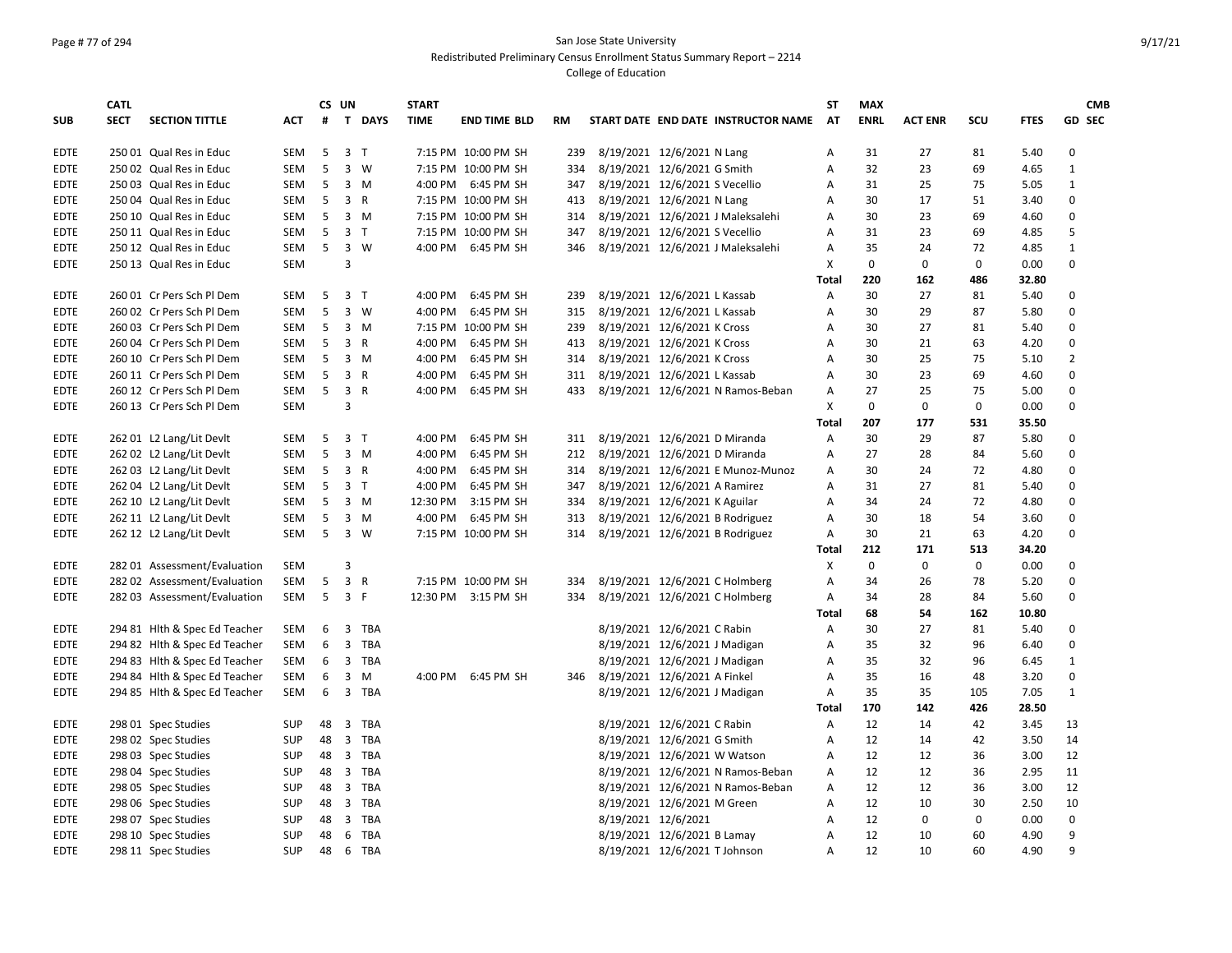### Page # 77 of 294 San Jose State University Redistributed Preliminary Census Enrollment Status Summary Report – 2214

|             | <b>CATL</b> |                                            |            |    | CS UN          |             | <b>START</b> |                     |           |                     |                                     | <b>ST</b>    | <b>MAX</b>  |                |     |             | <b>CMB</b>     |
|-------------|-------------|--------------------------------------------|------------|----|----------------|-------------|--------------|---------------------|-----------|---------------------|-------------------------------------|--------------|-------------|----------------|-----|-------------|----------------|
| <b>SUB</b>  | <b>SECT</b> | <b>SECTION TITTLE</b>                      | <b>ACT</b> | #  |                | T DAYS      | <b>TIME</b>  | <b>END TIME BLD</b> | <b>RM</b> |                     | START DATE END DATE INSTRUCTOR NAME | <b>AT</b>    | <b>ENRL</b> | <b>ACT ENR</b> | SCU | <b>FTES</b> | GD SEC         |
| <b>EDTE</b> |             | 250 01 Qual Res in Educ                    | <b>SEM</b> | 5  | 3 <sub>T</sub> |             |              | 7:15 PM 10:00 PM SH | 239       |                     | 8/19/2021 12/6/2021 N Lang          | Α            | 31          | 27             | 81  | 5.40        | 0              |
| <b>EDTE</b> |             | 250 02 Qual Res in Educ                    | SEM        | 5  |                | 3 W         |              | 7:15 PM 10:00 PM SH | 334       |                     | 8/19/2021 12/6/2021 G Smith         | Α            | 32          | 23             | 69  | 4.65        | 1              |
| <b>EDTE</b> |             | 250 03 Qual Res in Educ                    | <b>SEM</b> | 5  |                | 3 M         |              | 4:00 PM 6:45 PM SH  | 347       |                     | 8/19/2021 12/6/2021 S Vecellio      | А            | 31          | 25             | 75  | 5.05        | $\mathbf{1}$   |
| <b>EDTE</b> |             | 250 04 Qual Res in Educ                    | SEM        | 5  | 3 R            |             |              | 7:15 PM 10:00 PM SH | 413       |                     | 8/19/2021 12/6/2021 N Lang          | Α            | 30          | 17             | 51  | 3.40        | $\pmb{0}$      |
| <b>EDTE</b> |             | 250 10 Qual Res in Educ                    | SEM        | 5  |                | $3 \, M$    |              | 7:15 PM 10:00 PM SH | 314       |                     | 8/19/2021 12/6/2021 J Maleksalehi   | А            | 30          | 23             | 69  | 4.60        | $\pmb{0}$      |
| <b>EDTE</b> |             | 250 11 Qual Res in Educ                    | SEM        | 5  | 3 <sub>1</sub> |             |              | 7:15 PM 10:00 PM SH | 347       |                     | 8/19/2021 12/6/2021 S Vecellio      | Α            | 31          | 23             | 69  | 4.85        | 5              |
| <b>EDTE</b> |             | 250 12 Qual Res in Educ                    | SEM        | 5  |                | 3 W         |              | 4:00 PM 6:45 PM SH  | 346       |                     | 8/19/2021 12/6/2021 J Maleksalehi   | Α            | 35          | 24             | 72  | 4.85        | $\mathbf{1}$   |
| <b>EDTE</b> |             | 250 13 Qual Res in Educ                    | SEM        |    | 3              |             |              |                     |           |                     |                                     | X            | $\mathbf 0$ | $\mathbf 0$    | 0   | 0.00        | $\mathbf 0$    |
|             |             |                                            |            |    |                |             |              |                     |           |                     |                                     | <b>Total</b> | 220         | 162            | 486 | 32.80       |                |
| <b>EDTE</b> |             | 260 01 Cr Pers Sch Pl Dem                  | <b>SEM</b> | 5  | 3 <sub>T</sub> |             | 4:00 PM      | 6:45 PM SH          | 239       |                     | 8/19/2021 12/6/2021 L Kassab        | Α            | 30          | 27             | 81  | 5.40        | $\mathbf 0$    |
| <b>EDTE</b> |             | 260 02 Cr Pers Sch Pl Dem                  | SEM        | 5  |                | $3 \quad W$ | 4:00 PM      | 6:45 PM SH          | 315       |                     | 8/19/2021 12/6/2021 L Kassab        | Α            | 30          | 29             | 87  | 5.80        | $\pmb{0}$      |
| <b>EDTE</b> |             | 260 03 Cr Pers Sch Pl Dem                  | SEM        | 5  |                | $3 \, M$    |              | 7:15 PM 10:00 PM SH | 239       |                     | 8/19/2021 12/6/2021 K Cross         | Α            | 30          | 27             | 81  | 5.40        | $\pmb{0}$      |
| <b>EDTE</b> |             | 260 04 Cr Pers Sch Pl Dem                  | <b>SEM</b> | 5  | 3 R            |             | 4:00 PM      | 6:45 PM SH          | 413       |                     | 8/19/2021 12/6/2021 K Cross         | А            | 30          | 21             | 63  | 4.20        | 0              |
| <b>EDTE</b> |             | 260 10 Cr Pers Sch Pl Dem                  | SEM        | 5  |                | $3 \, M$    | 4:00 PM      | 6:45 PM SH          | 314       |                     | 8/19/2021 12/6/2021 K Cross         | Α            | 30          | 25             | 75  | 5.10        | $\overline{2}$ |
| <b>EDTE</b> |             | 260 11 Cr Pers Sch Pl Dem                  | <b>SEM</b> | 5  | 3 R            |             | 4:00 PM      | 6:45 PM SH          | 311       |                     | 8/19/2021 12/6/2021 L Kassab        | Α            | 30          | 23             | 69  | 4.60        | $\pmb{0}$      |
| <b>EDTE</b> |             | 260 12 Cr Pers Sch Pl Dem                  | SEM        | 5  | 3 R            |             | 4:00 PM      | 6:45 PM SH          | 433       |                     | 8/19/2021 12/6/2021 N Ramos-Beban   | Α            | 27          | 25             | 75  | 5.00        | $\pmb{0}$      |
| <b>EDTE</b> |             | 260 13 Cr Pers Sch Pl Dem                  | SEM        |    | $\overline{3}$ |             |              |                     |           |                     |                                     | X            | 0           | $\mathbf 0$    | 0   | 0.00        | $\pmb{0}$      |
|             |             |                                            |            |    |                |             |              |                     |           |                     |                                     | <b>Total</b> | 207         | 177            | 531 | 35.50       |                |
| EDTE        |             | 262 01 L2 Lang/Lit Devlt                   | SEM        | 5  | 3 <sub>1</sub> |             | 4:00 PM      | 6:45 PM SH          | 311       |                     | 8/19/2021 12/6/2021 D Miranda       | Α            | 30          | 29             | 87  | 5.80        | $\pmb{0}$      |
| <b>EDTE</b> |             | 262 02 L2 Lang/Lit Devlt                   | <b>SEM</b> | 5  |                | 3 M         | 4:00 PM      | 6:45 PM SH          | 212       |                     | 8/19/2021 12/6/2021 D Miranda       | Α            | 27          | 28             | 84  | 5.60        | $\mathbf 0$    |
| <b>EDTE</b> |             | 262 03 L2 Lang/Lit Devlt                   | SEM        | 5  | 3 R            |             | 4:00 PM      | 6:45 PM SH          | 314       |                     | 8/19/2021 12/6/2021 E Munoz-Munoz   | Α            | 30          | 24             | 72  | 4.80        | $\pmb{0}$      |
| <b>EDTE</b> |             | 262 04 L2 Lang/Lit Devlt                   | SEM        | 5  | 3 <sub>T</sub> |             | 4:00 PM      | 6:45 PM SH          | 347       |                     | 8/19/2021 12/6/2021 A Ramirez       | Α            | 31          | 27             | 81  | 5.40        | $\pmb{0}$      |
| <b>EDTE</b> |             | 262 10 L2 Lang/Lit Devlt                   | SEM        | 5  |                | $3 \, M$    | 12:30 PM     | 3:15 PM SH          | 334       |                     | 8/19/2021 12/6/2021 K Aguilar       | Α            | 34          | 24             | 72  | 4.80        | 0              |
| <b>EDTE</b> |             | 262 11 L2 Lang/Lit Devlt                   | SEM        | 5  |                | $3 \, M$    | 4:00 PM      | 6:45 PM SH          | 313       |                     | 8/19/2021 12/6/2021 B Rodriguez     | Α            | 30          | 18             | 54  | 3.60        | $\pmb{0}$      |
| <b>EDTE</b> |             | 262 12 L2 Lang/Lit Devlt                   | <b>SEM</b> | 5  |                | 3 W         |              | 7:15 PM 10:00 PM SH | 314       |                     | 8/19/2021 12/6/2021 B Rodriguez     | Α            | 30          | 21             | 63  | 4.20        | $\mathbf 0$    |
|             |             |                                            |            |    |                |             |              |                     |           |                     |                                     | <b>Total</b> | 212         | 171            | 513 | 34.20       |                |
| <b>EDTE</b> |             | 282 01 Assessment/Evaluation               | SEM        |    | 3              |             |              |                     |           |                     |                                     | X            | $\pmb{0}$   | 0              | 0   | 0.00        | $\pmb{0}$      |
| <b>EDTE</b> |             | 282 02 Assessment/Evaluation               | SEM        | 5  | 3 R            |             |              | 7:15 PM 10:00 PM SH | 334       |                     | 8/19/2021 12/6/2021 C Holmberg      | Α            | 34          | 26             | 78  | 5.20        | $\mathbf 0$    |
| <b>EDTE</b> |             | 282 03 Assessment/Evaluation               | SEM        | 5  | 3 F            |             |              | 12:30 PM 3:15 PM SH | 334       |                     | 8/19/2021 12/6/2021 C Holmberg      | Α            | 34          | 28             | 84  | 5.60        | $\pmb{0}$      |
|             |             |                                            |            |    |                |             |              |                     |           |                     |                                     | Total        | 68          | 54             | 162 | 10.80       |                |
| <b>EDTE</b> |             | 294 81 Hith & Spec Ed Teacher              | <b>SEM</b> | 6  |                | 3 TBA       |              |                     |           |                     | 8/19/2021 12/6/2021 C Rabin         | А            | 30          | 27             | 81  | 5.40        | 0              |
| EDTE        |             | 294 82 Hlth & Spec Ed Teacher              | SEM        | 6  |                | 3 TBA       |              |                     |           |                     | 8/19/2021 12/6/2021 J Madigan       | Α            | 35          | 32             | 96  | 6.40        | $\pmb{0}$      |
| <b>EDTE</b> |             | 294 83 Hlth & Spec Ed Teacher              | <b>SEM</b> | 6  |                | 3 TBA       |              |                     |           |                     | 8/19/2021 12/6/2021 J Madigan       | А            | 35          | 32             | 96  | 6.45        | $\mathbf{1}$   |
| <b>EDTE</b> |             | 294 84 Hlth & Spec Ed Teacher              | SEM        | 6  |                | $3 \, M$    |              | 4:00 PM 6:45 PM SH  | 346       |                     | 8/19/2021 12/6/2021 A Finkel        | Α            | 35          | 16             | 48  | 3.20        | $\pmb{0}$      |
| <b>EDTE</b> |             | 294 85 Hith & Spec Ed Teacher              | <b>SEM</b> | 6  |                | 3 TBA       |              |                     |           |                     | 8/19/2021 12/6/2021 J Madigan       | Α            | 35          | 35             | 105 | 7.05        | $\mathbf{1}$   |
|             |             |                                            |            |    |                |             |              |                     |           |                     |                                     | <b>Total</b> | 170         | 142            | 426 | 28.50       |                |
| <b>EDTE</b> |             |                                            | <b>SUP</b> | 48 | 3              | TBA         |              |                     |           |                     | 8/19/2021 12/6/2021 C Rabin         |              | 12          | 14             | 42  | 3.45        | 13             |
| <b>EDTE</b> |             | 298 01 Spec Studies<br>298 02 Spec Studies | <b>SUP</b> | 48 |                | 3 TBA       |              |                     |           |                     | 8/19/2021 12/6/2021 G Smith         | Α<br>Α       | 12          | 14             | 42  | 3.50        | 14             |
|             |             | 298 03 Spec Studies                        |            | 48 |                | 3 TBA       |              |                     |           |                     | 8/19/2021 12/6/2021 W Watson        |              | 12          | 12             | 36  | 3.00        | 12             |
| <b>EDTE</b> |             |                                            | <b>SUP</b> |    |                |             |              |                     |           |                     |                                     | Α            | 12          | 12             | 36  |             | 11             |
| <b>EDTE</b> |             | 298 04 Spec Studies                        | SUP        | 48 |                | 3 TBA       |              |                     |           |                     | 8/19/2021 12/6/2021 N Ramos-Beban   | Α            |             |                |     | 2.95        |                |
| <b>EDTE</b> |             | 298 05 Spec Studies                        | <b>SUP</b> | 48 |                | 3 TBA       |              |                     |           |                     | 8/19/2021 12/6/2021 N Ramos-Beban   | А            | 12          | 12             | 36  | 3.00        | 12             |
| <b>EDTE</b> |             | 298 06 Spec Studies                        | <b>SUP</b> | 48 |                | 3 TBA       |              |                     |           |                     | 8/19/2021 12/6/2021 M Green         | Α            | 12          | 10             | 30  | 2.50        | 10             |
| <b>EDTE</b> |             | 298 07 Spec Studies                        | SUP        | 48 |                | 3 TBA       |              |                     |           | 8/19/2021 12/6/2021 |                                     | Α            | 12          | $\mathbf 0$    | 0   | 0.00        | $\pmb{0}$      |
| <b>EDTE</b> |             | 298 10 Spec Studies                        | <b>SUP</b> | 48 | 6              | TBA         |              |                     |           |                     | 8/19/2021 12/6/2021 B Lamay         | Α            | 12          | 10             | 60  | 4.90        | 9              |
| <b>EDTE</b> |             | 298 11 Spec Studies                        | <b>SUP</b> | 48 | 6              | TBA         |              |                     |           |                     | 8/19/2021 12/6/2021 T Johnson       | A            | 12          | 10             | 60  | 4.90        | $\mathsf{q}$   |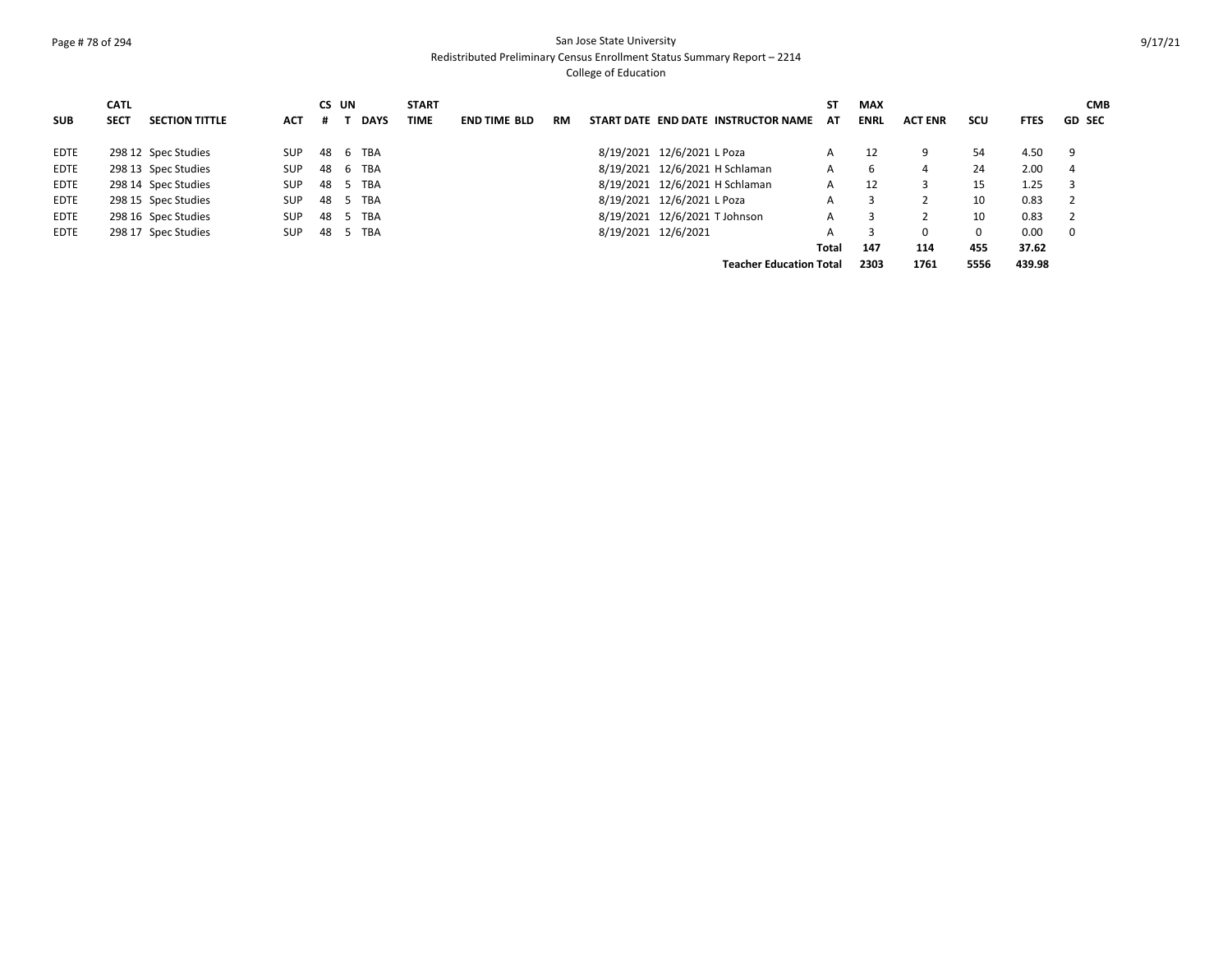### Page # 78 of 294 San Jose State University Redistributed Preliminary Census Enrollment Status Summary Report – 2214

|             | <b>CATL</b> |                       |            | CS UN |             | <b>START</b> |                     |    |                               |                                     | ST    | <b>MAX</b>  |                |             |                 | <b>CMB</b>              |
|-------------|-------------|-----------------------|------------|-------|-------------|--------------|---------------------|----|-------------------------------|-------------------------------------|-------|-------------|----------------|-------------|-----------------|-------------------------|
| <b>SUB</b>  | <b>SECT</b> | <b>SECTION TITTLE</b> | <b>ACT</b> | #     | <b>DAYS</b> | <b>TIME</b>  | <b>END TIME BLD</b> | RM |                               | START DATE END DATE INSTRUCTOR NAME | AT    | <b>ENRL</b> | <b>ACT ENR</b> | scu         | <b>FTES</b>     | <b>GD SEC</b>           |
| EDTE        |             | 298 12 Spec Studies   | <b>SUP</b> | 48    | 6 TBA       |              |                     |    | 8/19/2021 12/6/2021 L Poza    |                                     | A     | 12          | 9              | 54          | 4.50            | -9                      |
| <b>EDTE</b> |             | 298 13 Spec Studies   | <b>SUP</b> | 48    | 6 TBA       |              |                     |    |                               | 8/19/2021 12/6/2021 H Schlaman      | A     | 6           | 4              | 24          | 2.00            | $\overline{4}$          |
| <b>EDTE</b> |             | 298 14 Spec Studies   | <b>SUP</b> | 48    | 5 TBA       |              |                     |    |                               | 8/19/2021 12/6/2021 H Schlaman      | A     | 12          |                | 15          | 1.25            | - 3                     |
| <b>EDTE</b> |             | 298 15 Spec Studies   | <b>SUP</b> | 48    | 5 TBA       |              |                     |    | 8/19/2021 12/6/2021 L Poza    |                                     | A     |             |                | 10          | 0.83            | $\overline{2}$          |
| EDTE        |             | 298 16 Spec Studies   | <b>SUP</b> | 48    | 5 TBA       |              |                     |    | 8/19/2021 12/6/2021 T Johnson |                                     | A     |             |                | 10          | 0.83            |                         |
| <b>EDTE</b> |             | 298 17 Spec Studies   | <b>SUP</b> | 48    | 5 TBA       |              |                     |    | 8/19/2021 12/6/2021           |                                     | A     |             | 0              | $\Omega$    | 0.00            | $\overline{\mathbf{0}}$ |
|             |             |                       |            |       |             |              |                     |    |                               | <b>Teacher Education Total</b>      | Total | 147<br>2303 | 114<br>1761    | 455<br>5556 | 37.62<br>439.98 |                         |